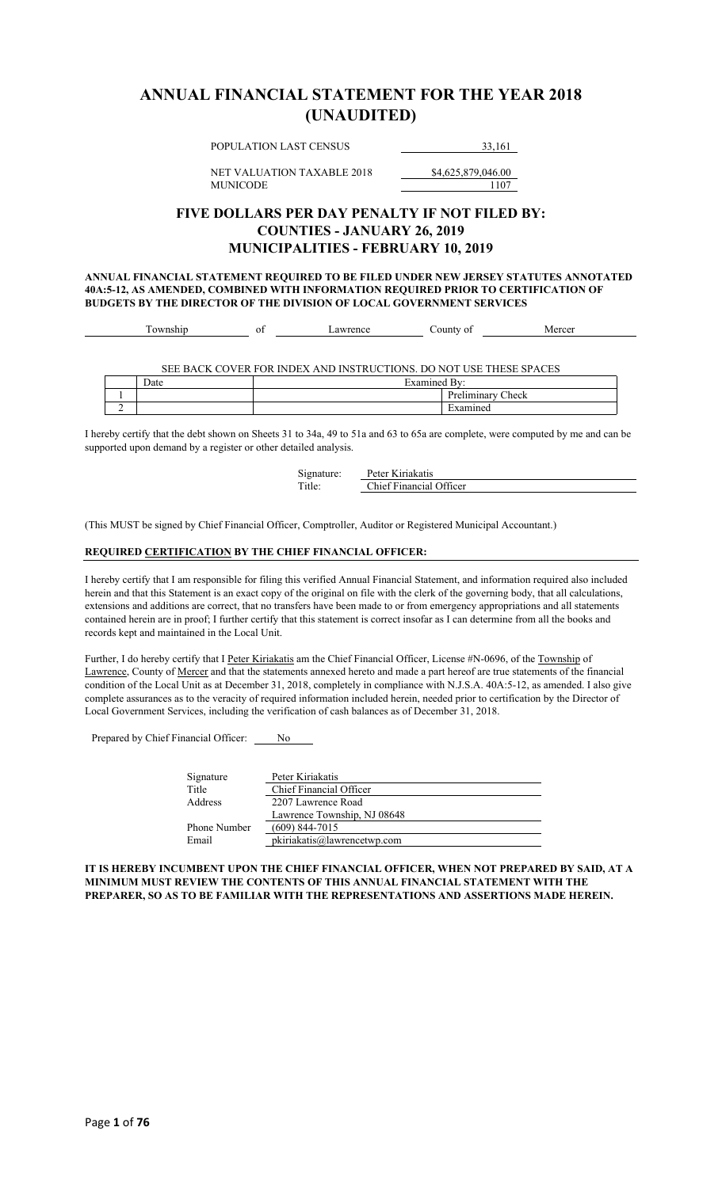## **ANNUAL FINANCIAL STATEMENT FOR THE YEAR 2018 (UNAUDITED)**

POPULATION LAST CENSUS 33,161

NET VALUATION TAXABLE 2018 \$4,625,879,046.00 MUNICODE 1107

#### **FIVE DOLLARS PER DAY PENALTY IF NOT FILED BY: COUNTIES - JANUARY 26, 2019 MUNICIPALITIES - FEBRUARY 10, 2019**

**ANNUAL FINANCIAL STATEMENT REQUIRED TO BE FILED UNDER NEW JERSEY STATUTES ANNOTATED 40A:5-12, AS AMENDED, COMBINED WITH INFORMATION REQUIRED PRIOR TO CERTIFICATION OF BUDGETS BY THE DIRECTOR OF THE DIVISION OF LOCAL GOVERNMENT SERVICES**

| –<br>$A + A + A$ | vι | 01112000000 | $\sim$ 011pts.<br>οt<br>-- | are<br>$\Lambda$<br>ັ |
|------------------|----|-------------|----------------------------|-----------------------|
|                  |    |             |                            |                       |
|                  |    |             |                            |                       |
|                  |    |             |                            |                       |

SEE BACK COVER FOR INDEX AND INSTRUCTIONS. DO NOT USE THESE SPACES Date Examined By:

|   | ------- | -- |            |
|---|---------|----|------------|
|   |         |    | $A = 0.01$ |
| - |         |    |            |
|   |         |    |            |

I hereby certify that the debt shown on Sheets 31 to 34a, 49 to 51a and 63 to 65a are complete, were computed by me and can be supported upon demand by a register or other detailed analysis.

| Signature: | Peter Kiriakatis        |
|------------|-------------------------|
| Title:     | Chief Financial Officer |

(This MUST be signed by Chief Financial Officer, Comptroller, Auditor or Registered Municipal Accountant.)

#### **REQUIRED CERTIFICATION BY THE CHIEF FINANCIAL OFFICER:**

I hereby certify that I am responsible for filing this verified Annual Financial Statement, and information required also included herein and that this Statement is an exact copy of the original on file with the clerk of the governing body, that all calculations, extensions and additions are correct, that no transfers have been made to or from emergency appropriations and all statements contained herein are in proof; I further certify that this statement is correct insofar as I can determine from all the books and records kept and maintained in the Local Unit.

Further, I do hereby certify that I Peter Kiriakatis am the Chief Financial Officer, License #N-0696, of the Township of Lawrence, County of Mercer and that the statements annexed hereto and made a part hereof are true statements of the financial condition of the Local Unit as at December 31, 2018, completely in compliance with N.J.S.A. 40A:5-12, as amended. I also give complete assurances as to the veracity of required information included herein, needed prior to certification by the Director of Local Government Services, including the verification of cash balances as of December 31, 2018.

Prepared by Chief Financial Officer: No

| Signature    | Peter Kiriakatis            |
|--------------|-----------------------------|
| Title        | Chief Financial Officer     |
| Address      | 2207 Lawrence Road          |
|              | Lawrence Township, NJ 08648 |
| Phone Number | $(609)$ 844-7015            |
| Email        | pkiriakatis@lawrencetwp.com |

**IT IS HEREBY INCUMBENT UPON THE CHIEF FINANCIAL OFFICER, WHEN NOT PREPARED BY SAID, AT A MINIMUM MUST REVIEW THE CONTENTS OF THIS ANNUAL FINANCIAL STATEMENT WITH THE PREPARER, SO AS TO BE FAMILIAR WITH THE REPRESENTATIONS AND ASSERTIONS MADE HEREIN.**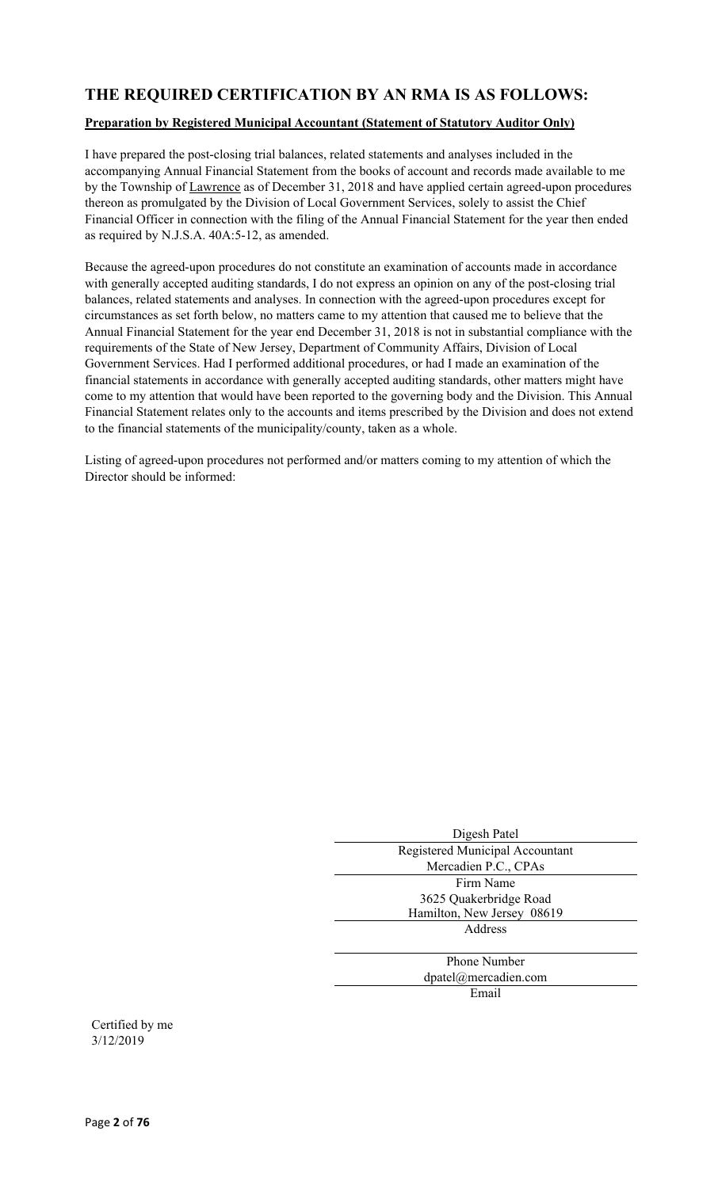## **THE REQUIRED CERTIFICATION BY AN RMA IS AS FOLLOWS:**

#### **Preparation by Registered Municipal Accountant (Statement of Statutory Auditor Only)**

I have prepared the post-closing trial balances, related statements and analyses included in the accompanying Annual Financial Statement from the books of account and records made available to me by the Township of Lawrence as of December 31, 2018 and have applied certain agreed-upon procedures thereon as promulgated by the Division of Local Government Services, solely to assist the Chief Financial Officer in connection with the filing of the Annual Financial Statement for the year then ended as required by N.J.S.A. 40A:5-12, as amended.

Because the agreed-upon procedures do not constitute an examination of accounts made in accordance with generally accepted auditing standards, I do not express an opinion on any of the post-closing trial balances, related statements and analyses. In connection with the agreed-upon procedures except for circumstances as set forth below, no matters came to my attention that caused me to believe that the Annual Financial Statement for the year end December 31, 2018 is not in substantial compliance with the requirements of the State of New Jersey, Department of Community Affairs, Division of Local Government Services. Had I performed additional procedures, or had I made an examination of the financial statements in accordance with generally accepted auditing standards, other matters might have come to my attention that would have been reported to the governing body and the Division. This Annual Financial Statement relates only to the accounts and items prescribed by the Division and does not extend to the financial statements of the municipality/county, taken as a whole.

Listing of agreed-upon procedures not performed and/or matters coming to my attention of which the Director should be informed:

| Digesh Patel                    |
|---------------------------------|
| Registered Municipal Accountant |
| Mercadien P.C., CPAs            |
| Firm Name                       |
| 3625 Quakerbridge Road          |
| Hamilton, New Jersey 08619      |
| Address                         |
|                                 |
| <b>Phone Number</b>             |
| dpatel@mercadien.com            |
| Email                           |
|                                 |

Certified by me 3/12/2019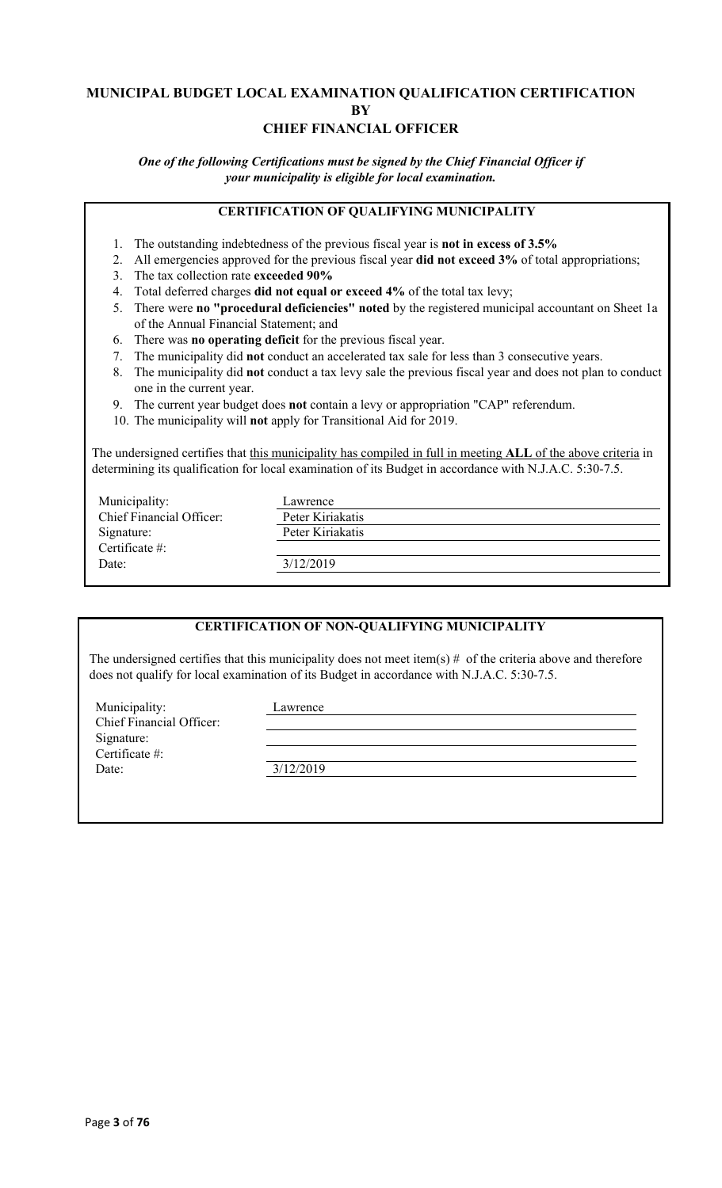#### **MUNICIPAL BUDGET LOCAL EXAMINATION QUALIFICATION CERTIFICATION BY CHIEF FINANCIAL OFFICER**

*One of the following Certifications must be signed by the Chief Financial Officer if your municipality is eligible for local examination.*

#### **CERTIFICATION OF QUALIFYING MUNICIPALITY**

- 1. The outstanding indebtedness of the previous fiscal year is **not in excess of 3.5%**
- 2. All emergencies approved for the previous fiscal year **did not exceed 3%** of total appropriations;
- 3. The tax collection rate **exceeded 90%**
- 4. Total deferred charges **did not equal or exceed 4%** of the total tax levy;
- 5. There were **no "procedural deficiencies" noted** by the registered municipal accountant on Sheet 1a of the Annual Financial Statement; and
- 6. There was **no operating deficit** for the previous fiscal year.
- 7. The municipality did **not** conduct an accelerated tax sale for less than 3 consecutive years.
- 8. The municipality did **not** conduct a tax levy sale the previous fiscal year and does not plan to conduct one in the current year.
- 9. The current year budget does **not** contain a levy or appropriation "CAP" referendum.
- 10. The municipality will **not** apply for Transitional Aid for 2019.

The undersigned certifies that this municipality has compiled in full in meeting **ALL** of the above criteria in determining its qualification for local examination of its Budget in accordance with N.J.A.C. 5:30-7.5.

| Municipality:            | Lawrence         |
|--------------------------|------------------|
| Chief Financial Officer: | Peter Kiriakatis |
| Signature:               | Peter Kiriakatis |
| Certificate #:           |                  |
| Date:                    | 3/12/2019        |
|                          |                  |

#### **CERTIFICATION OF NON-QUALIFYING MUNICIPALITY**

The undersigned certifies that this municipality does not meet item(s)  $#$  of the criteria above and therefore does not qualify for local examination of its Budget in accordance with N.J.A.C. 5:30-7.5.

Municipality: Lawrence Chief Financial Officer: Signature: Certificate #: Date: 3/12/2019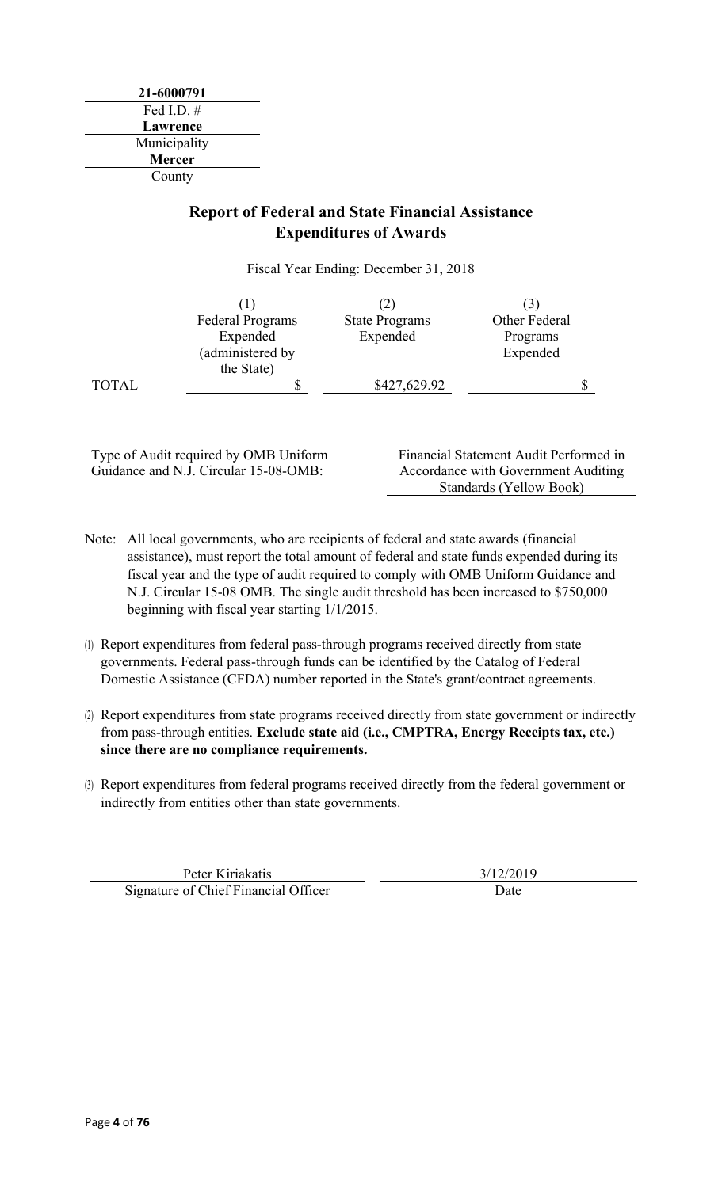**21-6000791** Fed I.D. # **Lawrence** Municipality **Mercer** County

## **Report of Federal and State Financial Assistance Expenditures of Awards**

Fiscal Year Ending: December 31, 2018

|              | <b>Federal Programs</b> | <b>State Programs</b> | Other Federal |  |
|--------------|-------------------------|-----------------------|---------------|--|
|              | Expended                | Expended              | Programs      |  |
|              | (administered by        |                       | Expended      |  |
|              | the State)              |                       |               |  |
| <b>TOTAL</b> | J                       | \$427,629.92          |               |  |

Type of Audit required by OMB Uniform Guidance and N.J. Circular 15-08-OMB:

Financial Statement Audit Performed in Accordance with Government Auditing Standards (Yellow Book)

- Note: All local governments, who are recipients of federal and state awards (financial assistance), must report the total amount of federal and state funds expended during its fiscal year and the type of audit required to comply with OMB Uniform Guidance and N.J. Circular 15-08 OMB. The single audit threshold has been increased to \$750,000 beginning with fiscal year starting 1/1/2015.
- (1) Report expenditures from federal pass-through programs received directly from state governments. Federal pass-through funds can be identified by the Catalog of Federal Domestic Assistance (CFDA) number reported in the State's grant/contract agreements.
- (2) Report expenditures from state programs received directly from state government or indirectly from pass-through entities. **Exclude state aid (i.e., CMPTRA, Energy Receipts tax, etc.) since there are no compliance requirements.**
- (3) Report expenditures from federal programs received directly from the federal government or indirectly from entities other than state governments.

Peter Kiriakatis 3/12/2019 Signature of Chief Financial Officer Date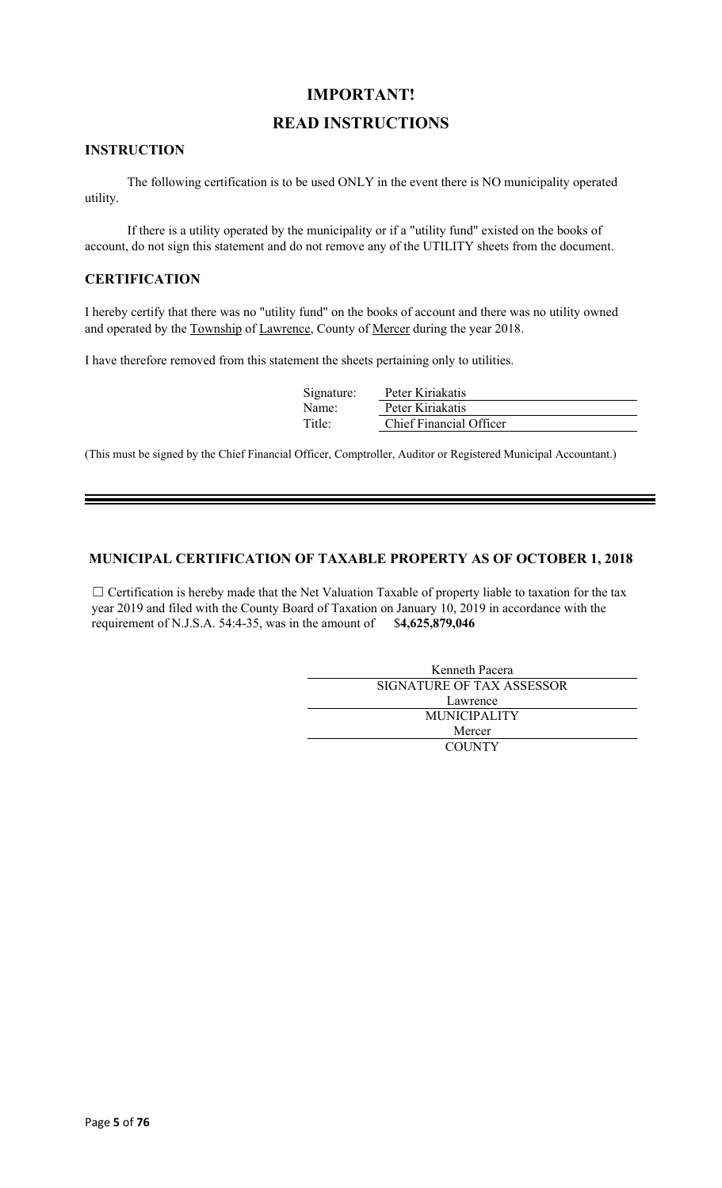### **IMPORTANT!**

### **READ INSTRUCTIONS**

#### **INSTRUCTION**

The following certification is to be used ONLY in the event there is NO municipality operated utility.

If there is a utility operated by the municipality or if a "utility fund" existed on the books of account, do not sign this statement and do not remove any of the UTILITY sheets from the document.

#### **CERTIFICATION**

I hereby certify that there was no "utility fund" on the books of account and there was no utility owned and operated by the Township of Lawrence, County of Mercer during the year 2018.

I have therefore removed from this statement the sheets pertaining only to utilities.

| Signature: | Peter Kiriakatis               |
|------------|--------------------------------|
| Name:      | Peter Kiriakatis               |
| Title:     | <b>Chief Financial Officer</b> |

(This must be signed by the Chief Financial Officer, Comptroller, Auditor or Registered Municipal Accountant.)

#### **MUNICIPAL CERTIFICATION OF TAXABLE PROPERTY AS OF OCTOBER 1, 2018**

□ Certification is hereby made that the Net Valuation Taxable of property liable to taxation for the tax year 2019 and filed with the County Board of Taxation on January 10, 2019 in accordance with the requirement of N.J.S.A. 54:4-35, was in the amount of \$**4,625,879,046**

| Kenneth Pacera            |  |  |
|---------------------------|--|--|
| SIGNATURE OF TAX ASSESSOR |  |  |
| Lawrence                  |  |  |
| <b>MUNICIPALITY</b>       |  |  |
| Mercer                    |  |  |
| <b>COUNTY</b>             |  |  |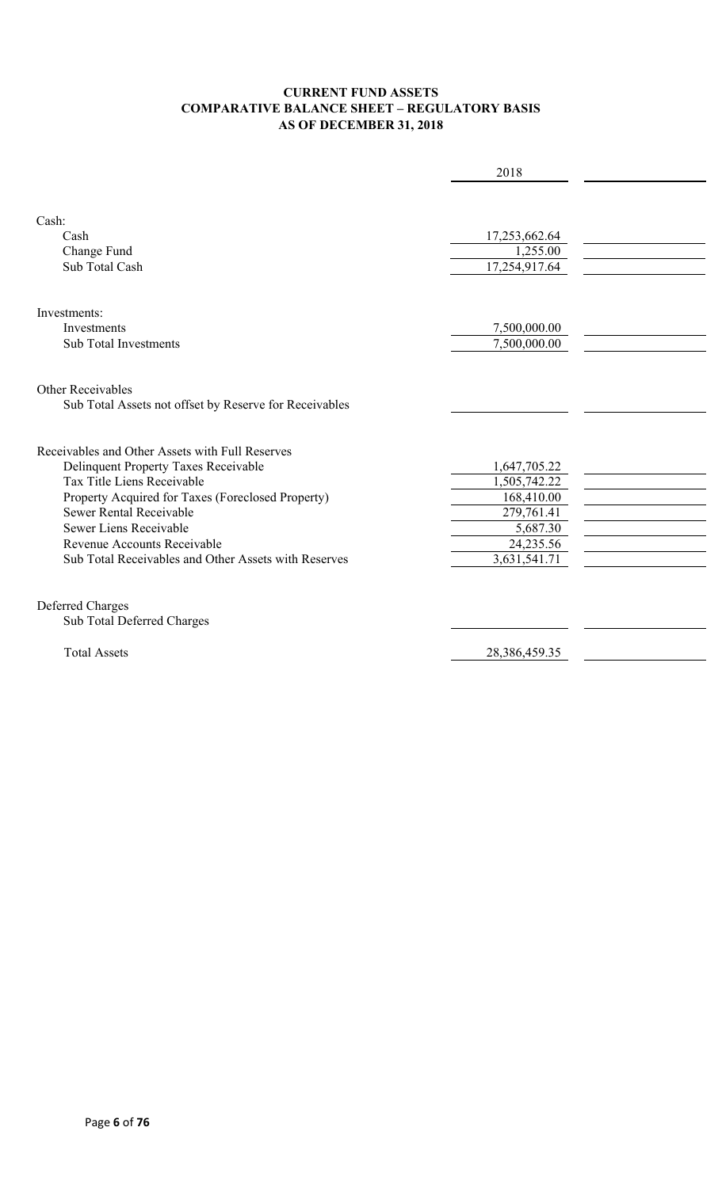#### **CURRENT FUND ASSETS COMPARATIVE BALANCE SHEET – REGULATORY BASIS AS OF DECEMBER 31, 2018**

|                                                        | 2018          |  |
|--------------------------------------------------------|---------------|--|
|                                                        |               |  |
| Cash:                                                  |               |  |
| Cash                                                   | 17,253,662.64 |  |
| Change Fund                                            | 1,255.00      |  |
| Sub Total Cash                                         | 17,254,917.64 |  |
|                                                        |               |  |
| Investments:                                           |               |  |
| <b>Investments</b>                                     | 7,500,000.00  |  |
| <b>Sub Total Investments</b>                           | 7,500,000.00  |  |
|                                                        |               |  |
| Other Receivables                                      |               |  |
| Sub Total Assets not offset by Reserve for Receivables |               |  |
|                                                        |               |  |
| Receivables and Other Assets with Full Reserves        |               |  |
| <b>Delinquent Property Taxes Receivable</b>            | 1,647,705.22  |  |
| Tax Title Liens Receivable                             | 1,505,742.22  |  |
| Property Acquired for Taxes (Foreclosed Property)      | 168,410.00    |  |
| Sewer Rental Receivable                                | 279,761.41    |  |
| Sewer Liens Receivable                                 | 5,687.30      |  |
| Revenue Accounts Receivable                            | 24,235.56     |  |
| Sub Total Receivables and Other Assets with Reserves   | 3,631,541.71  |  |
|                                                        |               |  |
| Deferred Charges                                       |               |  |
| Sub Total Deferred Charges                             |               |  |
| <b>Total Assets</b>                                    | 28,386,459.35 |  |
|                                                        |               |  |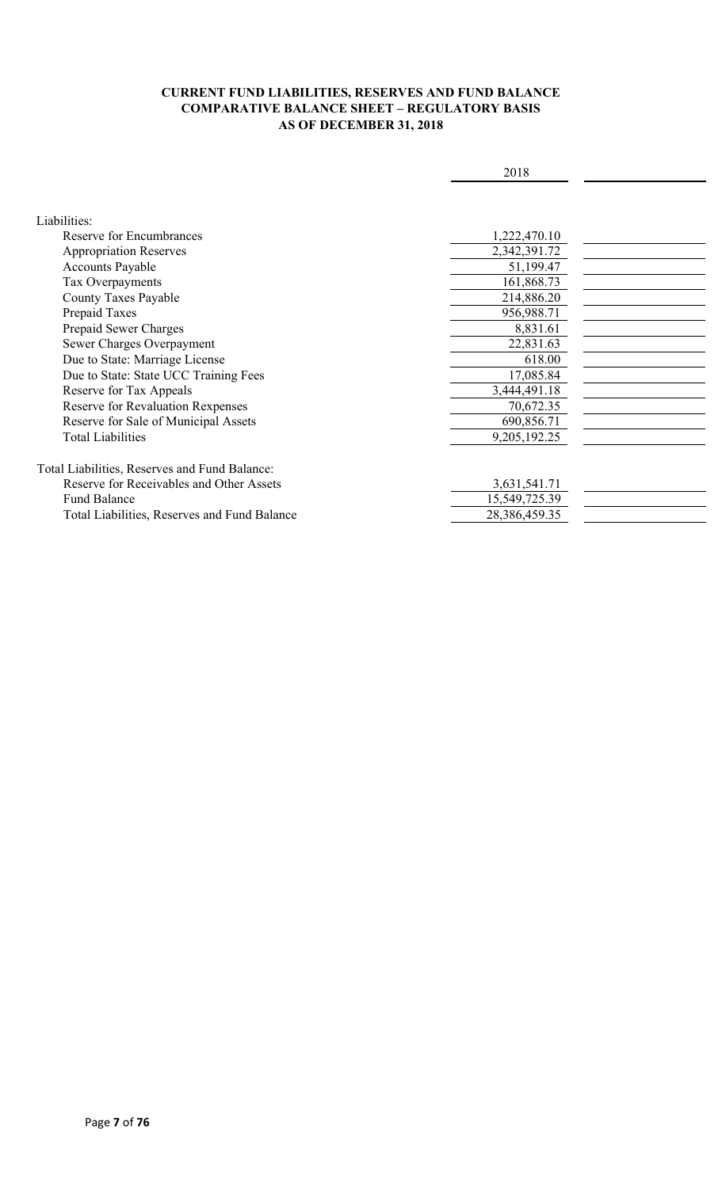#### **CURRENT FUND LIABILITIES, RESERVES AND FUND BALANCE COMPARATIVE BALANCE SHEET – REGULATORY BASIS AS OF DECEMBER 31, 2018**

|                                               | 2018          |  |
|-----------------------------------------------|---------------|--|
|                                               |               |  |
|                                               |               |  |
| Liabilities:                                  |               |  |
| Reserve for Encumbrances                      | 1,222,470.10  |  |
| <b>Appropriation Reserves</b>                 | 2,342,391.72  |  |
| <b>Accounts Payable</b>                       | 51,199.47     |  |
| Tax Overpayments                              | 161,868.73    |  |
| County Taxes Payable                          | 214,886.20    |  |
| Prepaid Taxes                                 | 956,988.71    |  |
| Prepaid Sewer Charges                         | 8,831.61      |  |
| Sewer Charges Overpayment                     | 22,831.63     |  |
| Due to State: Marriage License                | 618.00        |  |
| Due to State: State UCC Training Fees         | 17,085.84     |  |
| Reserve for Tax Appeals                       | 3,444,491.18  |  |
| Reserve for Revaluation Rexpenses             | 70,672.35     |  |
| Reserve for Sale of Municipal Assets          | 690,856.71    |  |
| <b>Total Liabilities</b>                      | 9,205,192.25  |  |
|                                               |               |  |
| Total Liabilities, Reserves and Fund Balance: |               |  |
| Reserve for Receivables and Other Assets      | 3,631,541.71  |  |
| <b>Fund Balance</b>                           | 15,549,725.39 |  |
| Total Liabilities, Reserves and Fund Balance  | 28,386,459.35 |  |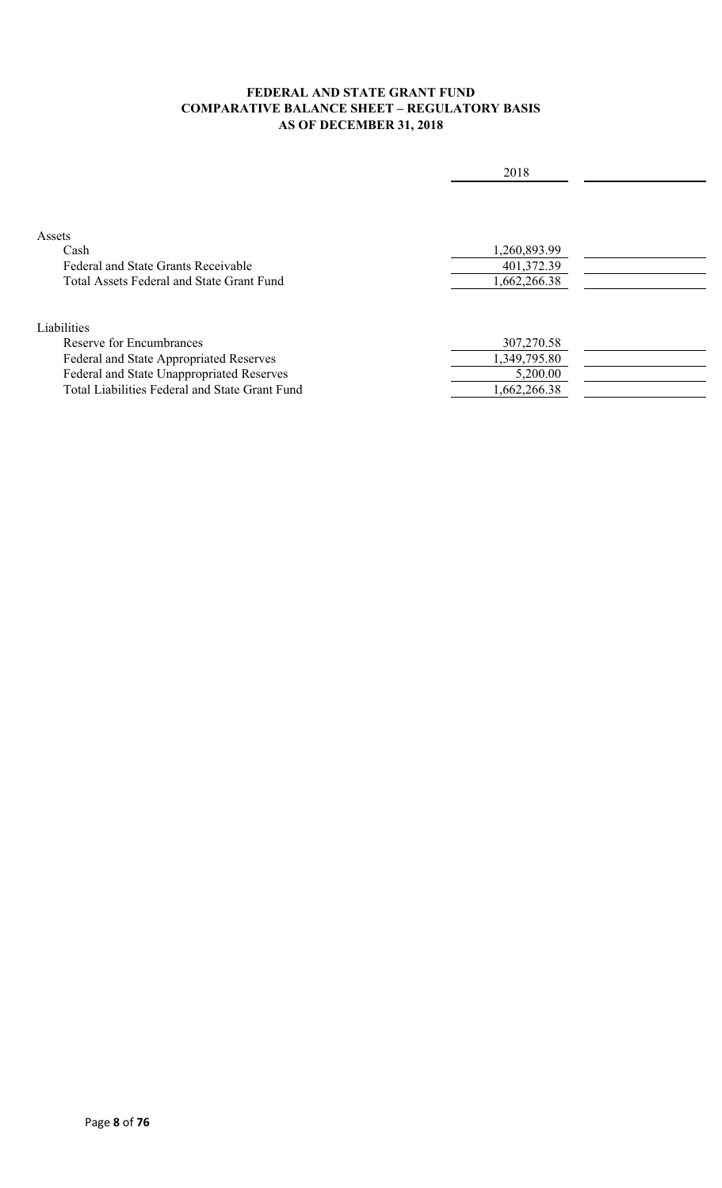#### **FEDERAL AND STATE GRANT FUND COMPARATIVE BALANCE SHEET – REGULATORY BASIS AS OF DECEMBER 31, 2018**

|                                                | 2018         |  |
|------------------------------------------------|--------------|--|
|                                                |              |  |
|                                                |              |  |
| Assets                                         |              |  |
| Cash                                           | 1,260,893.99 |  |
| <b>Federal and State Grants Receivable</b>     | 401,372.39   |  |
| Total Assets Federal and State Grant Fund      | 1,662,266.38 |  |
|                                                |              |  |
| Liabilities                                    |              |  |
| Reserve for Encumbrances                       | 307,270.58   |  |
| Federal and State Appropriated Reserves        | 1,349,795.80 |  |
| Federal and State Unappropriated Reserves      | 5,200.00     |  |
| Total Liabilities Federal and State Grant Fund | 1,662,266.38 |  |
|                                                |              |  |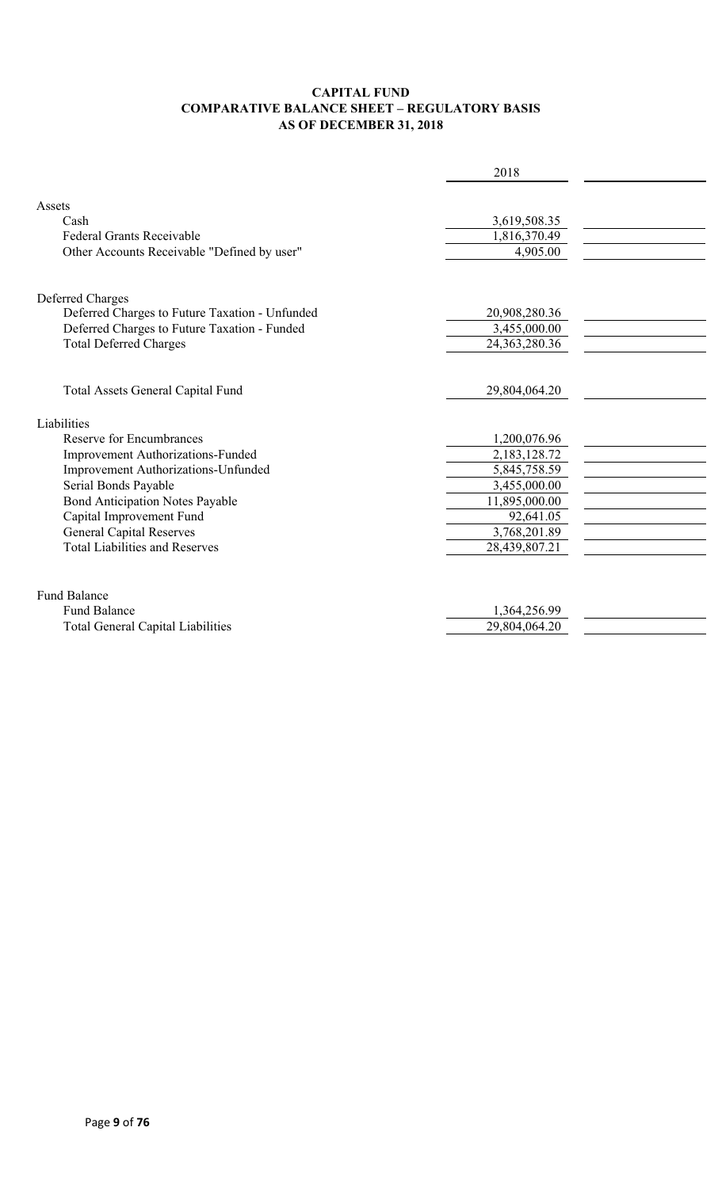#### **CAPITAL FUND COMPARATIVE BALANCE SHEET – REGULATORY BASIS AS OF DECEMBER 31, 2018**

|                                                | 2018             |  |
|------------------------------------------------|------------------|--|
|                                                |                  |  |
| Assets                                         |                  |  |
| Cash                                           | 3,619,508.35     |  |
| <b>Federal Grants Receivable</b>               | 1,816,370.49     |  |
| Other Accounts Receivable "Defined by user"    | 4,905.00         |  |
|                                                |                  |  |
| Deferred Charges                               |                  |  |
| Deferred Charges to Future Taxation - Unfunded | 20,908,280.36    |  |
| Deferred Charges to Future Taxation - Funded   | 3,455,000.00     |  |
| <b>Total Deferred Charges</b>                  | 24, 363, 280. 36 |  |
|                                                |                  |  |
| Total Assets General Capital Fund              | 29,804,064.20    |  |
| Liabilities                                    |                  |  |
| <b>Reserve for Encumbrances</b>                | 1,200,076.96     |  |
| Improvement Authorizations-Funded              | 2,183,128.72     |  |
| Improvement Authorizations-Unfunded            | 5,845,758.59     |  |
| Serial Bonds Payable                           | 3,455,000.00     |  |
| <b>Bond Anticipation Notes Payable</b>         | 11,895,000.00    |  |
| Capital Improvement Fund                       | 92,641.05        |  |
| <b>General Capital Reserves</b>                | 3,768,201.89     |  |
| <b>Total Liabilities and Reserves</b>          | 28,439,807.21    |  |
|                                                |                  |  |
| <b>Fund Balance</b>                            |                  |  |
| <b>Fund Balance</b>                            | 1,364,256.99     |  |
| <b>Total General Capital Liabilities</b>       | 29,804,064.20    |  |
|                                                |                  |  |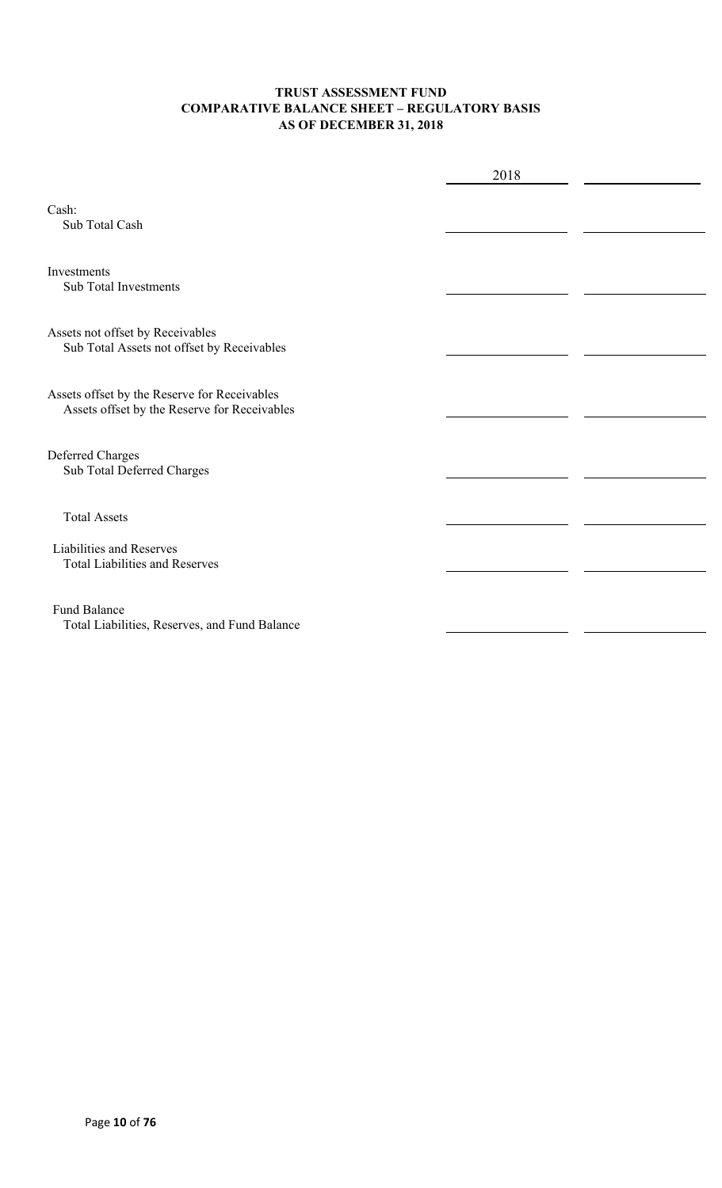#### **TRUST ASSESSMENT FUND COMPARATIVE BALANCE SHEET – REGULATORY BASIS AS OF DECEMBER 31, 2018**

|                                                                                              | 2018 |  |
|----------------------------------------------------------------------------------------------|------|--|
| Cash:<br>Sub Total Cash                                                                      |      |  |
| Investments<br><b>Sub Total Investments</b>                                                  |      |  |
| Assets not offset by Receivables<br>Sub Total Assets not offset by Receivables               |      |  |
| Assets offset by the Reserve for Receivables<br>Assets offset by the Reserve for Receivables |      |  |
| Deferred Charges<br>Sub Total Deferred Charges                                               |      |  |
| <b>Total Assets</b>                                                                          |      |  |
| Liabilities and Reserves<br><b>Total Liabilities and Reserves</b>                            |      |  |
| <b>Fund Balance</b><br>Total Liabilities, Reserves, and Fund Balance                         |      |  |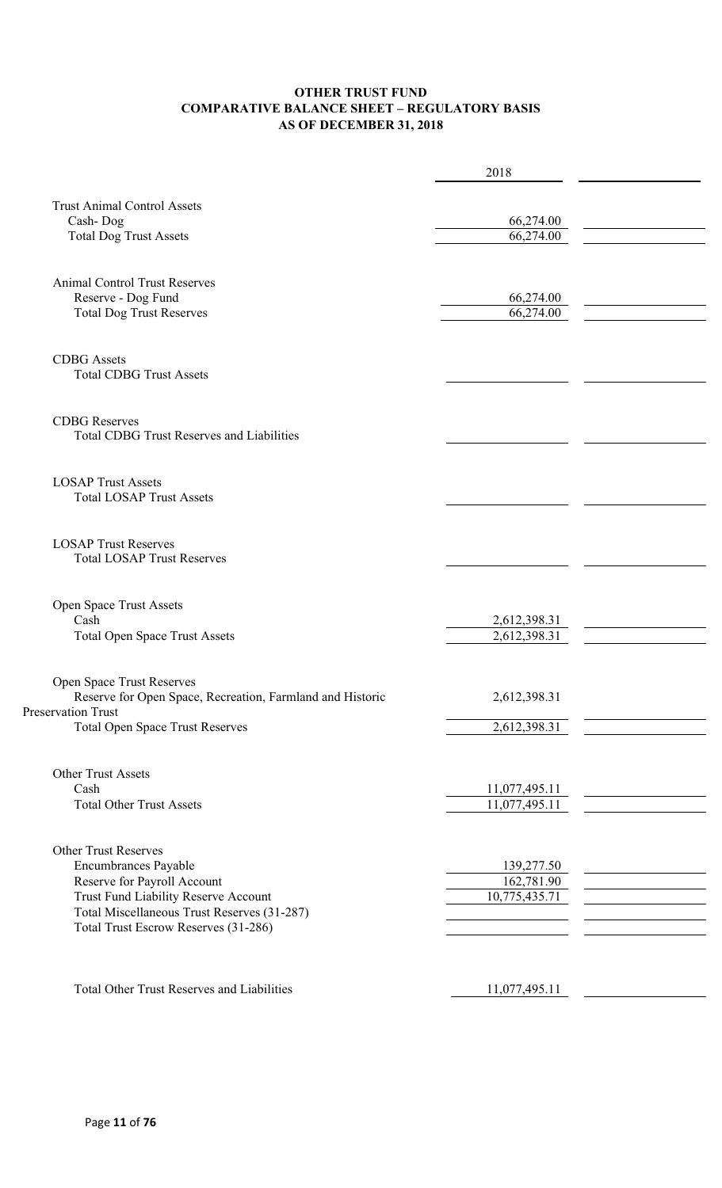#### **OTHER TRUST FUND COMPARATIVE BALANCE SHEET – REGULATORY BASIS AS OF DECEMBER 31, 2018**

|                                                                          | 2018          |  |
|--------------------------------------------------------------------------|---------------|--|
| <b>Trust Animal Control Assets</b>                                       |               |  |
| Cash-Dog                                                                 | 66,274.00     |  |
| <b>Total Dog Trust Assets</b>                                            | 66,274.00     |  |
|                                                                          |               |  |
| <b>Animal Control Trust Reserves</b>                                     |               |  |
| Reserve - Dog Fund                                                       | 66,274.00     |  |
| <b>Total Dog Trust Reserves</b>                                          | 66,274.00     |  |
| <b>CDBG</b> Assets                                                       |               |  |
| <b>Total CDBG Trust Assets</b>                                           |               |  |
|                                                                          |               |  |
| <b>CDBG</b> Reserves<br><b>Total CDBG Trust Reserves and Liabilities</b> |               |  |
|                                                                          |               |  |
| <b>LOSAP Trust Assets</b>                                                |               |  |
| <b>Total LOSAP Trust Assets</b>                                          |               |  |
| <b>LOSAP Trust Reserves</b>                                              |               |  |
| <b>Total LOSAP Trust Reserves</b>                                        |               |  |
|                                                                          |               |  |
| Open Space Trust Assets                                                  |               |  |
| Cash                                                                     | 2,612,398.31  |  |
| <b>Total Open Space Trust Assets</b>                                     | 2,612,398.31  |  |
| Open Space Trust Reserves                                                |               |  |
| Reserve for Open Space, Recreation, Farmland and Historic                | 2,612,398.31  |  |
| Preservation Trust                                                       |               |  |
| <b>Total Open Space Trust Reserves</b>                                   | 2,612,398.31  |  |
| <b>Other Trust Assets</b>                                                |               |  |
| Cash                                                                     | 11,077,495.11 |  |
| <b>Total Other Trust Assets</b>                                          | 11,077,495.11 |  |
|                                                                          |               |  |
| <b>Other Trust Reserves</b>                                              |               |  |
| Encumbrances Payable                                                     | 139,277.50    |  |
| Reserve for Payroll Account                                              | 162,781.90    |  |
| Trust Fund Liability Reserve Account                                     | 10,775,435.71 |  |
| Total Miscellaneous Trust Reserves (31-287)                              |               |  |
| Total Trust Escrow Reserves (31-286)                                     |               |  |
|                                                                          |               |  |
| <b>Total Other Trust Reserves and Liabilities</b>                        | 11,077,495.11 |  |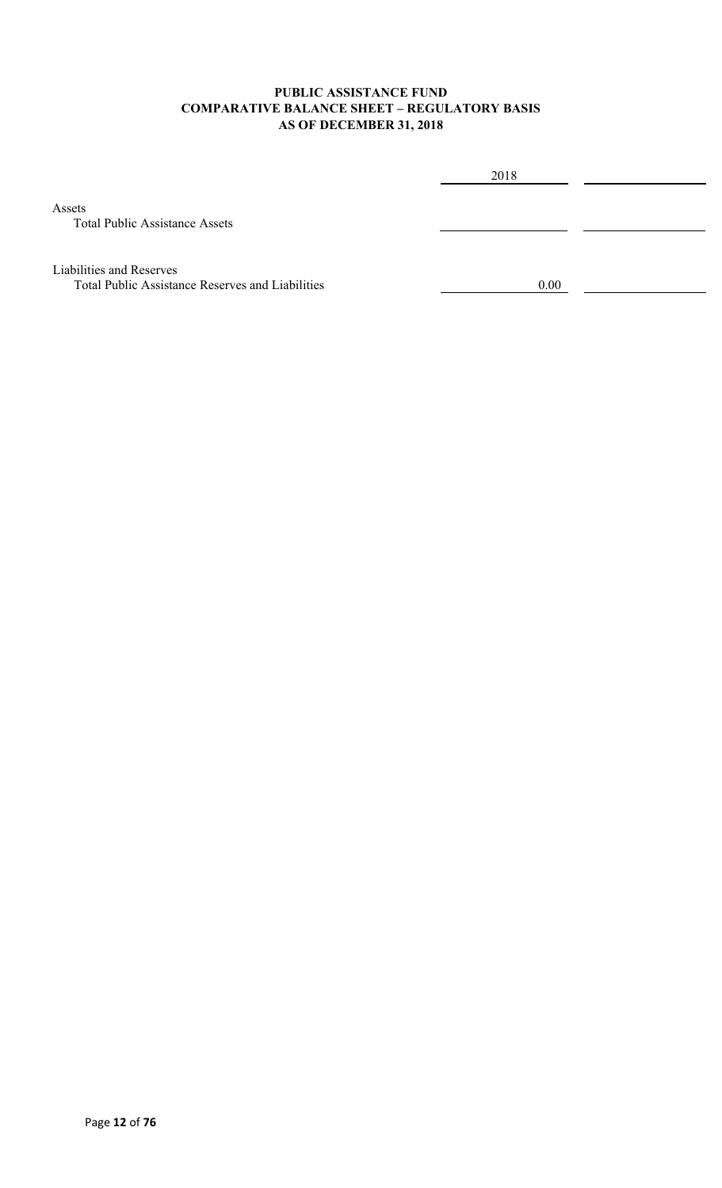#### **PUBLIC ASSISTANCE FUND COMPARATIVE BALANCE SHEET – REGULATORY BASIS AS OF DECEMBER 31, 2018**

Assets

2018 Total Public Assistance Assets Liabilities and Reserves Total Public Assistance Reserves and Liabilities 0.00 0.00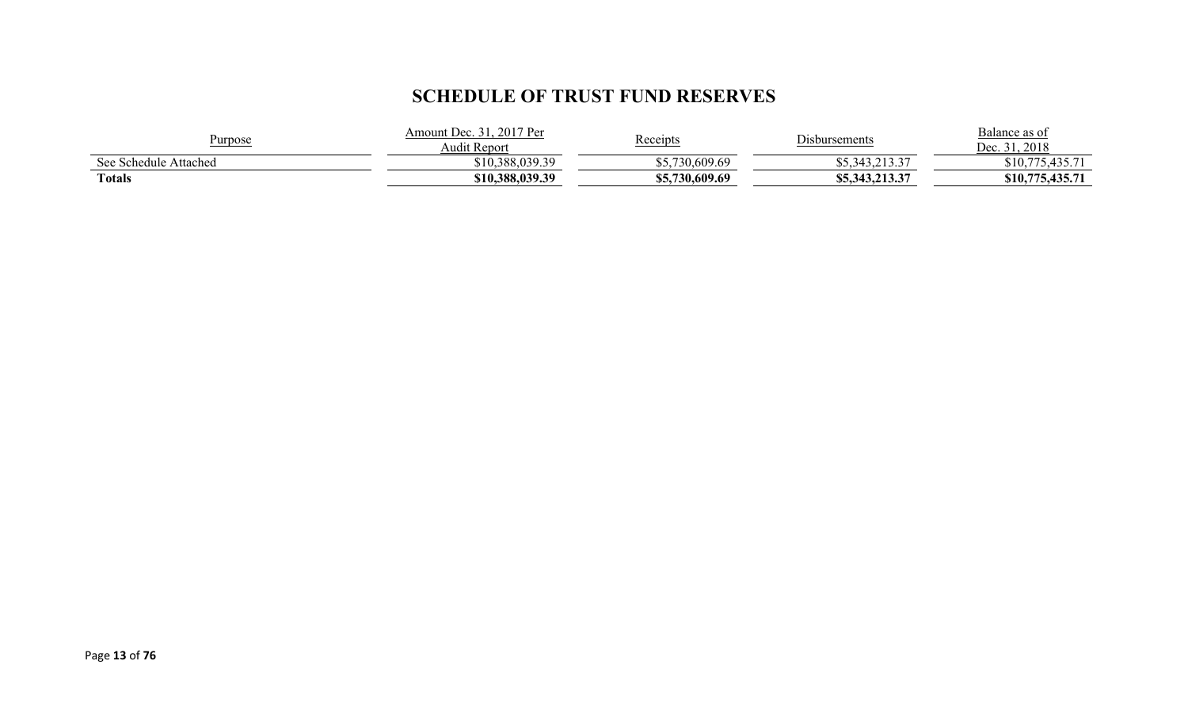# **SCHEDULE OF TRUST FUND RESERVES**

| Purpose               | 2017 Per<br>. )ec<br>Amount<br>Audit Report | <u> Receipts</u> | $\mathbf{r}$<br>Disbursements           | Balance as of<br>2018<br>Dec |
|-----------------------|---------------------------------------------|------------------|-----------------------------------------|------------------------------|
| See Schedule Attached | \$10,388,039.39                             | \$5,730,609.69   | $\sim$ 12.27<br>ل د ل ۱ ۱ ۱ م<br>ن په ب | $425 - 71$<br>\$10,775       |
| <b>Totals</b>         | \$10,388,039.39                             | \$5,730,609.69   | 112.27<br>\$5,343,213.37                | 75,435.71<br>\$10,           |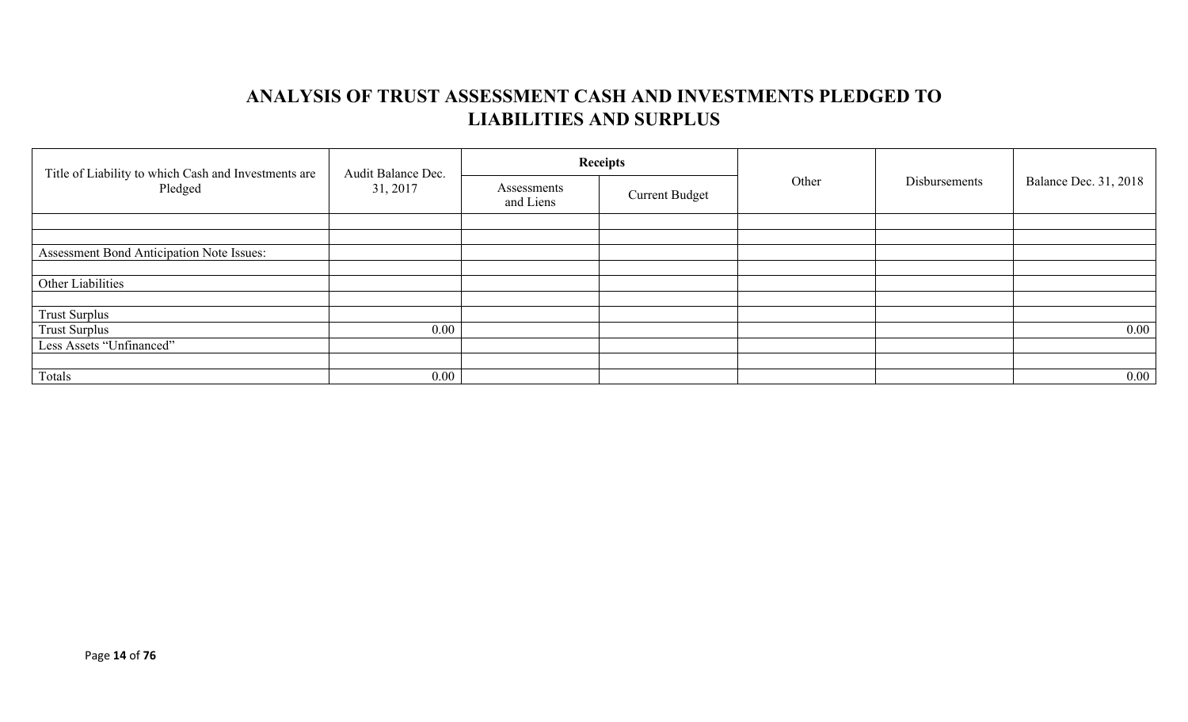# **ANALYSIS OF TRUST ASSESSMENT CASH AND INVESTMENTS PLEDGED TO LIABILITIES AND SURPLUS**

| Title of Liability to which Cash and Investments are<br>Pledged | Audit Balance Dec.<br>31, 2017 |                          | <b>Receipts</b>       | Other | Disbursements | <b>Balance Dec. 31, 2018</b> |
|-----------------------------------------------------------------|--------------------------------|--------------------------|-----------------------|-------|---------------|------------------------------|
|                                                                 |                                | Assessments<br>and Liens | <b>Current Budget</b> |       |               |                              |
|                                                                 |                                |                          |                       |       |               |                              |
|                                                                 |                                |                          |                       |       |               |                              |
| Assessment Bond Anticipation Note Issues:                       |                                |                          |                       |       |               |                              |
|                                                                 |                                |                          |                       |       |               |                              |
| Other Liabilities                                               |                                |                          |                       |       |               |                              |
|                                                                 |                                |                          |                       |       |               |                              |
| <b>Trust Surplus</b>                                            |                                |                          |                       |       |               |                              |
| <b>Trust Surplus</b>                                            | $0.00\,$                       |                          |                       |       |               | $0.00\,$                     |
| Less Assets "Unfinanced"                                        |                                |                          |                       |       |               |                              |
|                                                                 |                                |                          |                       |       |               |                              |
| Totals                                                          | $0.00\,$                       |                          |                       |       |               | $0.00\,$                     |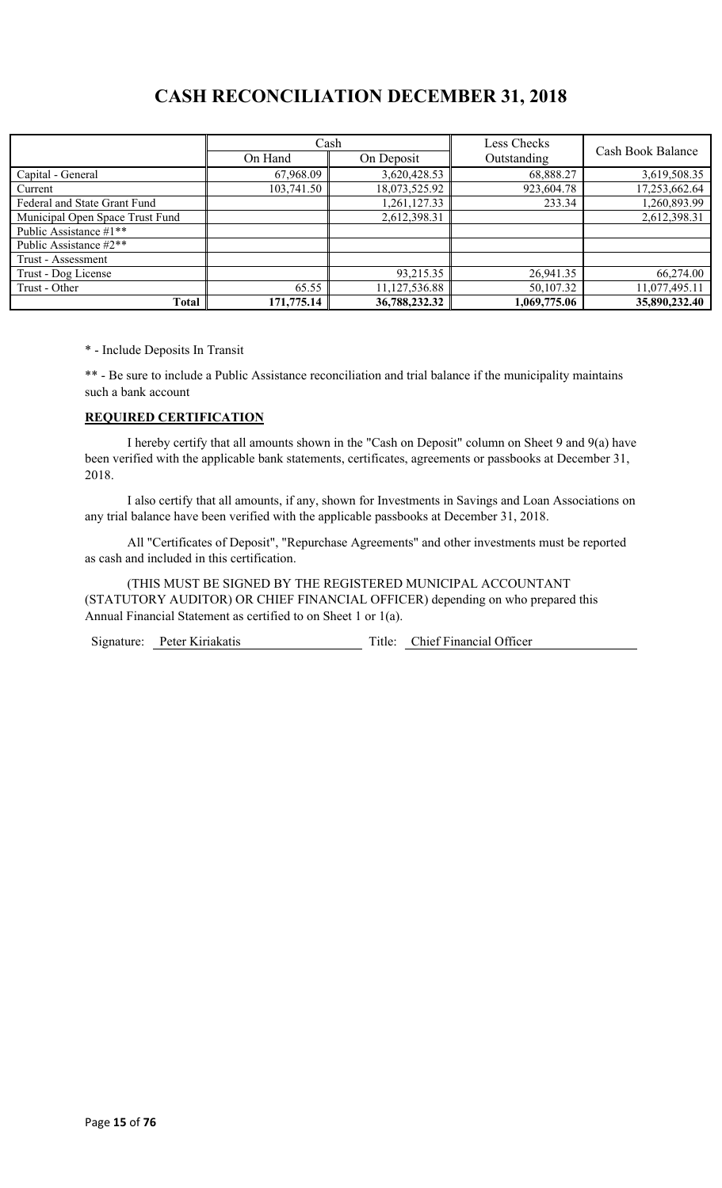# **CASH RECONCILIATION DECEMBER 31, 2018**

|                                 | Cash<br>On Hand | On Deposit    | Less Checks<br>Outstanding | Cash Book Balance |
|---------------------------------|-----------------|---------------|----------------------------|-------------------|
|                                 |                 | 3,620,428.53  | 68,888.27                  | 3,619,508.35      |
| Capital - General               | 67,968.09       |               |                            |                   |
| Current                         | 103,741.50      | 18,073,525.92 | 923,604.78                 | 17,253,662.64     |
| Federal and State Grant Fund    |                 | 1,261,127.33  | 233.34                     | 1,260,893.99      |
| Municipal Open Space Trust Fund |                 | 2,612,398.31  |                            | 2,612,398.31      |
| Public Assistance #1**          |                 |               |                            |                   |
| Public Assistance #2**          |                 |               |                            |                   |
| Trust - Assessment              |                 |               |                            |                   |
| Trust - Dog License             |                 | 93,215.35     | 26,941.35                  | 66,274.00         |
| Trust - Other                   | 65.55           | 11,127,536.88 | 50,107.32                  | 11,077,495.11     |
| <b>Total</b>                    | 171,775.14      | 36,788,232.32 | 1,069,775.06               | 35,890,232.40     |

\* - Include Deposits In Transit

\*\* - Be sure to include a Public Assistance reconciliation and trial balance if the municipality maintains such a bank account

#### **REQUIRED CERTIFICATION**

I hereby certify that all amounts shown in the "Cash on Deposit" column on Sheet 9 and 9(a) have been verified with the applicable bank statements, certificates, agreements or passbooks at December 31, 2018.

I also certify that all amounts, if any, shown for Investments in Savings and Loan Associations on any trial balance have been verified with the applicable passbooks at December 31, 2018.

All "Certificates of Deposit", "Repurchase Agreements" and other investments must be reported as cash and included in this certification.

(THIS MUST BE SIGNED BY THE REGISTERED MUNICIPAL ACCOUNTANT (STATUTORY AUDITOR) OR CHIEF FINANCIAL OFFICER) depending on who prepared this Annual Financial Statement as certified to on Sheet 1 or 1(a).

Signature: Peter Kiriakatis Title: Chief Financial Officer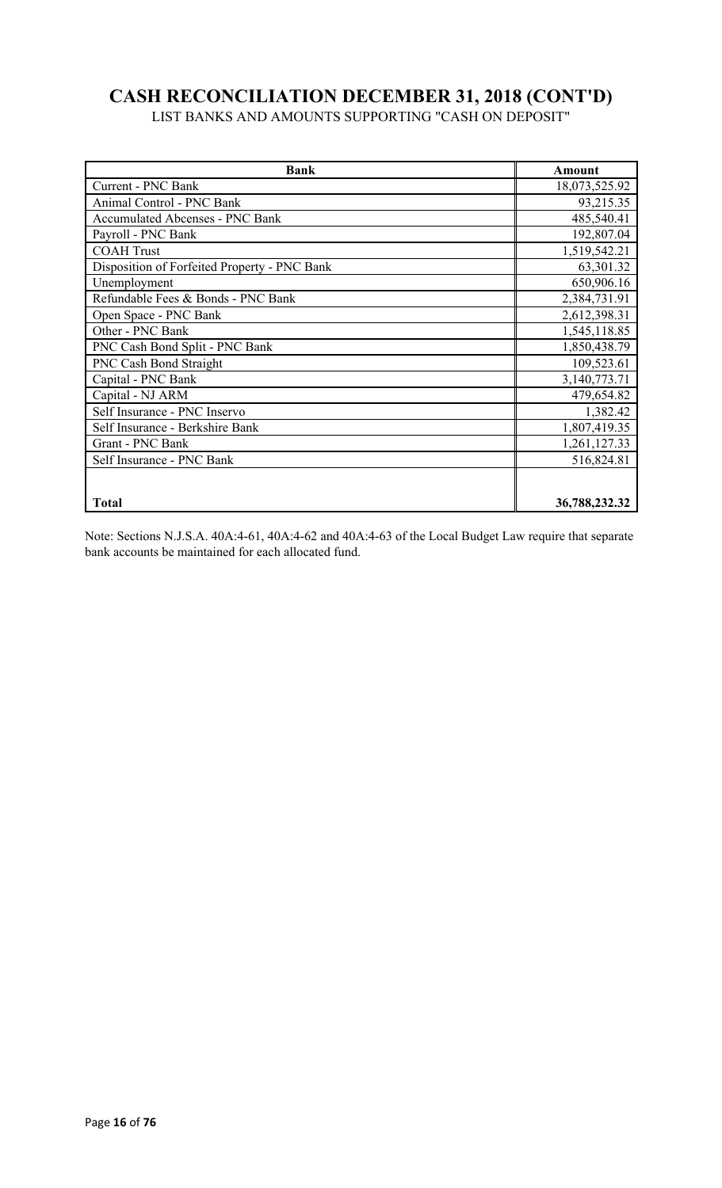# **CASH RECONCILIATION DECEMBER 31, 2018 (CONT'D)**

LIST BANKS AND AMOUNTS SUPPORTING "CASH ON DEPOSIT"

| <b>Bank</b>                                  | Amount        |
|----------------------------------------------|---------------|
| Current - PNC Bank                           | 18,073,525.92 |
| Animal Control - PNC Bank                    | 93,215.35     |
| <b>Accumulated Abcenses - PNC Bank</b>       | 485,540.41    |
| Payroll - PNC Bank                           | 192,807.04    |
| <b>COAH Trust</b>                            | 1,519,542.21  |
| Disposition of Forfeited Property - PNC Bank | 63,301.32     |
| Unemployment                                 | 650,906.16    |
| Refundable Fees & Bonds - PNC Bank           | 2,384,731.91  |
| Open Space - PNC Bank                        | 2,612,398.31  |
| Other - PNC Bank                             | 1,545,118.85  |
| PNC Cash Bond Split - PNC Bank               | 1,850,438.79  |
| <b>PNC Cash Bond Straight</b>                | 109,523.61    |
| Capital - PNC Bank                           | 3,140,773.71  |
| Capital - NJ ARM                             | 479,654.82    |
| Self Insurance - PNC Inservo                 | 1,382.42      |
| Self Insurance - Berkshire Bank              | 1,807,419.35  |
| Grant - PNC Bank                             | 1,261,127.33  |
| Self Insurance - PNC Bank                    | 516,824.81    |
|                                              |               |
|                                              |               |
| <b>Total</b>                                 | 36,788,232.32 |

Note: Sections N.J.S.A. 40A:4-61, 40A:4-62 and 40A:4-63 of the Local Budget Law require that separate bank accounts be maintained for each allocated fund.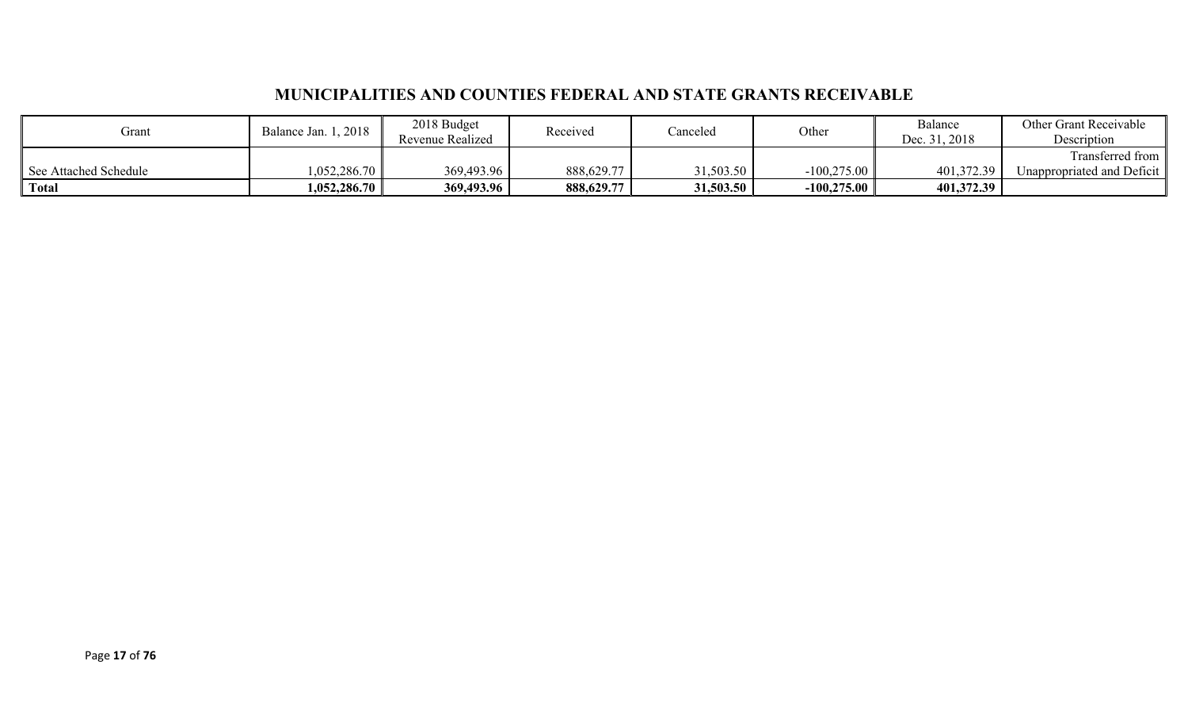## **MUNICIPALITIES AND COUNTIES FEDERAL AND STATE GRANTS RECEIVABLE**

| Grant                 | Balance Jan. 1, 2018           | 2018 Budget<br>Revenue Realized | Received   | Canceled  | Other         | Balance<br>Dec. 31, 2018 | <b>Other Grant Receivable</b><br>Description |
|-----------------------|--------------------------------|---------------------------------|------------|-----------|---------------|--------------------------|----------------------------------------------|
|                       |                                |                                 |            |           |               |                          | Transferred from                             |
| See Attached Schedule | 1,052,286.70                   | 369,493.96                      | 888,629.77 | 31,503.50 | $-100,275.00$ | 401,372.39               | Unappropriated and Deficit                   |
| Total                 | $1{,}052{,}286.70$ $\parallel$ | 369,493.96                      | 888,629.77 | 31,503.50 | $-100,275.00$ | 401,372.39               |                                              |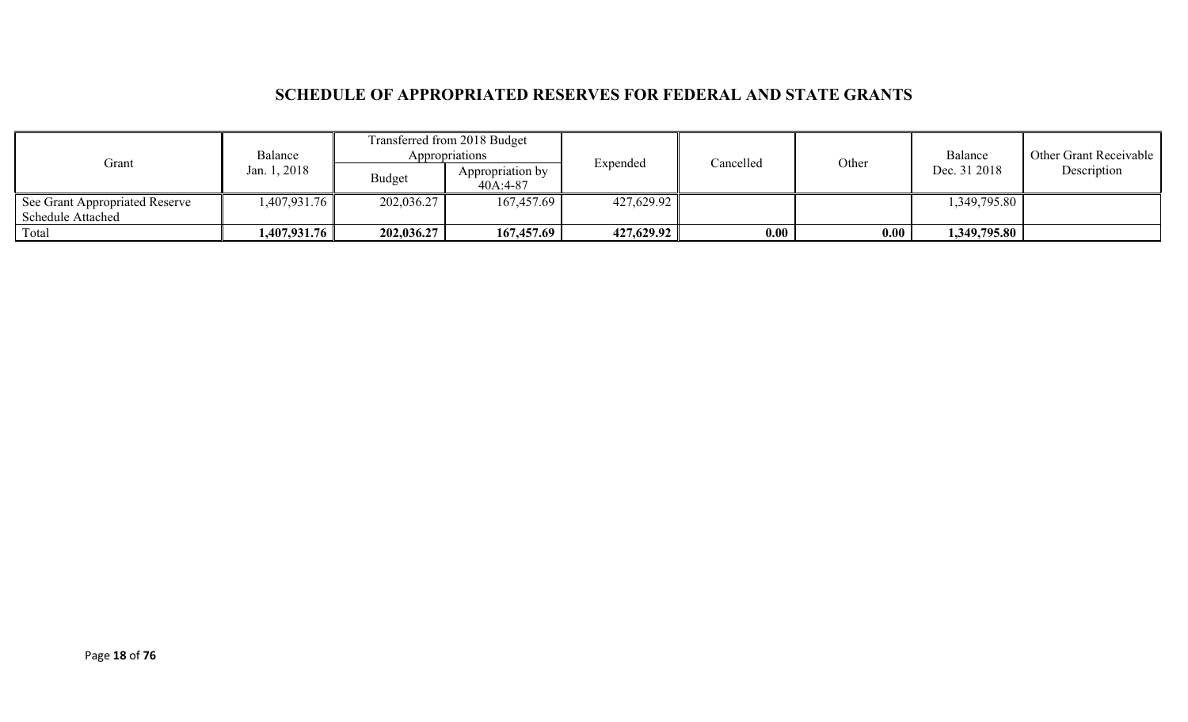## **SCHEDULE OF APPROPRIATED RESERVES FOR FEDERAL AND STATE GRANTS**

| Grant                                       | Balance                    |               | Transferred from 2018 Budget<br>Appropriations |            | Cancelled |       | Balance      | Other Grant Receivable |
|---------------------------------------------|----------------------------|---------------|------------------------------------------------|------------|-----------|-------|--------------|------------------------|
|                                             | Jan. 1, 2018               | <b>Budget</b> | Appropriation by<br>40A:4-87                   | Expended   |           | Other | Dec. 31 2018 | Description            |
| <sup>1</sup> See Grant Appropriated Reserve | 1,407,931.76               | 202,036.27    | 167,457.69                                     | 427,629.92 |           |       | 349,795.80,  |                        |
| <b>Schedule Attached</b>                    |                            |               |                                                |            |           |       |              |                        |
| Total                                       | $1,407,931.76$ $\parallel$ | 202,036.27    | 167,457.69                                     | 427,629.92 | 0.00      | 0.00  | 349,795.80,  |                        |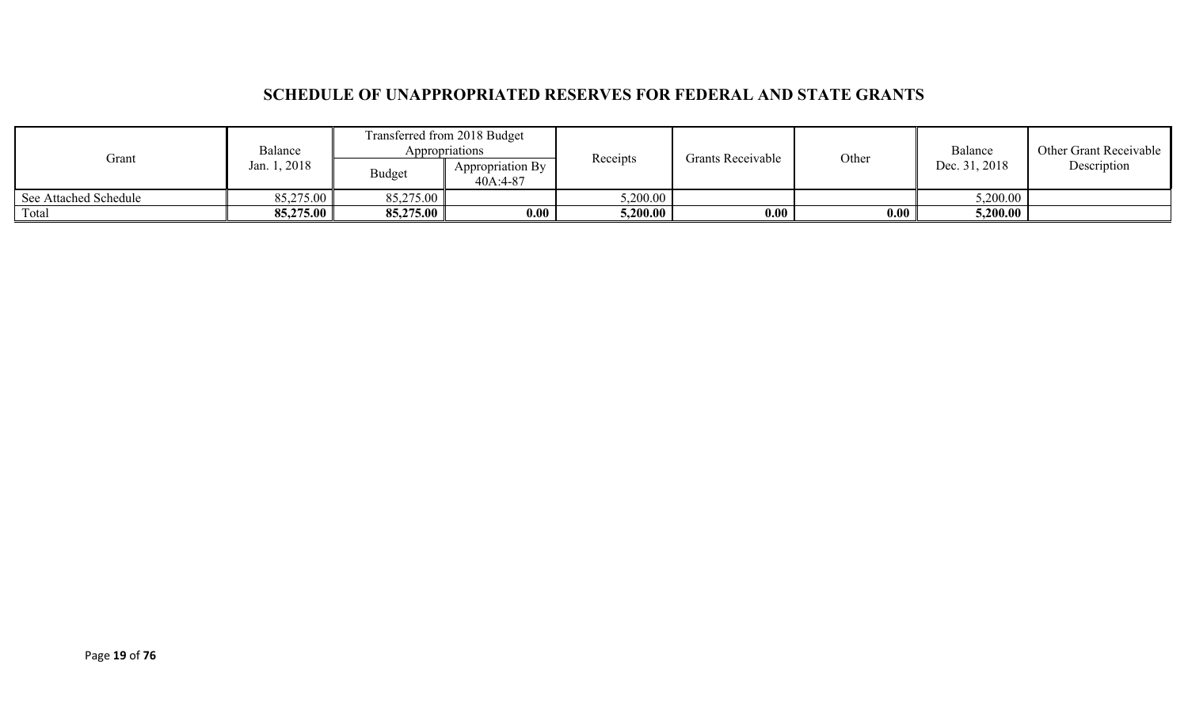## **SCHEDULE OF UNAPPROPRIATED RESERVES FOR FEDERAL AND STATE GRANTS**

| Balance<br>Grant<br>Jan. 1, 2018 |           | Transferred from 2018 Budget<br>Appropriations |                              | Receipts | <b>Grants Receivable</b> |       | Balance       | Other Grant Receivable |
|----------------------------------|-----------|------------------------------------------------|------------------------------|----------|--------------------------|-------|---------------|------------------------|
|                                  |           | Budget                                         | Appropriation By<br>40A:4-87 |          |                          | Other | Dec. 31, 2018 | Description            |
| See Attached Schedule            | 85,275.00 | 85,275.00                                      |                              | 5,200.00 |                          |       | 5,200.00      |                        |
| Total                            | 85,275.00 | 85,275.00                                      | 0.00                         | 5,200.00 | 0.00                     | 0.00  | 5,200.00      |                        |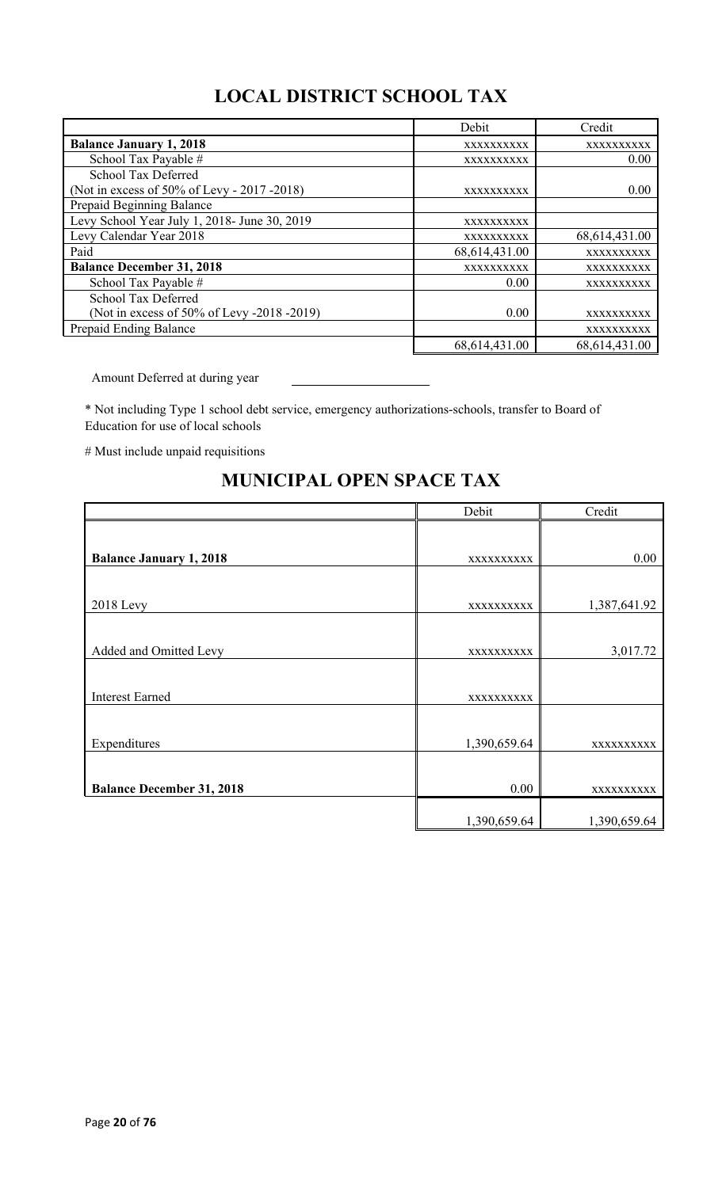# **LOCAL DISTRICT SCHOOL TAX**

|                                              | Debit         | Credit        |
|----------------------------------------------|---------------|---------------|
| <b>Balance January 1, 2018</b>               | XXXXXXXXXX    | XXXXXXXXXX    |
| School Tax Payable #                         | XXXXXXXXXX    | 0.00          |
| School Tax Deferred                          |               |               |
| (Not in excess of 50% of Levy - 2017 - 2018) | XXXXXXXXXX    | 0.00          |
| Prepaid Beginning Balance                    |               |               |
| Levy School Year July 1, 2018- June 30, 2019 | XXXXXXXXXX    |               |
| Levy Calendar Year 2018                      | XXXXXXXXXX    | 68,614,431.00 |
| Paid                                         | 68,614,431.00 | XXXXXXXXXX    |
| <b>Balance December 31, 2018</b>             | XXXXXXXXXX    | XXXXXXXXXX    |
| School Tax Payable #                         | 0.00          | XXXXXXXXXX    |
| School Tax Deferred                          |               |               |
| (Not in excess of 50% of Levy -2018 -2019)   | 0.00          | XXXXXXXXXX    |
| Prepaid Ending Balance                       |               | XXXXXXXXXX    |
|                                              | 68,614,431.00 | 68,614,431.00 |

Amount Deferred at during year

\* Not including Type 1 school debt service, emergency authorizations-schools, transfer to Board of Education for use of local schools

# Must include unpaid requisitions

# Debit Credit **Balance January 1, 2018** xxxxxxxxxx 0.00 2018 Levy xxxxxxxxxx 1,387,641.92 Added and Omitted Levy 2,017.72 Interest Earned xxxxxxxxxx Expenditures  $\vert$  1,390,659.64  $\vert$  xxxxxxxxxxx **Balance December 31, 2018** 0.00 xxxxxxxxxxx 1,390,659.64 1,390,659.64

## **MUNICIPAL OPEN SPACE TAX**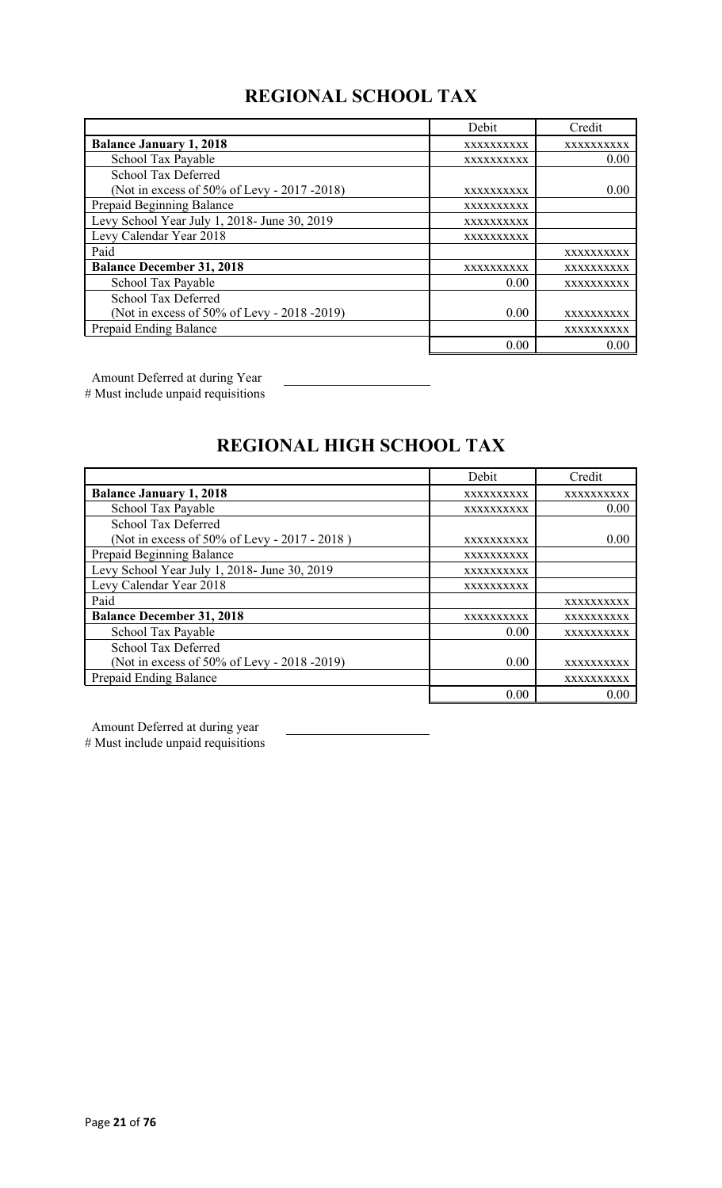# **REGIONAL SCHOOL TAX**

|                                              | Debit      | Credit     |
|----------------------------------------------|------------|------------|
| <b>Balance January 1, 2018</b>               | XXXXXXXXXX | XXXXXXXXXX |
| School Tax Payable                           | XXXXXXXXXX | 0.00       |
| School Tax Deferred                          |            |            |
| (Not in excess of 50% of Levy - 2017 -2018)  | XXXXXXXXXX | 0.00       |
| Prepaid Beginning Balance                    | XXXXXXXXXX |            |
| Levy School Year July 1, 2018- June 30, 2019 | XXXXXXXXXX |            |
| Levy Calendar Year 2018                      | XXXXXXXXXX |            |
| Paid                                         |            | XXXXXXXXXX |
| <b>Balance December 31, 2018</b>             | XXXXXXXXXX | XXXXXXXXXX |
| School Tax Payable                           | 0.00       | XXXXXXXXXX |
| <b>School Tax Deferred</b>                   |            |            |
| (Not in excess of 50% of Levy - 2018 -2019)  | 0.00       | XXXXXXXXXX |
| Prepaid Ending Balance                       |            | XXXXXXXXXX |
|                                              | 0.00       | 0.00       |

Amount Deferred at during Year

# Must include unpaid requisitions

# **REGIONAL HIGH SCHOOL TAX**

|                                              | Debit      | Credit     |
|----------------------------------------------|------------|------------|
| <b>Balance January 1, 2018</b>               | XXXXXXXXXX | XXXXXXXXXX |
| School Tax Payable                           | XXXXXXXXXX | 0.00       |
| School Tax Deferred                          |            |            |
| (Not in excess of 50% of Levy - 2017 - 2018) | XXXXXXXXXX | 0.00       |
| Prepaid Beginning Balance                    | XXXXXXXXXX |            |
| Levy School Year July 1, 2018- June 30, 2019 | XXXXXXXXXX |            |
| Levy Calendar Year 2018                      | XXXXXXXXXX |            |
| Paid                                         |            | XXXXXXXXXX |
| <b>Balance December 31, 2018</b>             | XXXXXXXXXX | XXXXXXXXXX |
| School Tax Payable                           | 0.00       | XXXXXXXXXX |
| <b>School Tax Deferred</b>                   |            |            |
| (Not in excess of 50% of Levy - 2018 -2019)  | 0.00       | XXXXXXXXXX |
| Prepaid Ending Balance                       |            | XXXXXXXXXX |
|                                              | 0.00       | 0.00       |

Amount Deferred at during year

# Must include unpaid requisitions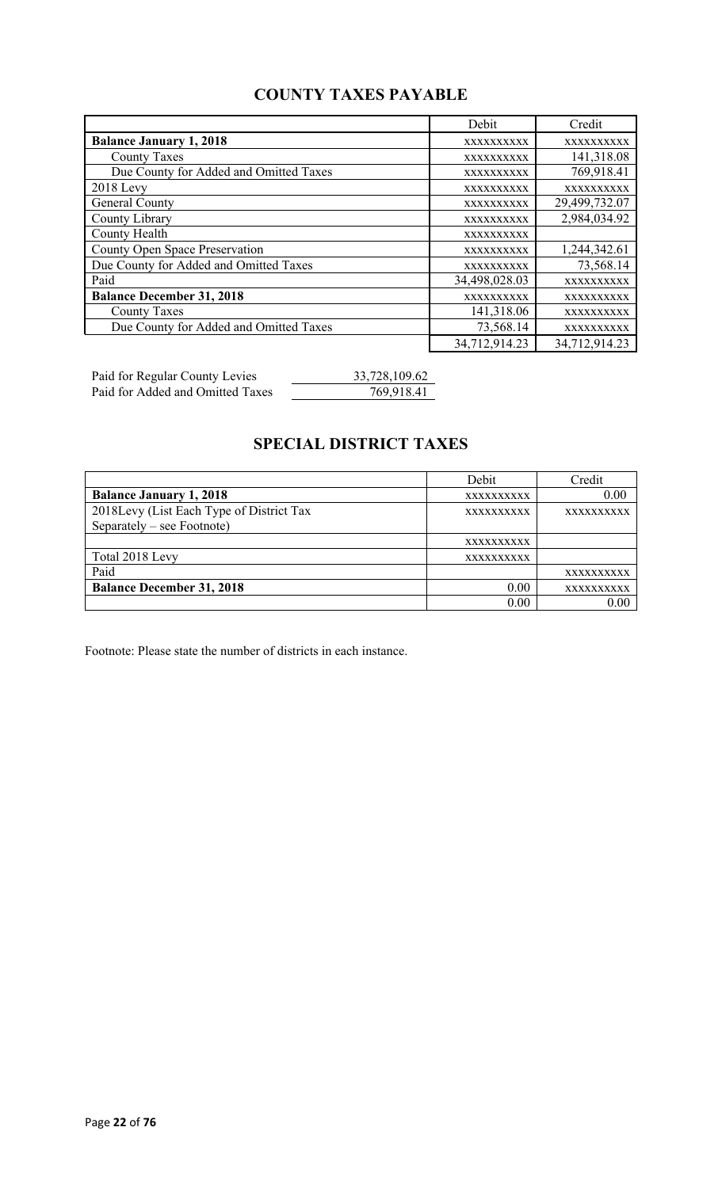## **COUNTY TAXES PAYABLE**

|                                        | Debit             | Credit        |
|----------------------------------------|-------------------|---------------|
| <b>Balance January 1, 2018</b>         | XXXXXXXXXX        | XXXXXXXXXX    |
| <b>County Taxes</b>                    | <b>XXXXXXXXXX</b> | 141,318.08    |
| Due County for Added and Omitted Taxes | XXXXXXXXXX        | 769,918.41    |
| $2018$ Levy                            | XXXXXXXXXX        | XXXXXXXXXX    |
| General County                         | XXXXXXXXXX        | 29,499,732.07 |
| County Library                         | XXXXXXXXXX        | 2,984,034.92  |
| County Health                          | XXXXXXXXXX        |               |
| County Open Space Preservation         | XXXXXXXXXX        | 1,244,342.61  |
| Due County for Added and Omitted Taxes | XXXXXXXXXX        | 73,568.14     |
| Paid                                   | 34,498,028.03     | XXXXXXXXXX    |
| <b>Balance December 31, 2018</b>       | XXXXXXXXXX        | XXXXXXXXXX    |
| <b>County Taxes</b>                    | 141,318.06        | XXXXXXXXXX    |
| Due County for Added and Omitted Taxes | 73,568.14         | XXXXXXXXXX    |
|                                        | 34,712,914.23     | 34,712,914.23 |

Paid for Regular County Levies 33,728,109.62 Paid for Added and Omitted Taxes 769,918.41

## **SPECIAL DISTRICT TAXES**

|                                          | Debit             | Credit     |
|------------------------------------------|-------------------|------------|
| <b>Balance January 1, 2018</b>           | <b>XXXXXXXXXX</b> | 0.00       |
| 2018Levy (List Each Type of District Tax | <b>XXXXXXXXXX</b> | XXXXXXXXXX |
| Separately – see Footnote)               |                   |            |
|                                          | XXXXXXXXXX        |            |
| Total 2018 Levy                          | <b>XXXXXXXXXX</b> |            |
| Paid                                     |                   | XXXXXXXXXX |
| <b>Balance December 31, 2018</b>         | 0.00              | XXXXXXXXXX |
|                                          | 0.00              | 0.00       |

Footnote: Please state the number of districts in each instance.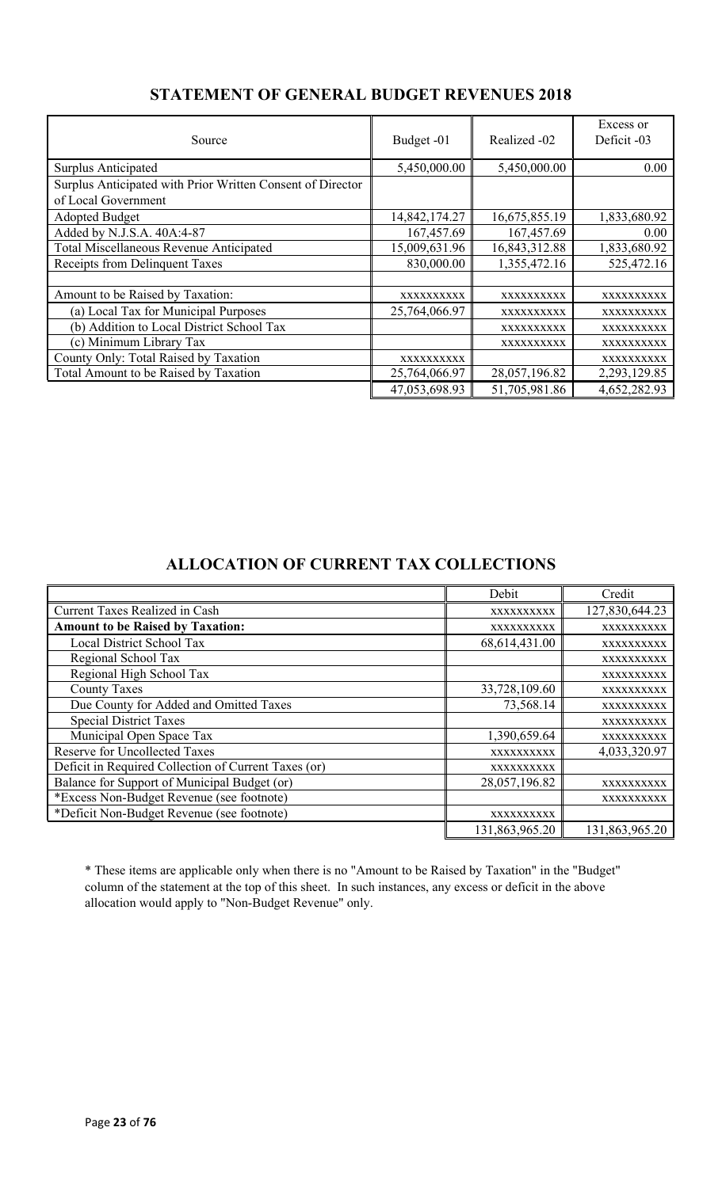| Source                                                     | Budget -01    | Realized -02  | Excess or<br>Deficit -03 |
|------------------------------------------------------------|---------------|---------------|--------------------------|
| Surplus Anticipated                                        | 5,450,000.00  | 5,450,000.00  | 0.00                     |
| Surplus Anticipated with Prior Written Consent of Director |               |               |                          |
| of Local Government                                        |               |               |                          |
| <b>Adopted Budget</b>                                      | 14,842,174.27 | 16,675,855.19 | 1,833,680.92             |
| Added by N.J.S.A. 40A:4-87                                 | 167,457.69    | 167,457.69    | 0.00                     |
| Total Miscellaneous Revenue Anticipated                    | 15,009,631.96 | 16,843,312.88 | 1,833,680.92             |
| Receipts from Delinquent Taxes                             | 830,000.00    | 1,355,472.16  | 525,472.16               |
|                                                            |               |               |                          |
| Amount to be Raised by Taxation:                           | XXXXXXXXXX    | XXXXXXXXXX    | XXXXXXXXXX               |
| (a) Local Tax for Municipal Purposes                       | 25,764,066.97 | XXXXXXXXXX    | XXXXXXXXXX               |
| (b) Addition to Local District School Tax                  |               | XXXXXXXXXX    | XXXXXXXXXX               |
| (c) Minimum Library Tax                                    |               | XXXXXXXXXX    | <b>XXXXXXXXXX</b>        |
| County Only: Total Raised by Taxation                      | XXXXXXXXXX    |               | XXXXXXXXXX               |
| Total Amount to be Raised by Taxation                      | 25,764,066.97 | 28,057,196.82 | 2,293,129.85             |
|                                                            | 47,053,698.93 | 51,705,981.86 | 4,652,282.93             |

## **STATEMENT OF GENERAL BUDGET REVENUES 2018**

## **ALLOCATION OF CURRENT TAX COLLECTIONS**

|                                                      | Debit          | Credit         |
|------------------------------------------------------|----------------|----------------|
| <b>Current Taxes Realized in Cash</b>                | XXXXXXXXXX     | 127,830,644.23 |
| <b>Amount to be Raised by Taxation:</b>              | XXXXXXXXXX     | XXXXXXXXXX     |
| Local District School Tax                            | 68,614,431.00  | XXXXXXXXXX     |
| Regional School Tax                                  |                | XXXXXXXXXX     |
| Regional High School Tax                             |                | XXXXXXXXXX     |
| <b>County Taxes</b>                                  | 33,728,109.60  | XXXXXXXXXX     |
| Due County for Added and Omitted Taxes               | 73,568.14      | XXXXXXXXXX     |
| <b>Special District Taxes</b>                        |                | XXXXXXXXXX     |
| Municipal Open Space Tax                             | 1,390,659.64   | XXXXXXXXXX     |
| <b>Reserve for Uncollected Taxes</b>                 | XXXXXXXXXX     | 4,033,320.97   |
| Deficit in Required Collection of Current Taxes (or) | XXXXXXXXXX     |                |
| Balance for Support of Municipal Budget (or)         | 28,057,196.82  | XXXXXXXXXX     |
| *Excess Non-Budget Revenue (see footnote)            |                | XXXXXXXXXX     |
| *Deficit Non-Budget Revenue (see footnote)           | XXXXXXXXXX     |                |
|                                                      | 131,863,965.20 | 131,863,965.20 |

\* These items are applicable only when there is no "Amount to be Raised by Taxation" in the "Budget" column of the statement at the top of this sheet. In such instances, any excess or deficit in the above allocation would apply to "Non-Budget Revenue" only.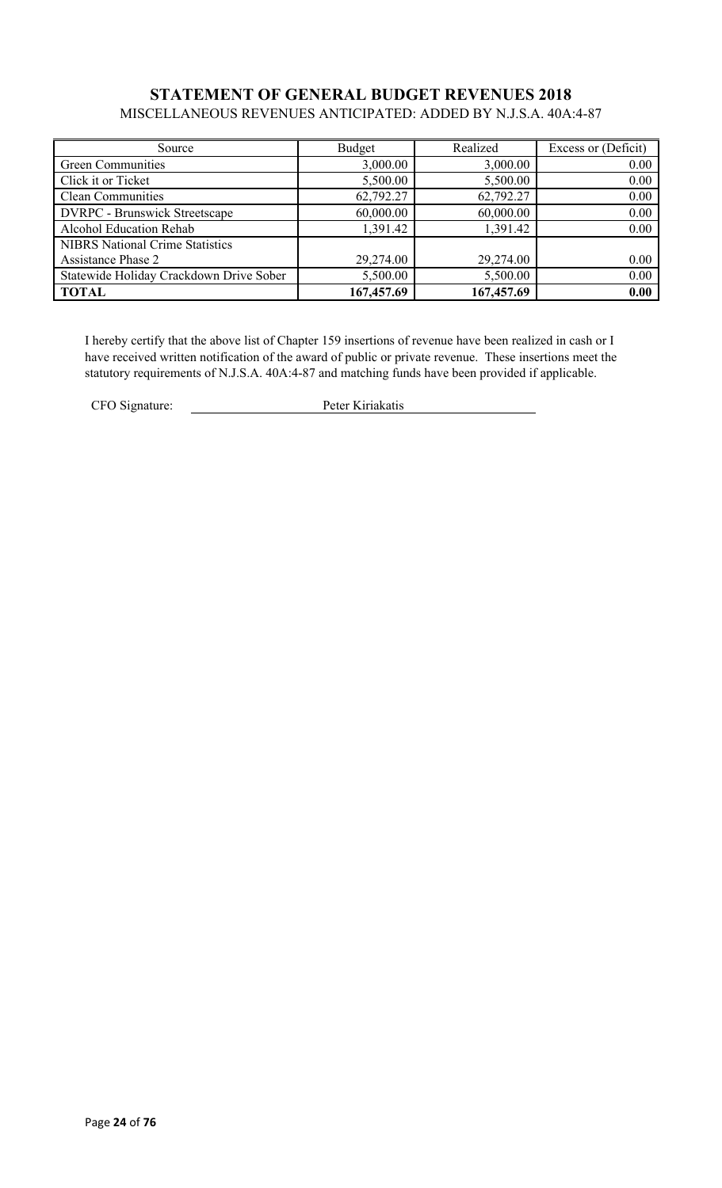#### **STATEMENT OF GENERAL BUDGET REVENUES 2018** MISCELLANEOUS REVENUES ANTICIPATED: ADDED BY N.J.S.A. 40A:4-87

| Source                                  | Budget     | Realized   | Excess or (Deficit) |
|-----------------------------------------|------------|------------|---------------------|
| Green Communities                       | 3,000.00   | 3,000.00   | 0.00                |
| Click it or Ticket                      | 5,500.00   | 5,500.00   | 0.00                |
| <b>Clean Communities</b>                | 62,792.27  | 62,792.27  | 0.00                |
| <b>DVRPC</b> - Brunswick Streetscape    | 60,000.00  | 60,000.00  | 0.00                |
| Alcohol Education Rehab                 | 1,391.42   | 1,391.42   | 0.00                |
| <b>NIBRS</b> National Crime Statistics  |            |            |                     |
| <b>Assistance Phase 2</b>               | 29,274.00  | 29,274.00  | 0.00                |
| Statewide Holiday Crackdown Drive Sober | 5,500.00   | 5,500.00   | 0.00                |
| <b>TOTAL</b>                            | 167,457.69 | 167,457.69 | 0.00                |

I hereby certify that the above list of Chapter 159 insertions of revenue have been realized in cash or I have received written notification of the award of public or private revenue. These insertions meet the statutory requirements of N.J.S.A. 40A:4-87 and matching funds have been provided if applicable.

CFO Signature: Peter Kiriakatis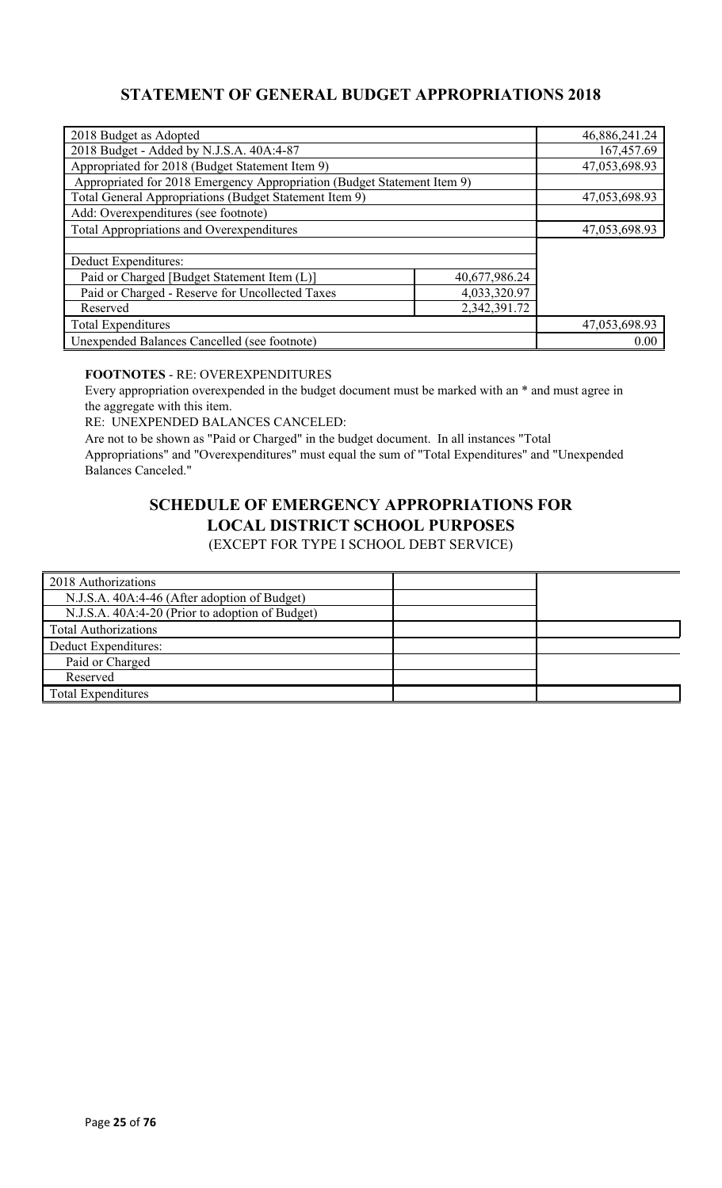## **STATEMENT OF GENERAL BUDGET APPROPRIATIONS 2018**

| 2018 Budget as Adopted                                                  |               | 46,886,241.24 |
|-------------------------------------------------------------------------|---------------|---------------|
| 2018 Budget - Added by N.J.S.A. 40A:4-87                                |               | 167,457.69    |
| Appropriated for 2018 (Budget Statement Item 9)                         |               | 47,053,698.93 |
| Appropriated for 2018 Emergency Appropriation (Budget Statement Item 9) |               |               |
| Total General Appropriations (Budget Statement Item 9)                  |               | 47,053,698.93 |
| Add: Overexpenditures (see footnote)                                    |               |               |
| Total Appropriations and Overexpenditures                               |               | 47,053,698.93 |
|                                                                         |               |               |
| Deduct Expenditures:                                                    |               |               |
| Paid or Charged [Budget Statement Item (L)]                             | 40,677,986.24 |               |
| 4,033,320.97<br>Paid or Charged - Reserve for Uncollected Taxes         |               |               |
| 2,342,391.72<br>Reserved                                                |               |               |
| <b>Total Expenditures</b>                                               |               | 47,053,698.93 |
| Unexpended Balances Cancelled (see footnote)                            |               | 0.00          |

#### **FOOTNOTES** - RE: OVEREXPENDITURES

Every appropriation overexpended in the budget document must be marked with an \* and must agree in the aggregate with this item.

RE: UNEXPENDED BALANCES CANCELED:

Are not to be shown as "Paid or Charged" in the budget document. In all instances "Total Appropriations" and "Overexpenditures" must equal the sum of "Total Expenditures" and "Unexpended Balances Canceled."

# **SCHEDULE OF EMERGENCY APPROPRIATIONS FOR LOCAL DISTRICT SCHOOL PURPOSES**

(EXCEPT FOR TYPE I SCHOOL DEBT SERVICE)

| 2018 Authorizations                             |  |
|-------------------------------------------------|--|
| N.J.S.A. 40A:4-46 (After adoption of Budget)    |  |
| N.J.S.A. 40A:4-20 (Prior to adoption of Budget) |  |
| <b>Total Authorizations</b>                     |  |
| Deduct Expenditures:                            |  |
| Paid or Charged                                 |  |
| Reserved                                        |  |
| <b>Total Expenditures</b>                       |  |
|                                                 |  |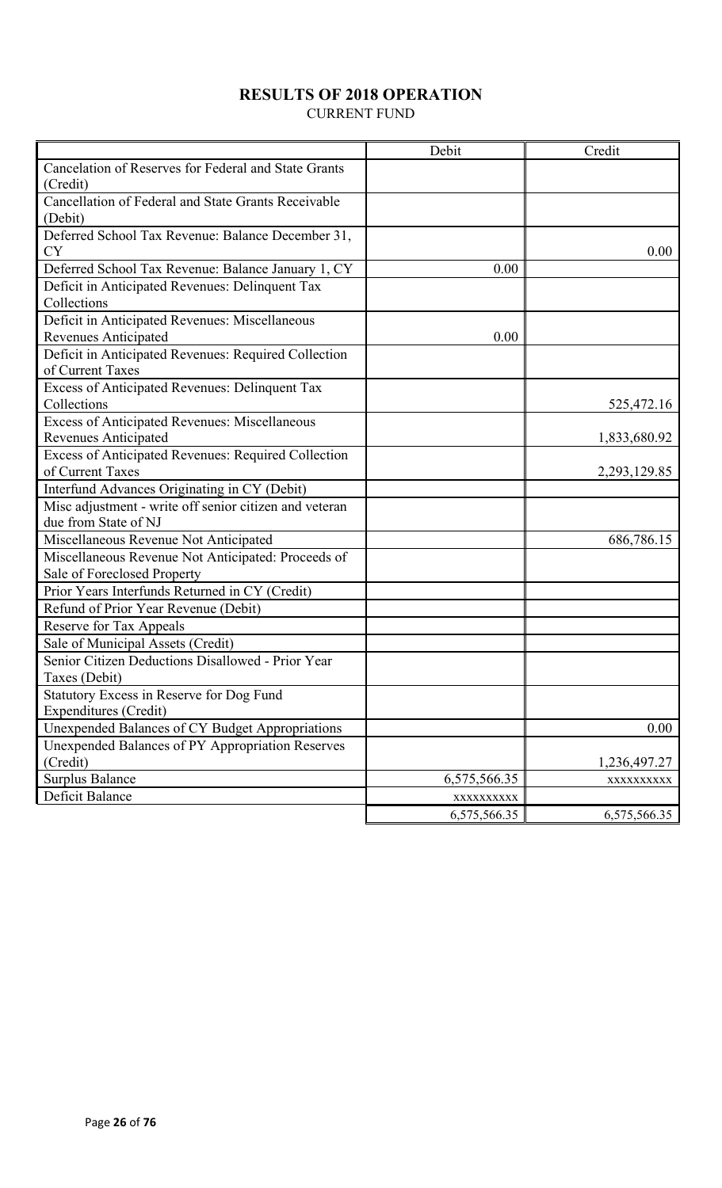## **RESULTS OF 2018 OPERATION**

CURRENT FUND

|                                                        | Debit        | Credit       |
|--------------------------------------------------------|--------------|--------------|
| Cancelation of Reserves for Federal and State Grants   |              |              |
| (Credit)                                               |              |              |
| Cancellation of Federal and State Grants Receivable    |              |              |
| (Debit)                                                |              |              |
| Deferred School Tax Revenue: Balance December 31,      |              |              |
| <b>CY</b>                                              |              | 0.00         |
| Deferred School Tax Revenue: Balance January 1, CY     | 0.00         |              |
| Deficit in Anticipated Revenues: Delinquent Tax        |              |              |
| Collections                                            |              |              |
| Deficit in Anticipated Revenues: Miscellaneous         |              |              |
| Revenues Anticipated                                   | 0.00         |              |
| Deficit in Anticipated Revenues: Required Collection   |              |              |
| of Current Taxes                                       |              |              |
| <b>Excess of Anticipated Revenues: Delinquent Tax</b>  |              |              |
| Collections                                            |              | 525,472.16   |
| <b>Excess of Anticipated Revenues: Miscellaneous</b>   |              |              |
| <b>Revenues Anticipated</b>                            |              | 1,833,680.92 |
| Excess of Anticipated Revenues: Required Collection    |              |              |
| of Current Taxes                                       |              | 2,293,129.85 |
| Interfund Advances Originating in CY (Debit)           |              |              |
| Misc adjustment - write off senior citizen and veteran |              |              |
| due from State of NJ                                   |              |              |
| Miscellaneous Revenue Not Anticipated                  |              | 686,786.15   |
| Miscellaneous Revenue Not Anticipated: Proceeds of     |              |              |
| Sale of Foreclosed Property                            |              |              |
| Prior Years Interfunds Returned in CY (Credit)         |              |              |
| Refund of Prior Year Revenue (Debit)                   |              |              |
| Reserve for Tax Appeals                                |              |              |
| Sale of Municipal Assets (Credit)                      |              |              |
| Senior Citizen Deductions Disallowed - Prior Year      |              |              |
| Taxes (Debit)                                          |              |              |
| Statutory Excess in Reserve for Dog Fund               |              |              |
| Expenditures (Credit)                                  |              |              |
| Unexpended Balances of CY Budget Appropriations        |              | 0.00         |
| Unexpended Balances of PY Appropriation Reserves       |              |              |
| (Credit)                                               |              | 1,236,497.27 |
| <b>Surplus Balance</b>                                 | 6,575,566.35 | XXXXXXXXX    |
| Deficit Balance                                        | XXXXXXXXXX   |              |
|                                                        | 6,575,566.35 | 6,575,566.35 |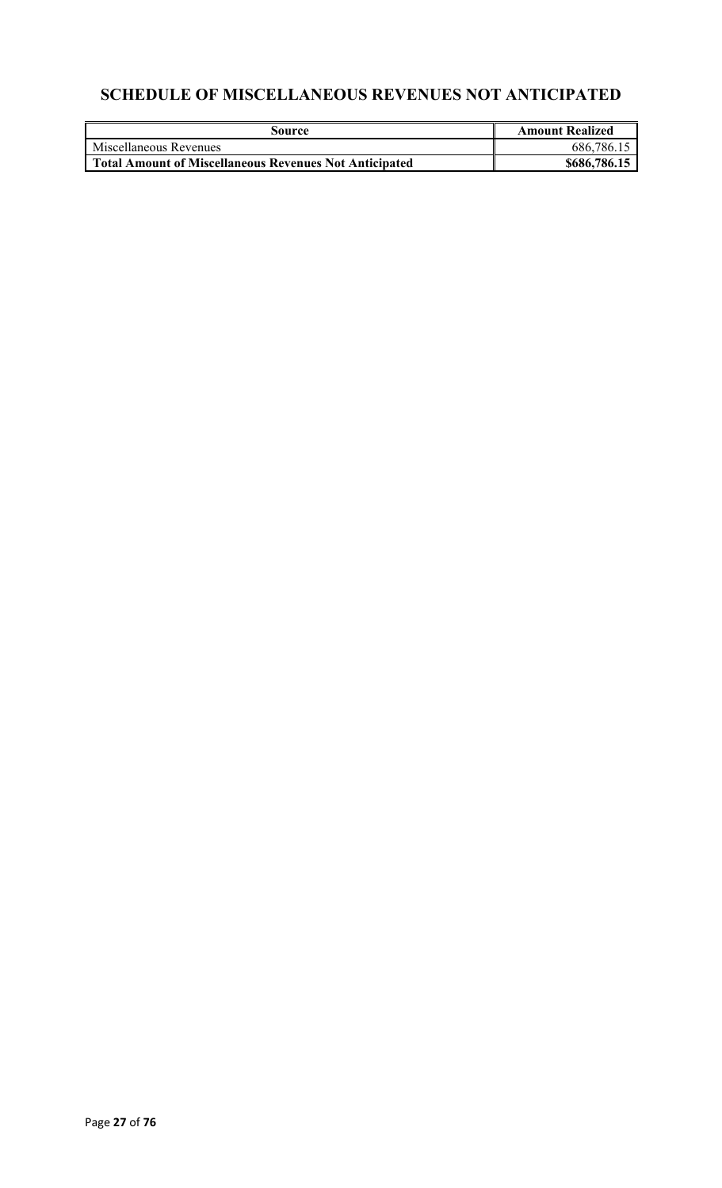# **SCHEDULE OF MISCELLANEOUS REVENUES NOT ANTICIPATED**

| Source                                                        | <b>Amount Realized</b> |
|---------------------------------------------------------------|------------------------|
| Miscellaneous Revenues                                        | 686,786.15             |
| <b>Total Amount of Miscellaneous Revenues Not Anticipated</b> | \$686,786.15           |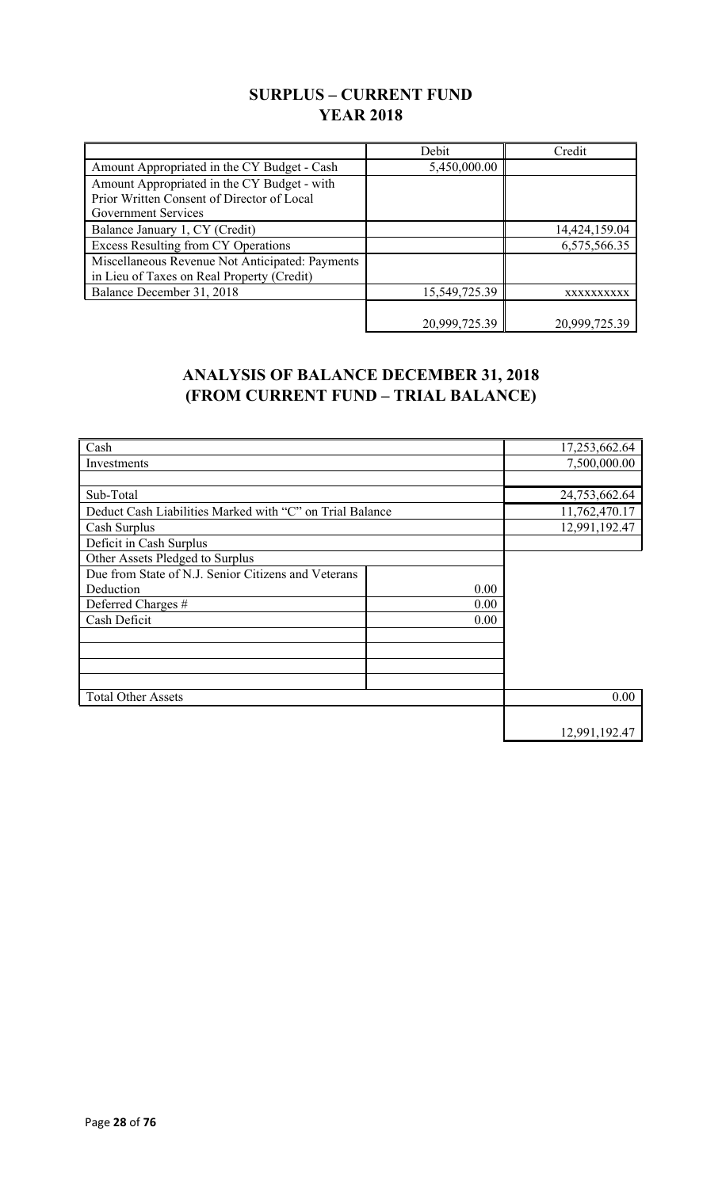## **SURPLUS – CURRENT FUND YEAR 2018**

|                                                 | Debit         | Credit        |
|-------------------------------------------------|---------------|---------------|
| Amount Appropriated in the CY Budget - Cash     | 5,450,000.00  |               |
| Amount Appropriated in the CY Budget - with     |               |               |
| Prior Written Consent of Director of Local      |               |               |
| Government Services                             |               |               |
| Balance January 1, CY (Credit)                  |               | 14,424,159.04 |
| <b>Excess Resulting from CY Operations</b>      |               | 6,575,566.35  |
| Miscellaneous Revenue Not Anticipated: Payments |               |               |
| in Lieu of Taxes on Real Property (Credit)      |               |               |
| Balance December 31, 2018                       | 15,549,725.39 | XXXXXXXXXX    |
|                                                 |               |               |
|                                                 | 20,999,725.39 | 20,999,725.39 |

## **ANALYSIS OF BALANCE DECEMBER 31, 2018 (FROM CURRENT FUND – TRIAL BALANCE)**

| Cash                                                     |      | 17,253,662.64 |
|----------------------------------------------------------|------|---------------|
| Investments                                              |      | 7,500,000.00  |
|                                                          |      |               |
| Sub-Total                                                |      | 24,753,662.64 |
| Deduct Cash Liabilities Marked with "C" on Trial Balance |      | 11,762,470.17 |
| Cash Surplus                                             |      | 12,991,192.47 |
| Deficit in Cash Surplus                                  |      |               |
| Other Assets Pledged to Surplus                          |      |               |
| Due from State of N.J. Senior Citizens and Veterans      |      |               |
| Deduction                                                | 0.00 |               |
| Deferred Charges #                                       | 0.00 |               |
| Cash Deficit                                             | 0.00 |               |
|                                                          |      |               |
|                                                          |      |               |
|                                                          |      |               |
|                                                          |      |               |
| <b>Total Other Assets</b>                                |      | 0.00          |
|                                                          |      |               |
|                                                          |      | 12,991,192.47 |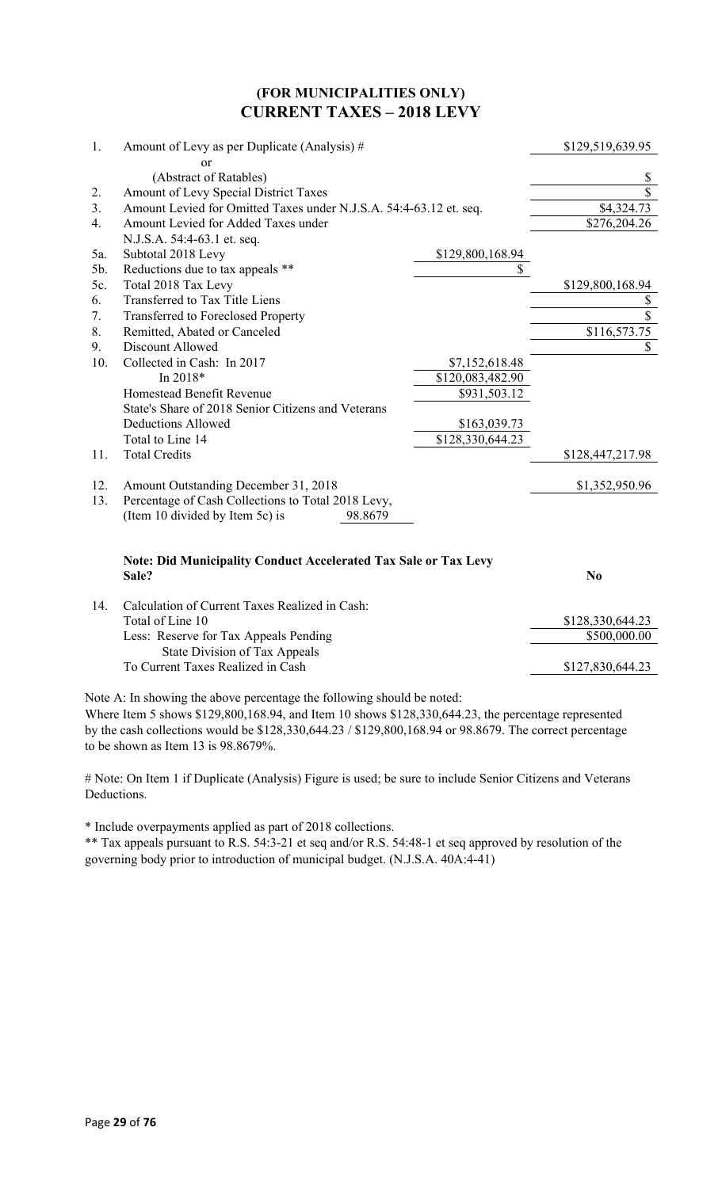### **(FOR MUNICIPALITIES ONLY) CURRENT TAXES – 2018 LEVY**

| 1.  | Amount of Levy as per Duplicate (Analysis) #                                    |                  | \$129,519,639.95 |
|-----|---------------------------------------------------------------------------------|------------------|------------------|
|     | or                                                                              |                  |                  |
|     | (Abstract of Ratables)                                                          |                  | \$               |
| 2.  | Amount of Levy Special District Taxes                                           |                  | \$               |
| 3.  | Amount Levied for Omitted Taxes under N.J.S.A. 54:4-63.12 et. seq.              |                  | \$4,324.73       |
| 4.  | Amount Levied for Added Taxes under                                             |                  | \$276,204.26     |
|     | N.J.S.A. 54:4-63.1 et. seq.                                                     |                  |                  |
| 5a. | Subtotal 2018 Levy                                                              | \$129,800,168.94 |                  |
| 5b. | Reductions due to tax appeals **                                                | \$               |                  |
| 5c. | Total 2018 Tax Levy                                                             |                  | \$129,800,168.94 |
| 6.  | Transferred to Tax Title Liens                                                  |                  | \$               |
| 7.  | <b>Transferred to Foreclosed Property</b>                                       |                  | $\overline{s}$   |
| 8.  | Remitted, Abated or Canceled                                                    |                  | \$116,573.75     |
| 9.  | Discount Allowed                                                                |                  | \$               |
| 10. | Collected in Cash: In 2017                                                      | \$7,152,618.48   |                  |
|     | In 2018*                                                                        | \$120,083,482.90 |                  |
|     | Homestead Benefit Revenue                                                       | \$931,503.12     |                  |
|     | State's Share of 2018 Senior Citizens and Veterans                              |                  |                  |
|     | <b>Deductions Allowed</b>                                                       | \$163,039.73     |                  |
|     | Total to Line 14                                                                | \$128,330,644.23 |                  |
| 11. | <b>Total Credits</b>                                                            |                  | \$128,447,217.98 |
| 12. | Amount Outstanding December 31, 2018                                            |                  | \$1,352,950.96   |
| 13. | Percentage of Cash Collections to Total 2018 Levy,                              |                  |                  |
|     | (Item 10 divided by Item 5c) is<br>98.8679                                      |                  |                  |
|     |                                                                                 |                  |                  |
|     | <b>Note: Did Municipality Conduct Accelerated Tax Sale or Tax Levy</b><br>Sale? |                  | N <sub>0</sub>   |
| 14. | Calculation of Current Taxes Realized in Cash:                                  |                  |                  |
|     | Total of Line $101$                                                             |                  | \$128 330 644 23 |

| Calculation of Current Taxes ixeanzed in Cash. |                  |
|------------------------------------------------|------------------|
| Total of Line 10                               | \$128,330,644.23 |
| Less: Reserve for Tax Appeals Pending          | \$500,000.00     |
| State Division of Tax Appeals                  |                  |
| To Current Taxes Realized in Cash              | \$127,830,644.23 |
|                                                |                  |

Note A: In showing the above percentage the following should be noted:

Where Item 5 shows \$129,800,168.94, and Item 10 shows \$128,330,644.23, the percentage represented by the cash collections would be \$128,330,644.23 / \$129,800,168.94 or 98.8679. The correct percentage to be shown as Item 13 is 98.8679%.

# Note: On Item 1 if Duplicate (Analysis) Figure is used; be sure to include Senior Citizens and Veterans Deductions.

\* Include overpayments applied as part of 2018 collections.

\*\* Tax appeals pursuant to R.S. 54:3-21 et seq and/or R.S. 54:48-1 et seq approved by resolution of the governing body prior to introduction of municipal budget. (N.J.S.A. 40A:4-41)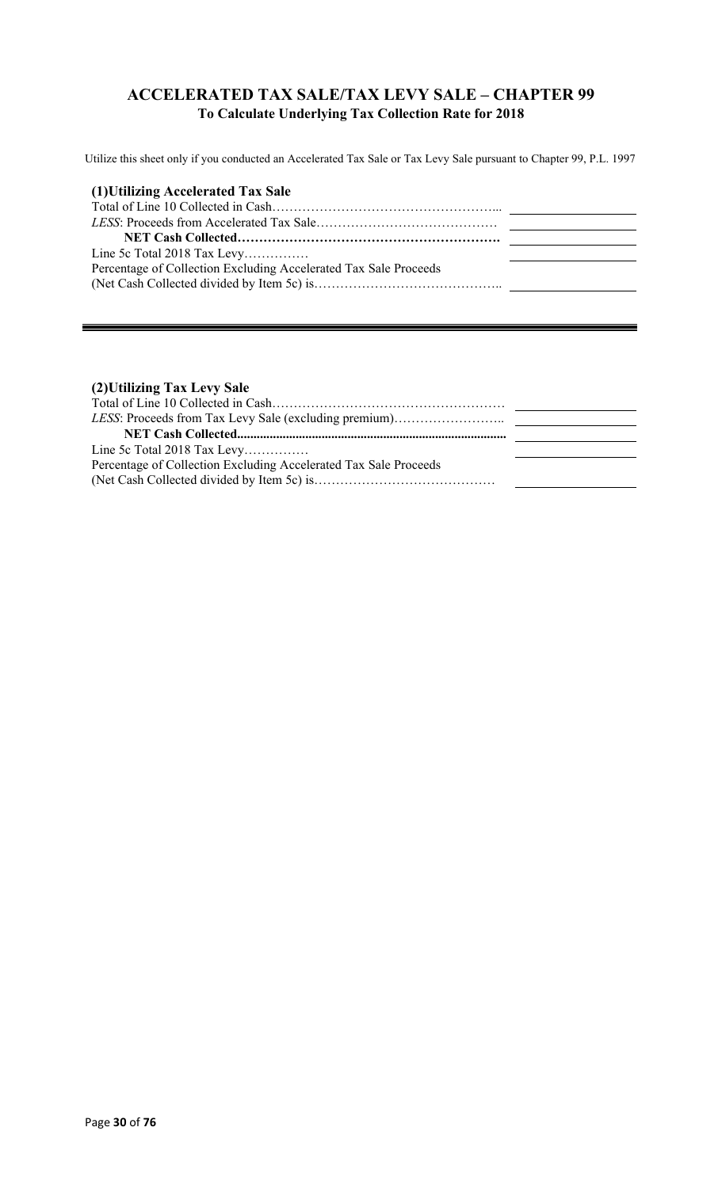## **ACCELERATED TAX SALE/TAX LEVY SALE – CHAPTER 99 To Calculate Underlying Tax Collection Rate for 2018**

Utilize this sheet only if you conducted an Accelerated Tax Sale or Tax Levy Sale pursuant to Chapter 99, P.L. 1997

| (1) Utilizing Accelerated Tax Sale                               |  |
|------------------------------------------------------------------|--|
|                                                                  |  |
|                                                                  |  |
|                                                                  |  |
| Line 5c Total 2018 Tax Levy                                      |  |
| Percentage of Collection Excluding Accelerated Tax Sale Proceeds |  |
|                                                                  |  |

#### **(2)Utilizing Tax Levy Sale**

| Line 5c Total 2018 Tax Levy                                      |  |
|------------------------------------------------------------------|--|
| Percentage of Collection Excluding Accelerated Tax Sale Proceeds |  |
|                                                                  |  |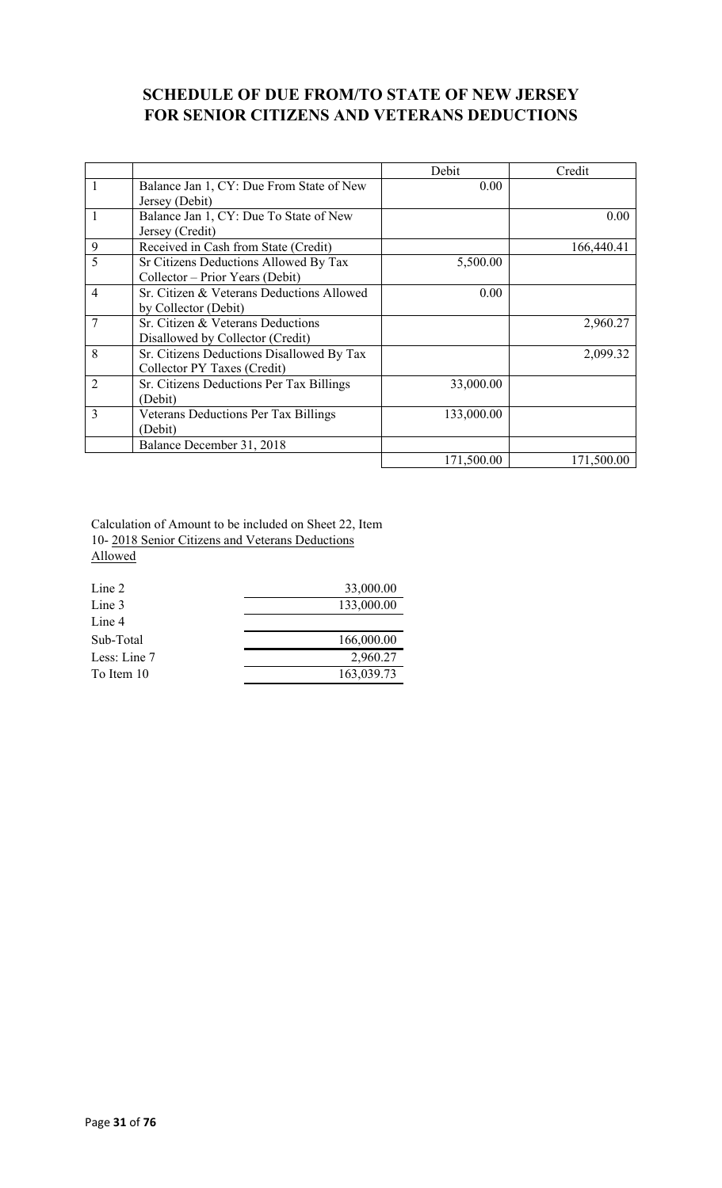## **SCHEDULE OF DUE FROM/TO STATE OF NEW JERSEY FOR SENIOR CITIZENS AND VETERANS DEDUCTIONS**

|                |                                             | Debit      | Credit     |
|----------------|---------------------------------------------|------------|------------|
| $\mathbf{1}$   | Balance Jan 1, CY: Due From State of New    | 0.00       |            |
|                | Jersey (Debit)                              |            |            |
| $\mathbf{1}$   | Balance Jan 1, CY: Due To State of New      |            | 0.00       |
|                | Jersey (Credit)                             |            |            |
| 9              | Received in Cash from State (Credit)        |            | 166,440.41 |
| 5              | Sr Citizens Deductions Allowed By Tax       | 5,500.00   |            |
|                | Collector – Prior Years (Debit)             |            |            |
| $\overline{4}$ | Sr. Citizen & Veterans Deductions Allowed   | 0.00       |            |
|                | by Collector (Debit)                        |            |            |
| 7              | Sr. Citizen & Veterans Deductions           |            | 2,960.27   |
|                | Disallowed by Collector (Credit)            |            |            |
| 8              | Sr. Citizens Deductions Disallowed By Tax   |            | 2,099.32   |
|                | Collector PY Taxes (Credit)                 |            |            |
| $\overline{2}$ | Sr. Citizens Deductions Per Tax Billings    | 33,000.00  |            |
|                | (Debit)                                     |            |            |
| 3              | <b>Veterans Deductions Per Tax Billings</b> | 133,000.00 |            |
|                | (Debit)                                     |            |            |
|                | Balance December 31, 2018                   |            |            |
|                |                                             | 171,500.00 | 171,500.00 |

Calculation of Amount to be included on Sheet 22, Item 10- 2018 Senior Citizens and Veterans Deductions Allowed

| Line 2       | 33,000.00  |
|--------------|------------|
| Line 3       | 133,000.00 |
| Line 4       |            |
| Sub-Total    | 166,000.00 |
| Less: Line 7 | 2,960.27   |
| To Item 10   | 163,039.73 |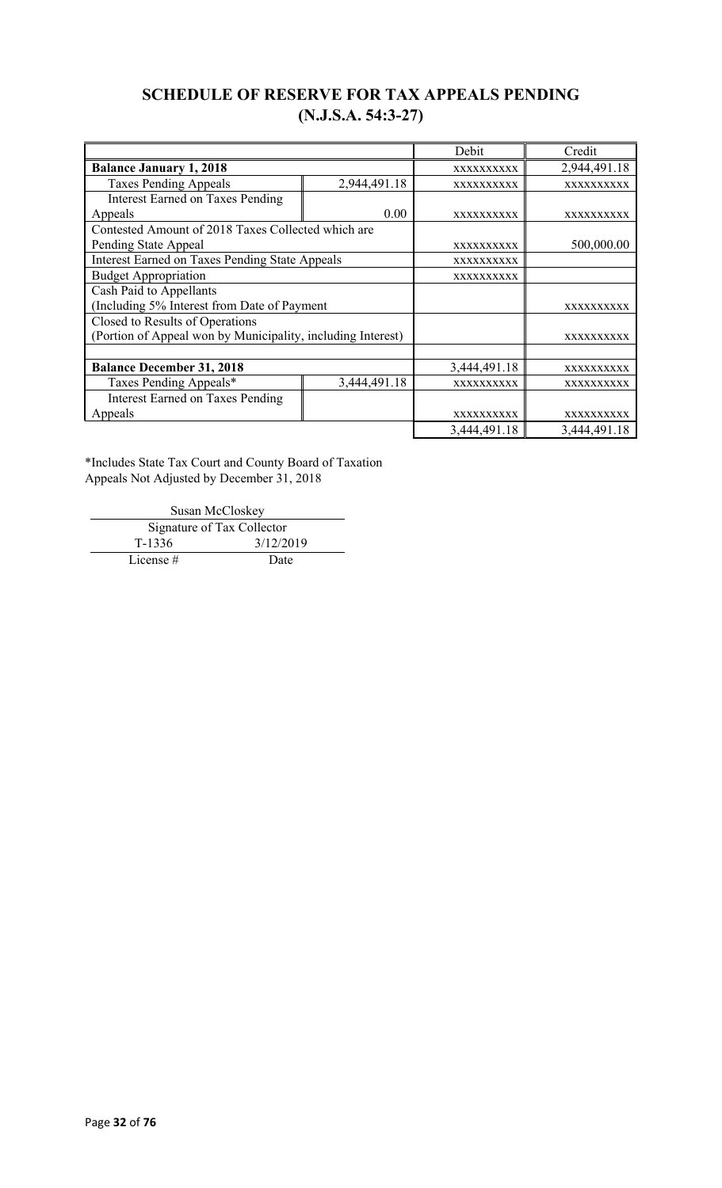## **SCHEDULE OF RESERVE FOR TAX APPEALS PENDING (N.J.S.A. 54:3-27)**

|                                                             |              | Debit             | Credit            |
|-------------------------------------------------------------|--------------|-------------------|-------------------|
| <b>Balance January 1, 2018</b>                              | XXXXXXXXXX   | 2,944,491.18      |                   |
| <b>Taxes Pending Appeals</b>                                | 2,944,491.18 | XXXXXXXXXX        | XXXXXXXXXX        |
| <b>Interest Earned on Taxes Pending</b>                     |              |                   |                   |
| Appeals                                                     | 0.00         | <b>XXXXXXXXXX</b> | XXXXXXXXXX        |
| Contested Amount of 2018 Taxes Collected which are          |              |                   |                   |
| Pending State Appeal                                        |              | XXXXXXXXXX        | 500,000.00        |
| <b>Interest Earned on Taxes Pending State Appeals</b>       |              | XXXXXXXXXX        |                   |
| <b>Budget Appropriation</b>                                 | XXXXXXXXXX   |                   |                   |
| Cash Paid to Appellants                                     |              |                   |                   |
| (Including 5% Interest from Date of Payment                 |              | <b>XXXXXXXXXX</b> |                   |
| Closed to Results of Operations                             |              |                   |                   |
| (Portion of Appeal won by Municipality, including Interest) |              |                   | <b>XXXXXXXXXX</b> |
|                                                             |              |                   |                   |
| <b>Balance December 31, 2018</b>                            |              | 3,444,491.18      | XXXXXXXXXX        |
| Taxes Pending Appeals*                                      | 3,444,491.18 | XXXXXXXXXX        | XXXXXXXXXX        |
| <b>Interest Earned on Taxes Pending</b>                     |              |                   |                   |
| Appeals                                                     |              | <b>XXXXXXXXXX</b> | <b>XXXXXXXXXX</b> |
|                                                             |              | 3,444,491.18      | 3,444,491.18      |

\*Includes State Tax Court and County Board of Taxation Appeals Not Adjusted by December 31, 2018

Susan McCloskey Signature of Tax Collector T-1336 3/12/2019 License # Date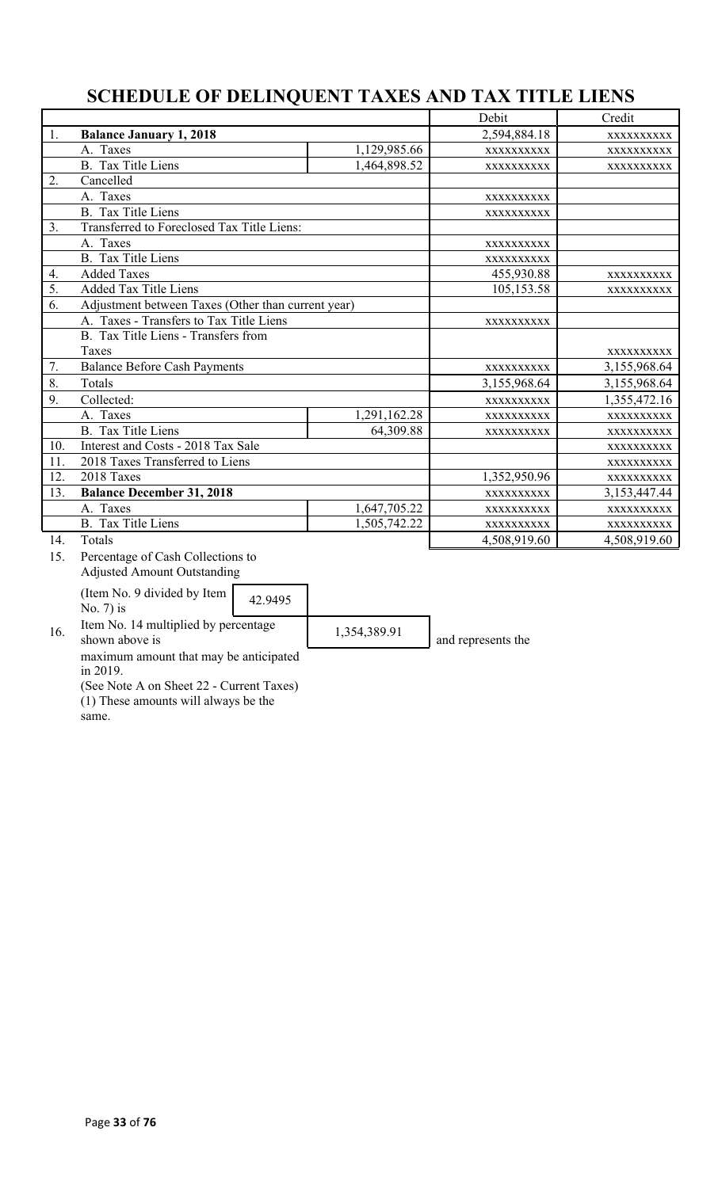# **SCHEDULE OF DELINQUENT TAXES AND TAX TITLE LIENS**

| 1.  | <b>Balance January 1, 2018</b>                                                                                    |              | 2,594,884.18 | XXXXXXXXXX   |
|-----|-------------------------------------------------------------------------------------------------------------------|--------------|--------------|--------------|
|     | A. Taxes                                                                                                          | 1,129,985.66 | XXXXXXXXXX   | XXXXXXXXXX   |
|     | <b>B.</b> Tax Title Liens                                                                                         | 1,464,898.52 | XXXXXXXXXX   | XXXXXXXXX    |
| 2.  | Cancelled                                                                                                         |              |              |              |
|     | A. Taxes                                                                                                          |              | XXXXXXXXXX   |              |
|     | <b>B.</b> Tax Title Liens                                                                                         |              | XXXXXXXXXX   |              |
| 3.  | Transferred to Foreclosed Tax Title Liens:                                                                        |              |              |              |
|     | A. Taxes                                                                                                          |              | XXXXXXXXXX   |              |
|     | <b>B.</b> Tax Title Liens                                                                                         |              | XXXXXXXXXX   |              |
| 4.  | <b>Added Taxes</b>                                                                                                |              | 455,930.88   | XXXXXXXXXX   |
| 5.  | <b>Added Tax Title Liens</b>                                                                                      |              | 105,153.58   | XXXXXXXXXX   |
| 6.  | Adjustment between Taxes (Other than current year)                                                                |              |              |              |
|     | A. Taxes - Transfers to Tax Title Liens                                                                           |              | XXXXXXXXXX   |              |
|     | B. Tax Title Liens - Transfers from                                                                               |              |              |              |
|     | Taxes                                                                                                             |              |              | XXXXXXXXXX   |
| 7.  | <b>Balance Before Cash Payments</b>                                                                               |              | XXXXXXXXXX   | 3,155,968.64 |
| 8.  | Totals                                                                                                            |              | 3,155,968.64 | 3,155,968.64 |
| 9.  | Collected:                                                                                                        |              | XXXXXXXXXX   | 1,355,472.16 |
|     | A. Taxes                                                                                                          | 1,291,162.28 | XXXXXXXXXX   | XXXXXXXXXX   |
|     | <b>B.</b> Tax Title Liens                                                                                         | 64,309.88    | XXXXXXXXXX   | XXXXXXXXXX   |
| 10. | Interest and Costs - 2018 Tax Sale                                                                                |              |              | XXXXXXXXXX   |
| 11. | 2018 Taxes Transferred to Liens                                                                                   |              |              | XXXXXXXXXX   |
| 12. | 2018 Taxes                                                                                                        |              | 1,352,950.96 | XXXXXXXXXX   |
| 13. | <b>Balance December 31, 2018</b>                                                                                  |              | XXXXXXXXXX   | 3,153,447.44 |
|     | A. Taxes                                                                                                          | 1,647,705.22 | XXXXXXXXXX   | XXXXXXXXXX   |
|     | B. Tax Title Liens                                                                                                | 1,505,742.22 | XXXXXXXXXX   | XXXXXXXXXX   |
| 14. | Totals                                                                                                            |              | 4,508,919.60 | 4,508,919.60 |
| 15. | Percentage of Cash Collections to<br><b>Adjusted Amount Outstanding</b><br>(Item No. 9 divided by Item<br>12.0105 |              |              |              |

No. 7) is  $42.9495$ 

16. Item No. 14 multiplied by percentage<br>shown above is

 $\left| \frac{1,354,389.91}{2} \right|$  and represents the

maximum amount that may be anticipated in 2019.

(See Note A on Sheet 22 - Current Taxes) (1) These amounts will always be the

same.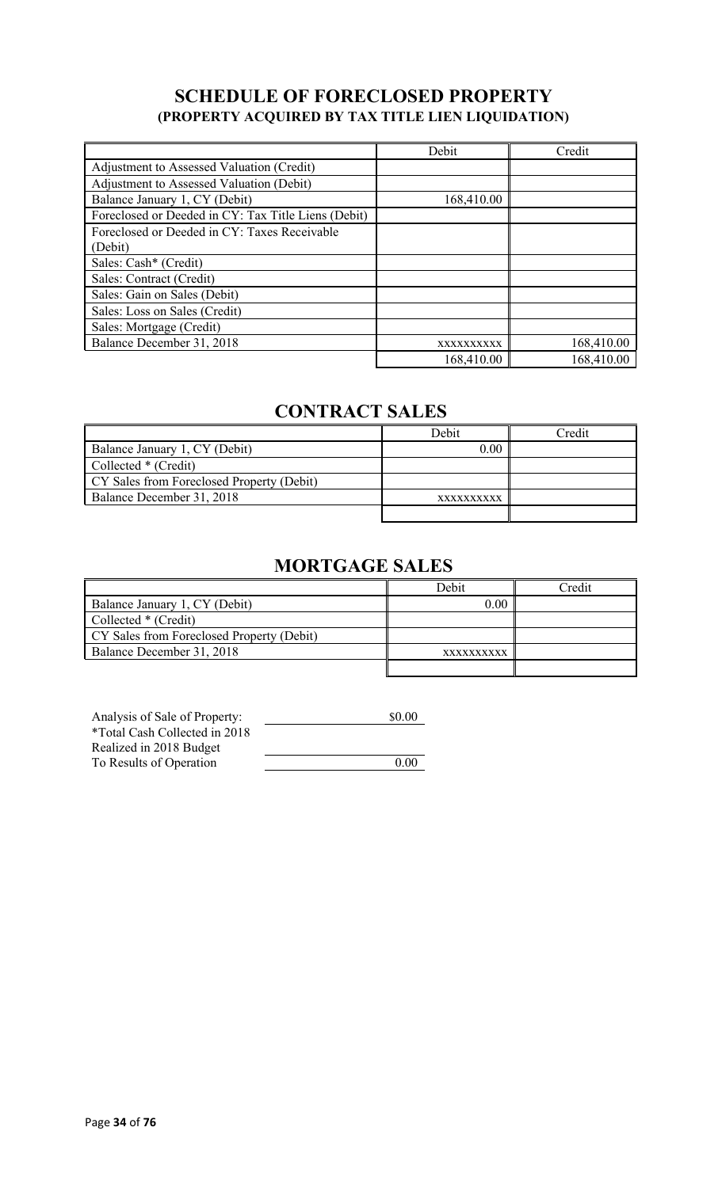## **SCHEDULE OF FORECLOSED PROPERTY (PROPERTY ACQUIRED BY TAX TITLE LIEN LIQUIDATION)**

|                                                     | Debit      | Credit     |
|-----------------------------------------------------|------------|------------|
| Adjustment to Assessed Valuation (Credit)           |            |            |
| Adjustment to Assessed Valuation (Debit)            |            |            |
| Balance January 1, CY (Debit)                       | 168,410.00 |            |
| Foreclosed or Deeded in CY: Tax Title Liens (Debit) |            |            |
| Foreclosed or Deeded in CY: Taxes Receivable        |            |            |
| (Debit)                                             |            |            |
| Sales: Cash* (Credit)                               |            |            |
| Sales: Contract (Credit)                            |            |            |
| Sales: Gain on Sales (Debit)                        |            |            |
| Sales: Loss on Sales (Credit)                       |            |            |
| Sales: Mortgage (Credit)                            |            |            |
| Balance December 31, 2018                           | XXXXXXXXXX | 168,410.00 |
|                                                     | 168,410.00 | 168,410.00 |

# **CONTRACT SALES**

|                                           | Debit      | Credit |
|-------------------------------------------|------------|--------|
| Balance January 1, CY (Debit)             | 0.00       |        |
| Collected * (Credit)                      |            |        |
| CY Sales from Foreclosed Property (Debit) |            |        |
| Balance December 31, 2018                 | XXXXXXXXXX |        |
|                                           |            |        |

# **MORTGAGE SALES**

|                                           | Debit      | ⊡redit |
|-------------------------------------------|------------|--------|
| Balance January 1, CY (Debit)             | 0.00       |        |
| Collected * (Credit)                      |            |        |
| CY Sales from Foreclosed Property (Debit) |            |        |
| Balance December 31, 2018                 | XXXXXXXXXX |        |
|                                           |            |        |

| Analysis of Sale of Property: | \$0.00 |
|-------------------------------|--------|
| *Total Cash Collected in 2018 |        |
| Realized in 2018 Budget       |        |
| To Results of Operation       | 0.00   |
|                               |        |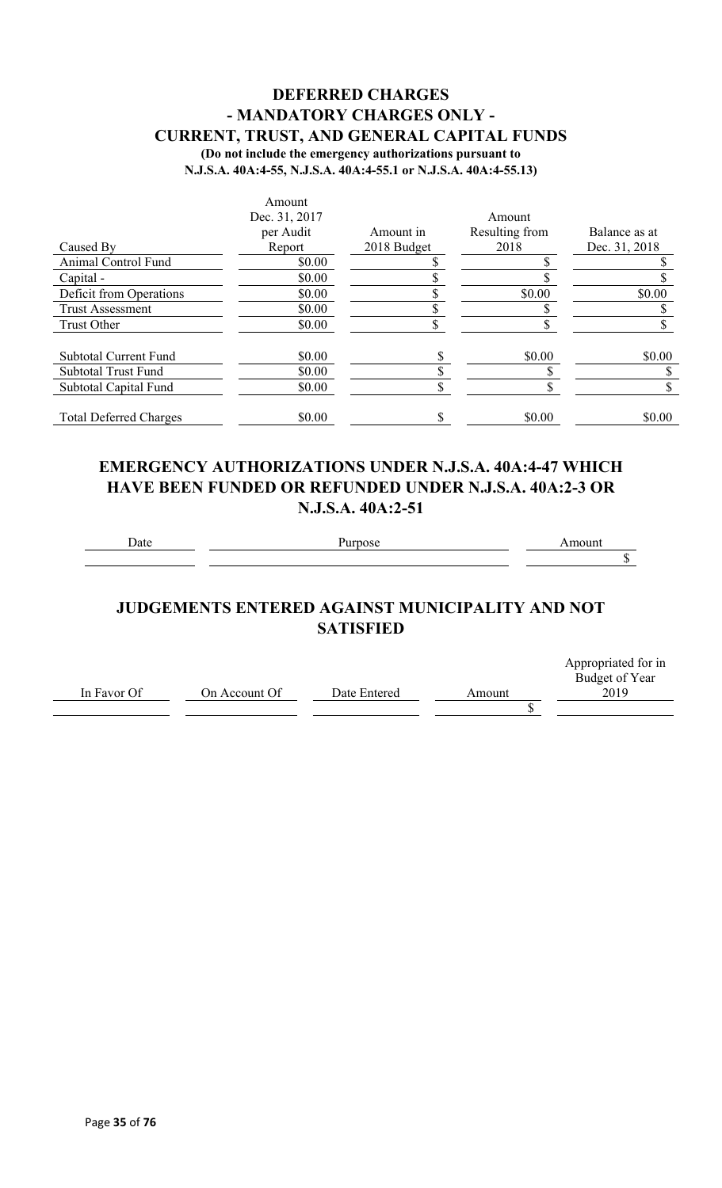## **DEFERRED CHARGES - MANDATORY CHARGES ONLY - CURRENT, TRUST, AND GENERAL CAPITAL FUNDS (Do not include the emergency authorizations pursuant to**

**N.J.S.A. 40A:4-55, N.J.S.A. 40A:4-55.1 or N.J.S.A. 40A:4-55.13)**

|                               | Amount        |             |                |               |
|-------------------------------|---------------|-------------|----------------|---------------|
|                               | Dec. 31, 2017 |             | Amount         |               |
|                               | per Audit     | Amount in   | Resulting from | Balance as at |
| Caused By                     | Report        | 2018 Budget | 2018           | Dec. 31, 2018 |
| Animal Control Fund           | \$0.00        |             |                |               |
| Capital -                     | \$0.00        |             |                |               |
| Deficit from Operations       | \$0.00        |             | \$0.00         | \$0.00        |
| <b>Trust Assessment</b>       | \$0.00        |             |                |               |
| Trust Other                   | \$0.00        |             |                |               |
| <b>Subtotal Current Fund</b>  | \$0.00        |             | \$0.00         | \$0.00        |
| <b>Subtotal Trust Fund</b>    | \$0.00        |             |                |               |
| Subtotal Capital Fund         | \$0.00        |             |                |               |
| <b>Total Deferred Charges</b> | \$0.00        |             | \$0.00         | \$0.00        |

## **EMERGENCY AUTHORIZATIONS UNDER N.J.S.A. 40A:4-47 WHICH HAVE BEEN FUNDED OR REFUNDED UNDER N.J.S.A. 40A:2-3 OR N.J.S.A. 40A:2-51**

Date Purpose **Purpose** Amount

 $\overline{\$}$ 

## **JUDGEMENTS ENTERED AGAINST MUNICIPALITY AND NOT SATISFIED**

|             |               |              |        | Appropriated for in |
|-------------|---------------|--------------|--------|---------------------|
|             |               |              |        | Budget of Year      |
| In Favor Of | On Account Of | Date Entered | Amount | 2019                |
|             |               |              |        |                     |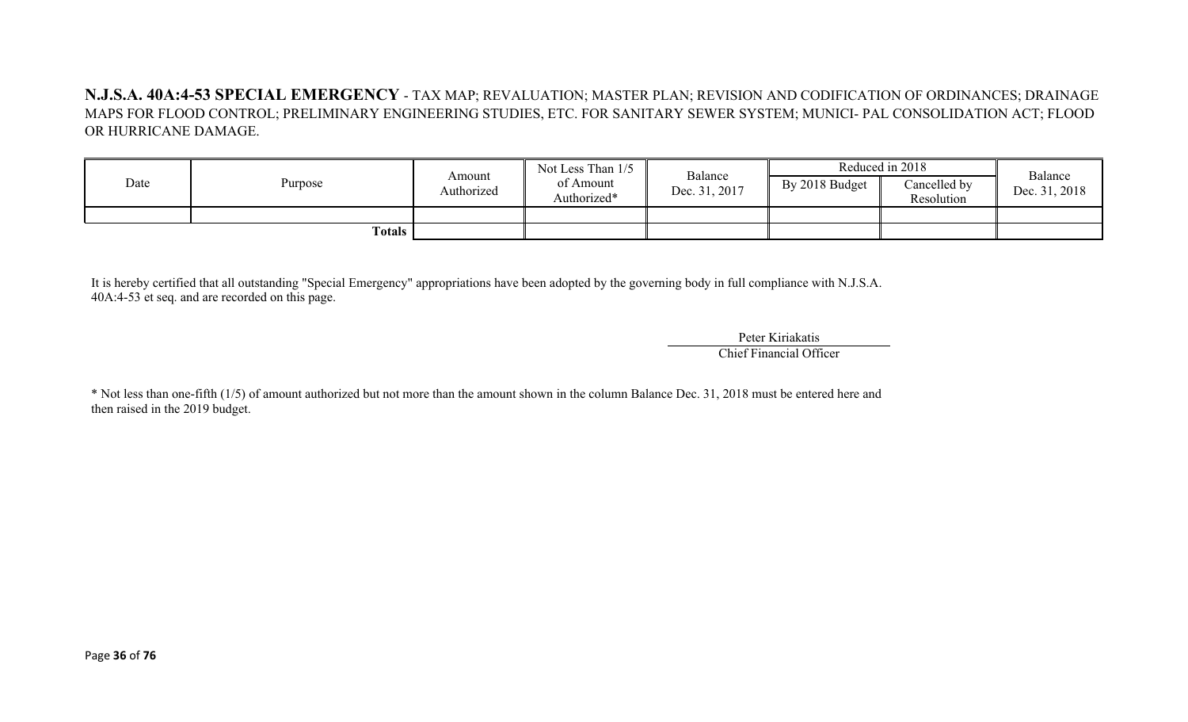**N.J.S.A. 40A:4-53 SPECIAL EMERGENCY** - TAX MAP; REVALUATION; MASTER PLAN; REVISION AND CODIFICATION OF ORDINANCES; DRAINAGE MAPS FOR FLOOD CONTROL; PRELIMINARY ENGINEERING STUDIES, ETC. FOR SANITARY SEWER SYSTEM; MUNICI- PAL CONSOLIDATION ACT; FLOOD OR HURRICANE DAMAGE.

| Date | Purpose | Amount<br>Authorized | Not Less Than 1/5<br>of Amount<br>Authorized* | Balance<br>Dec. 31, 2017 | By 2018 Budget | Reduced in 2018<br>Cancelled by<br>Resolution | Balance<br>Dec. 31, 2018 |
|------|---------|----------------------|-----------------------------------------------|--------------------------|----------------|-----------------------------------------------|--------------------------|
|      | Totals  |                      |                                               |                          |                |                                               |                          |

It is hereby certified that all outstanding "Special Emergency" appropriations have been adopted by the governing body in full compliance with N.J.S.A. 40A:4-53 et seq. and are recorded on this page.

> Peter Kiriakatis Chief Financial Officer

\* Not less than one-fifth (1/5) of amount authorized but not more than the amount shown in the column Balance Dec. 31, 2018 must be entered here and then raised in the 2019 budget.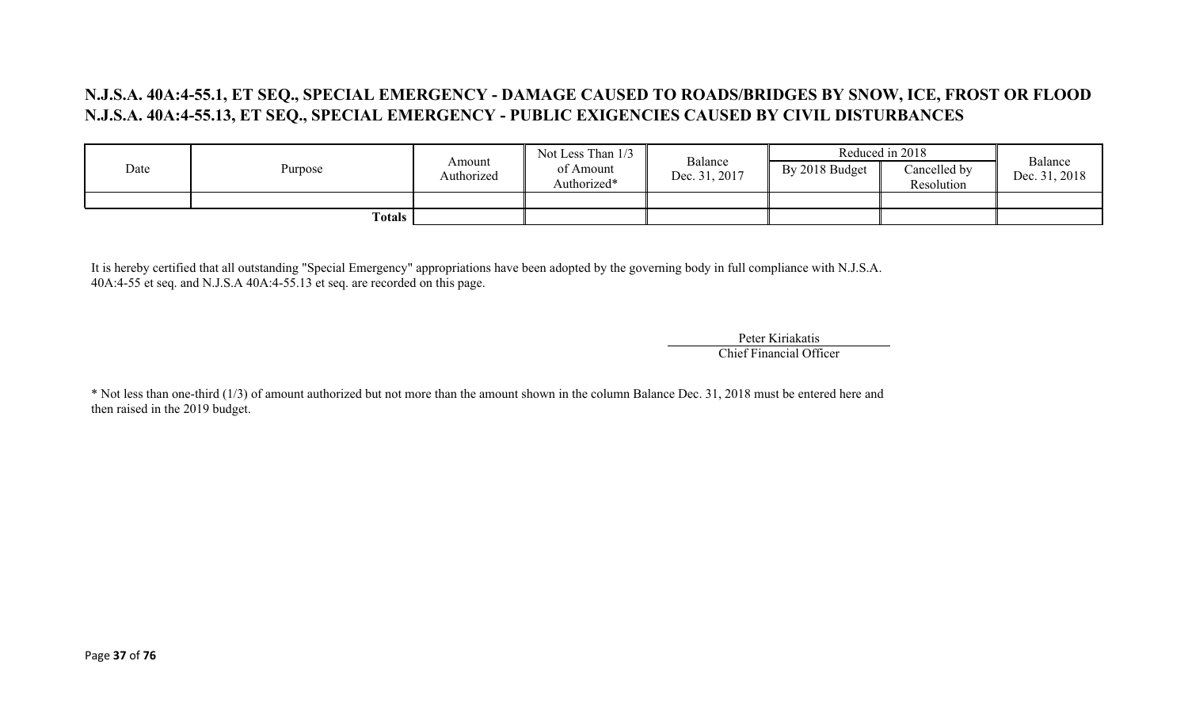## **N.J.S.A. 40A:4-55.1, ET SEQ., SPECIAL EMERGENCY - DAMAGE CAUSED TO ROADS/BRIDGES BY SNOW, ICE, FROST OR FLOOD N.J.S.A. 40A:4-55.13, ET SEQ., SPECIAL EMERGENCY - PUBLIC EXIGENCIES CAUSED BY CIVIL DISTURBANCES**

|      |         |                      | Not Less Than 1/3        |                          |                | Reduced in 2018            | Balance       |
|------|---------|----------------------|--------------------------|--------------------------|----------------|----------------------------|---------------|
| Date | Purpose | Amount<br>Authorized | of Amount<br>Authorized* | Balance<br>Dec. 31, 2017 | By 2018 Budget | Cancelled by<br>Resolution | Dec. 31, 2018 |
|      |         |                      |                          |                          |                |                            |               |
|      | Totals  |                      |                          |                          |                |                            |               |

It is hereby certified that all outstanding "Special Emergency" appropriations have been adopted by the governing body in full compliance with N.J.S.A. 40A:4-55 et seq. and N.J.S.A 40A:4-55.13 et seq. are recorded on this page.

> Peter Kiriakatis Chief Financial Officer

\* Not less than one-third (1/3) of amount authorized but not more than the amount shown in the column Balance Dec. 31, 2018 must be entered here and then raised in the 2019 budget.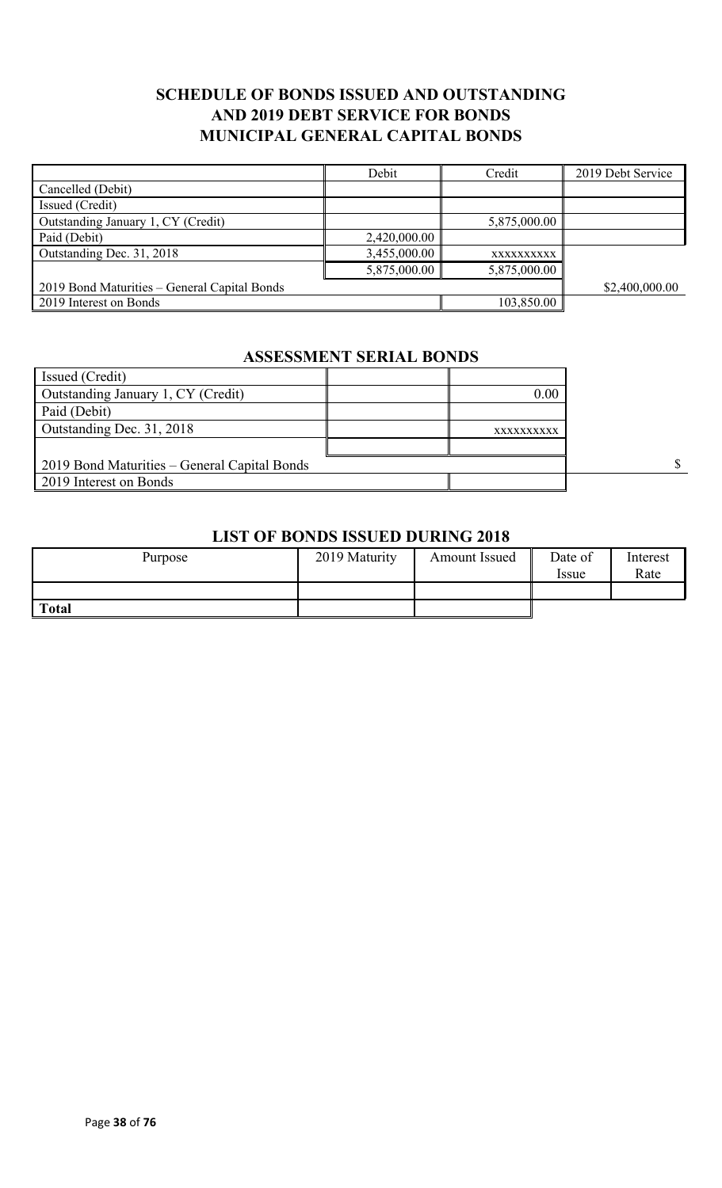## **SCHEDULE OF BONDS ISSUED AND OUTSTANDING AND 2019 DEBT SERVICE FOR BONDS MUNICIPAL GENERAL CAPITAL BONDS**

|                                              | Debit        | Credit       | 2019 Debt Service |
|----------------------------------------------|--------------|--------------|-------------------|
| Cancelled (Debit)                            |              |              |                   |
| Issued (Credit)                              |              |              |                   |
| Outstanding January 1, CY (Credit)           |              | 5,875,000.00 |                   |
| Paid (Debit)                                 | 2,420,000.00 |              |                   |
| Outstanding Dec. 31, 2018                    | 3,455,000.00 | XXXXXXXXXX   |                   |
|                                              | 5,875,000.00 | 5,875,000.00 |                   |
| 2019 Bond Maturities – General Capital Bonds |              |              | \$2,400,000.00    |
| 2019 Interest on Bonds                       |              | 103,850.00   |                   |

# **ASSESSMENT SERIAL BONDS**

| Issued (Credit)                              |            |  |
|----------------------------------------------|------------|--|
| Outstanding January 1, CY (Credit)           | 0.00       |  |
| Paid (Debit)                                 |            |  |
| Outstanding Dec. 31, 2018                    | XXXXXXXXXX |  |
|                                              |            |  |
| 2019 Bond Maturities – General Capital Bonds |            |  |
| 2019 Interest on Bonds                       |            |  |

#### **LIST OF BONDS ISSUED DURING 2018**

| Purpose      | 2019 Maturity | Amount Issued | Date of<br>Issue | Interest<br>Rate |
|--------------|---------------|---------------|------------------|------------------|
|              |               |               |                  |                  |
| <b>Total</b> |               |               |                  |                  |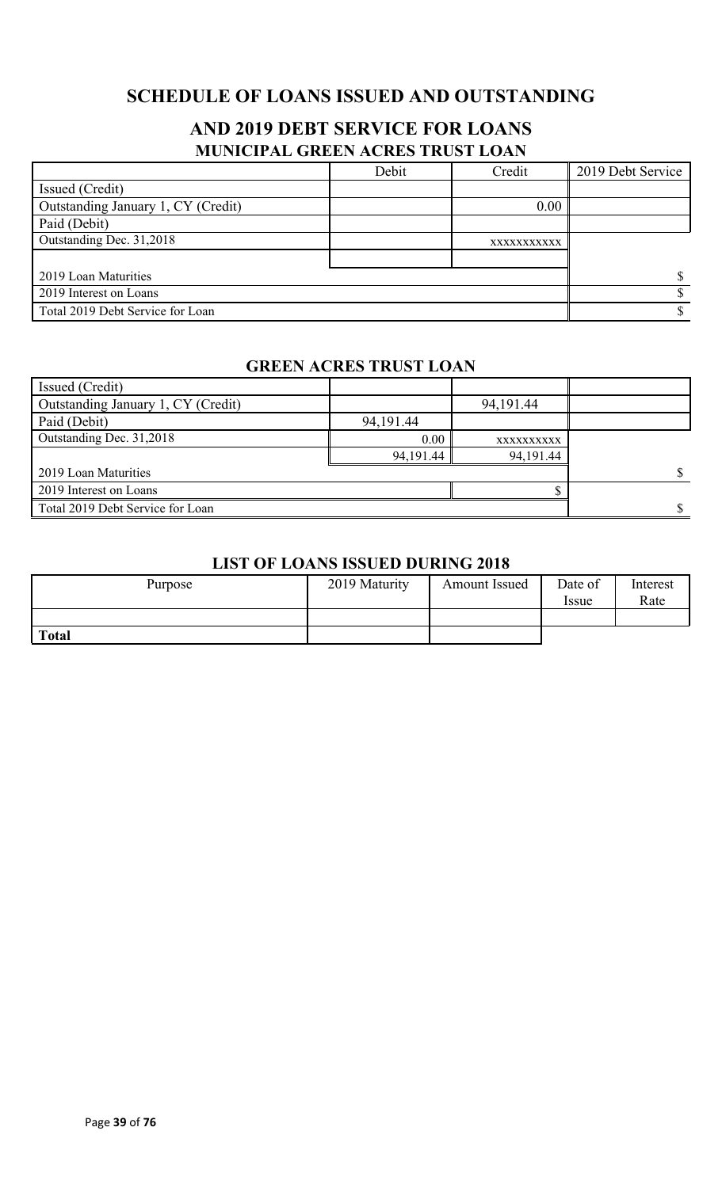# **SCHEDULE OF LOANS ISSUED AND OUTSTANDING**

# **AND 2019 DEBT SERVICE FOR LOANS MUNICIPAL GREEN ACRES TRUST LOAN**

|                                    | Debit | Credit      | 2019 Debt Service |
|------------------------------------|-------|-------------|-------------------|
| Issued (Credit)                    |       |             |                   |
| Outstanding January 1, CY (Credit) |       | 0.00        |                   |
| Paid (Debit)                       |       |             |                   |
| Outstanding Dec. 31,2018           |       | XXXXXXXXXXX |                   |
|                                    |       |             |                   |
| 2019 Loan Maturities               |       |             |                   |
| 2019 Interest on Loans             |       |             |                   |
| Total 2019 Debt Service for Loan   |       |             |                   |

### **GREEN ACRES TRUST LOAN**

| Issued (Credit)                    |           |            |  |
|------------------------------------|-----------|------------|--|
| Outstanding January 1, CY (Credit) |           | 94,191.44  |  |
| Paid (Debit)                       | 94,191.44 |            |  |
| Outstanding Dec. 31,2018           | 0.00      | XXXXXXXXXX |  |
|                                    | 94,191.44 | 94,191.44  |  |
| 2019 Loan Maturities               |           |            |  |
| 2019 Interest on Loans             |           |            |  |
| Total 2019 Debt Service for Loan   |           |            |  |

### **LIST OF LOANS ISSUED DURING 2018**

| Purpose      | 2019 Maturity | <b>Amount Issued</b> | Date of<br><i>Issue</i> | Interest<br>Rate |
|--------------|---------------|----------------------|-------------------------|------------------|
|              |               |                      |                         |                  |
| <b>Total</b> |               |                      |                         |                  |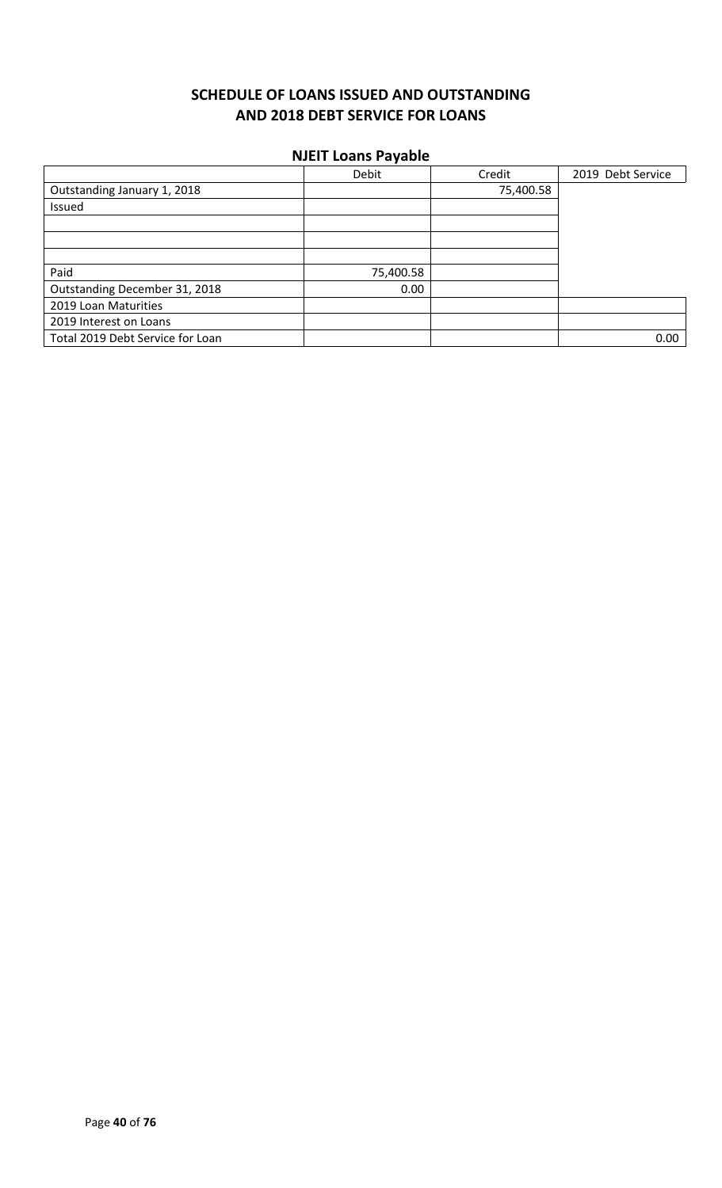# **SCHEDULE OF LOANS ISSUED AND OUTSTANDING AND 2018 DEBT SERVICE FOR LOANS**

#### **NJEIT Loans Payable**

|                                  | Debit     | Credit    | 2019 Debt Service |
|----------------------------------|-----------|-----------|-------------------|
| Outstanding January 1, 2018      |           | 75,400.58 |                   |
| Issued                           |           |           |                   |
|                                  |           |           |                   |
|                                  |           |           |                   |
|                                  |           |           |                   |
| Paid                             | 75,400.58 |           |                   |
| Outstanding December 31, 2018    | 0.00      |           |                   |
| 2019 Loan Maturities             |           |           |                   |
| 2019 Interest on Loans           |           |           |                   |
| Total 2019 Debt Service for Loan |           |           | 0.00              |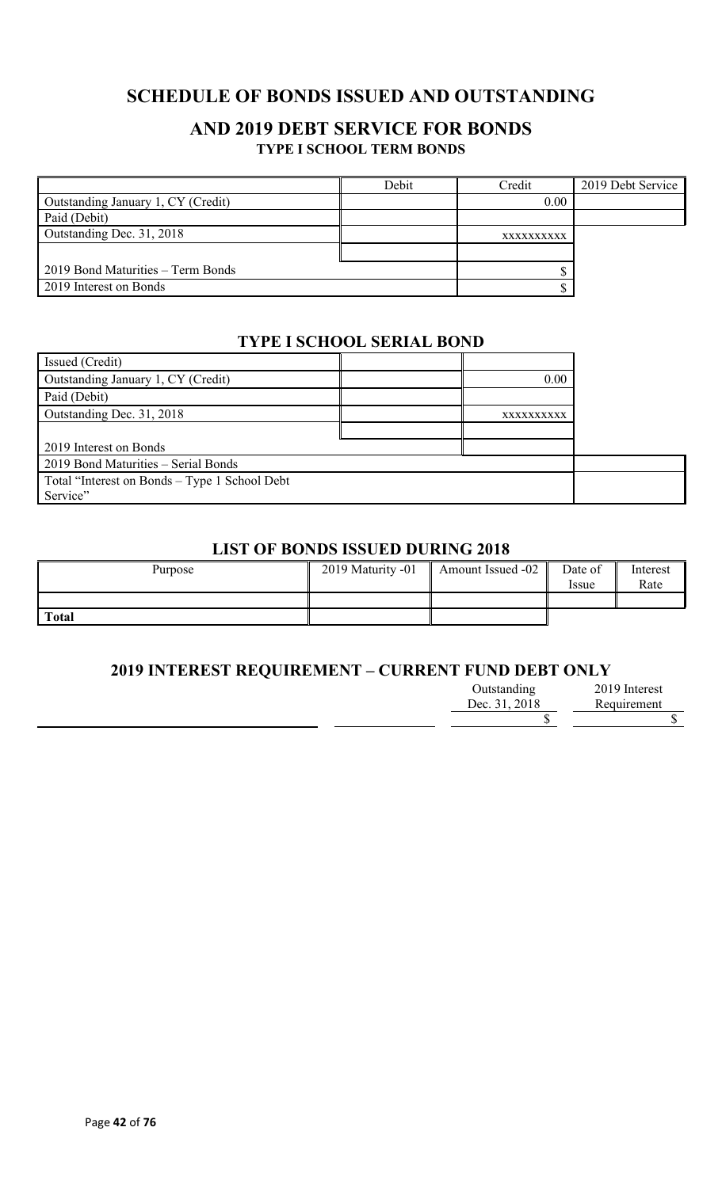# **SCHEDULE OF BONDS ISSUED AND OUTSTANDING**

### **AND 2019 DEBT SERVICE FOR BONDS TYPE I SCHOOL TERM BONDS**

|                                    | Debit | Credit     | 2019 Debt Service |
|------------------------------------|-------|------------|-------------------|
| Outstanding January 1, CY (Credit) |       | 0.00       |                   |
| Paid (Debit)                       |       |            |                   |
| Outstanding Dec. 31, 2018          |       | XXXXXXXXXX |                   |
|                                    |       |            |                   |
| 2019 Bond Maturities – Term Bonds  |       |            |                   |
| 2019 Interest on Bonds             |       |            |                   |

### **TYPE I SCHOOL SERIAL BOND**

| Issued (Credit)                               |            |  |
|-----------------------------------------------|------------|--|
| Outstanding January 1, CY (Credit)            | 0.00       |  |
| Paid (Debit)                                  |            |  |
| Outstanding Dec. 31, 2018                     | XXXXXXXXXX |  |
|                                               |            |  |
| 2019 Interest on Bonds                        |            |  |
| 2019 Bond Maturities - Serial Bonds           |            |  |
| Total "Interest on Bonds – Type 1 School Debt |            |  |
| Service"                                      |            |  |

### **LIST OF BONDS ISSUED DURING 2018**

| Purpose      | 2019 Maturity -01 | Amount Issued -02 | Date of<br><i>ssue</i> | Interest<br>Rate |
|--------------|-------------------|-------------------|------------------------|------------------|
|              |                   |                   |                        |                  |
| <b>Total</b> |                   |                   |                        |                  |

### **2019 INTEREST REQUIREMENT – CURRENT FUND DEBT ONLY**

| Outstanding   | 2019 Interest |
|---------------|---------------|
| Dec. 31, 2018 | Requirement   |
|               |               |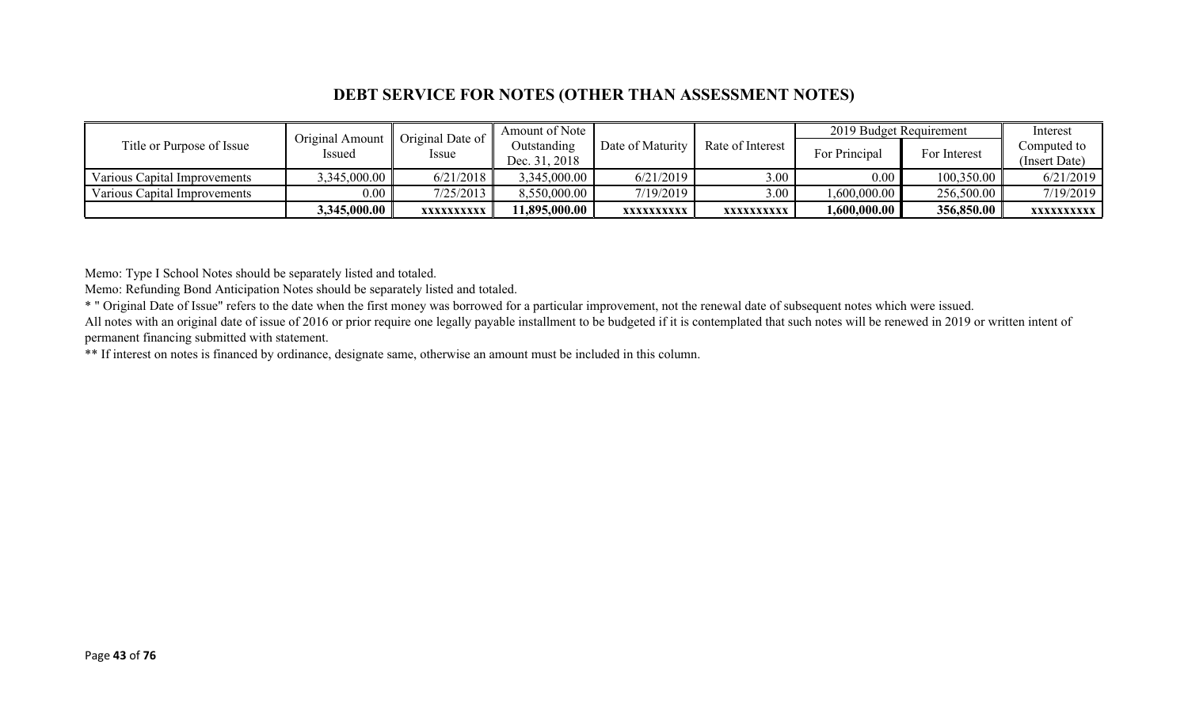### **DEBT SERVICE FOR NOTES (OTHER THAN ASSESSMENT NOTES)**

| Title or Purpose of Issue    | Original Amount | Original Date of<br>Issue | Amount of Note |                  |                  | 2019 Budget Requirement |                               | Interest      |
|------------------------------|-----------------|---------------------------|----------------|------------------|------------------|-------------------------|-------------------------------|---------------|
|                              | <b>Issued</b>   |                           | Outstanding    | Date of Maturity | Rate of Interest |                         | For Principal<br>For Interest | Computed to   |
|                              |                 |                           | Dec. 31, 2018  |                  |                  |                         |                               | (Insert Date) |
| Various Capital Improvements | 3,345,000.00    | 6/21/2018                 | 3,345,000.00   | 6/21/2019        | 3.00             | 0.00                    | 100,350.00                    | 6/21/2019     |
| Various Capital Improvements | $0.00\parallel$ | 7/25/2013                 | 8,550,000.00   | 7/19/2019        | 3.00             | 1,600,000.00            | 256,500.00                    | 7/19/2019     |
|                              | 3,345,000.00    | XXXXXXXXXX                | 11,895,000.00  | XXXXXXXXXX       | XXXXXXXXXX       | 1,600,000.00            | 356,850.00                    | XXXXXXXXXX    |

Memo: Type I School Notes should be separately listed and totaled.

Memo: Refunding Bond Anticipation Notes should be separately listed and totaled.

\* " Original Date of Issue" refers to the date when the first money was borrowed for a particular improvement, not the renewal date of subsequent notes which were issued.

All notes with an original date of issue of 2016 or prior require one legally payable installment to be budgeted if it is contemplated that such notes will be renewed in 2019 or written intent of permanent financing submitted with statement.

\*\* If interest on notes is financed by ordinance, designate same, otherwise an amount must be included in this column.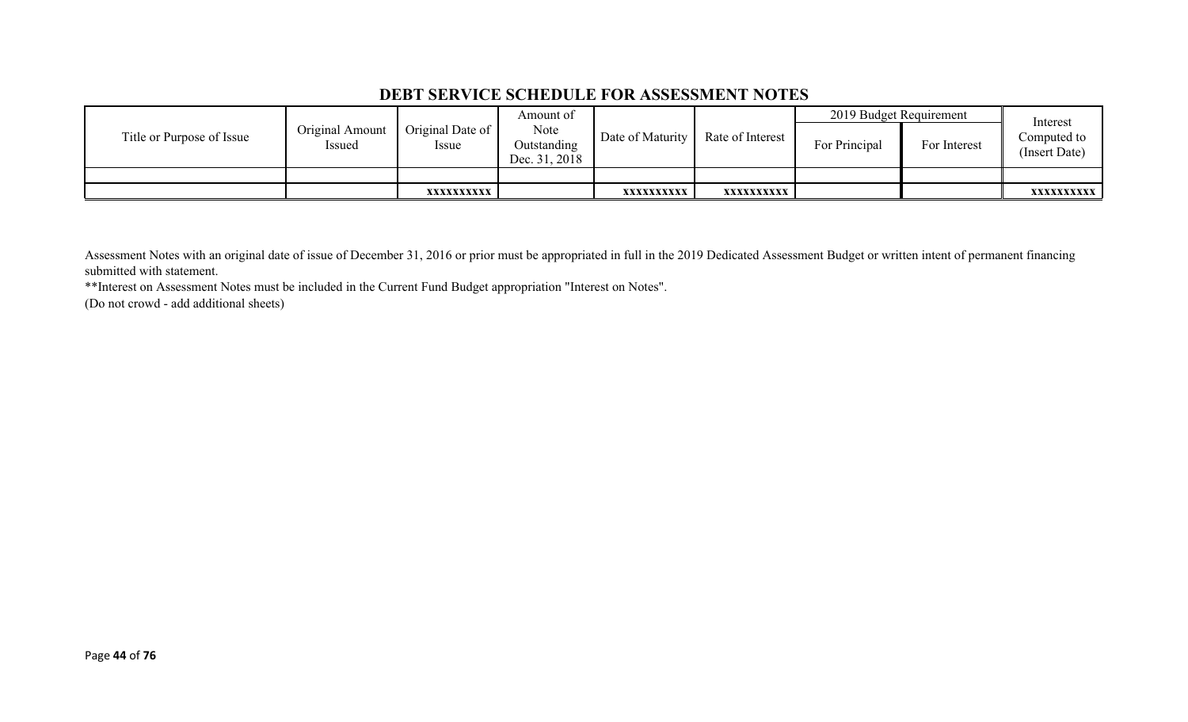### **DEBT SERVICE SCHEDULE FOR ASSESSMENT NOTES**

|                           | Original Amount<br>Issued | Amount of<br>Original Date of<br>Note<br>Outstanding<br><i>ssue</i><br>Dec. 31, 2018 |                  |                  | 2019 Budget Requirement |              | Interest                     |                   |
|---------------------------|---------------------------|--------------------------------------------------------------------------------------|------------------|------------------|-------------------------|--------------|------------------------------|-------------------|
| Title or Purpose of Issue |                           |                                                                                      | Date of Maturity | Rate of Interest | For Principal           | For Interest | Computed to<br>(Insert Date) |                   |
|                           |                           |                                                                                      |                  |                  |                         |              |                              |                   |
|                           |                           | XXXXXXXXXX                                                                           |                  | XXXXXXXXXX       | xxxxxxxxxx              |              |                              | <b>XXXXXXXXXX</b> |

Assessment Notes with an original date of issue of December 31, 2016 or prior must be appropriated in full in the 2019 Dedicated Assessment Budget or written intent of permanent financing submitted with statement.

\*\*Interest on Assessment Notes must be included in the Current Fund Budget appropriation "Interest on Notes".

(Do not crowd - add additional sheets)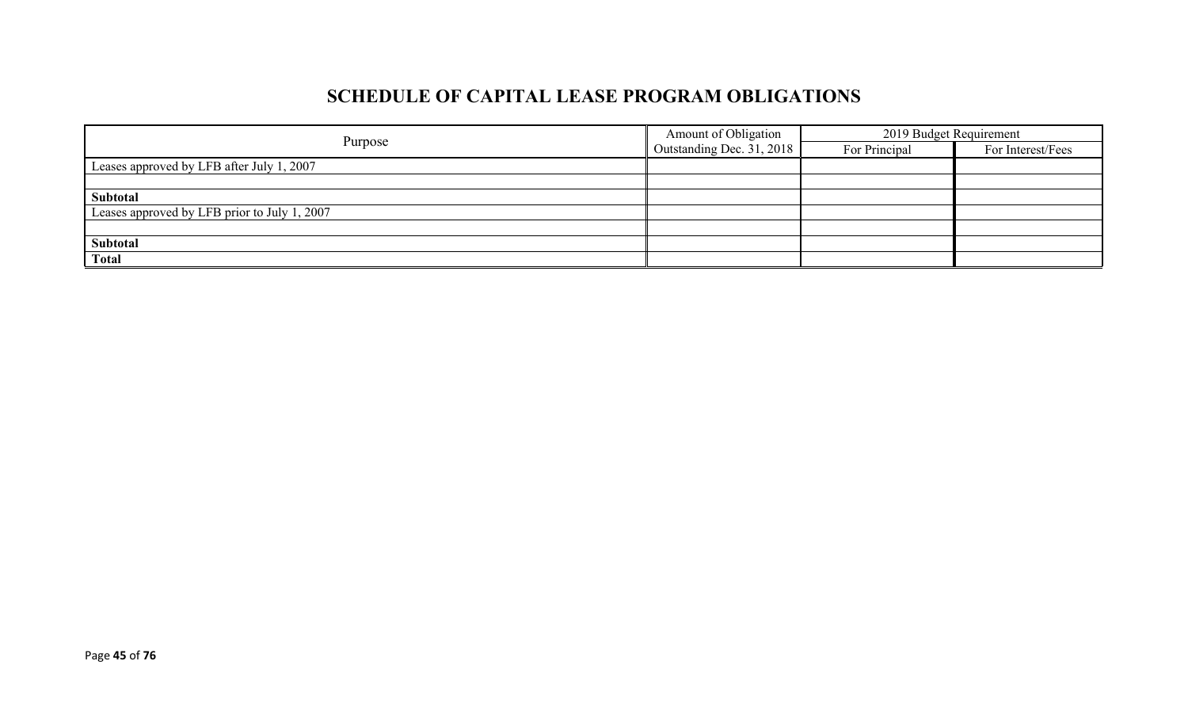# **SCHEDULE OF CAPITAL LEASE PROGRAM OBLIGATIONS**

|                                              | Amount of Obligation             | 2019 Budget Requirement |                   |  |
|----------------------------------------------|----------------------------------|-------------------------|-------------------|--|
| Purpose                                      | $\Box$ Outstanding Dec. 31, 2018 | For Principal           | For Interest/Fees |  |
| Leases approved by LFB after July 1, 2007    |                                  |                         |                   |  |
|                                              |                                  |                         |                   |  |
| Subtotal                                     |                                  |                         |                   |  |
| Leases approved by LFB prior to July 1, 2007 |                                  |                         |                   |  |
|                                              |                                  |                         |                   |  |
| Subtotal                                     |                                  |                         |                   |  |
| <b>Total</b>                                 |                                  |                         |                   |  |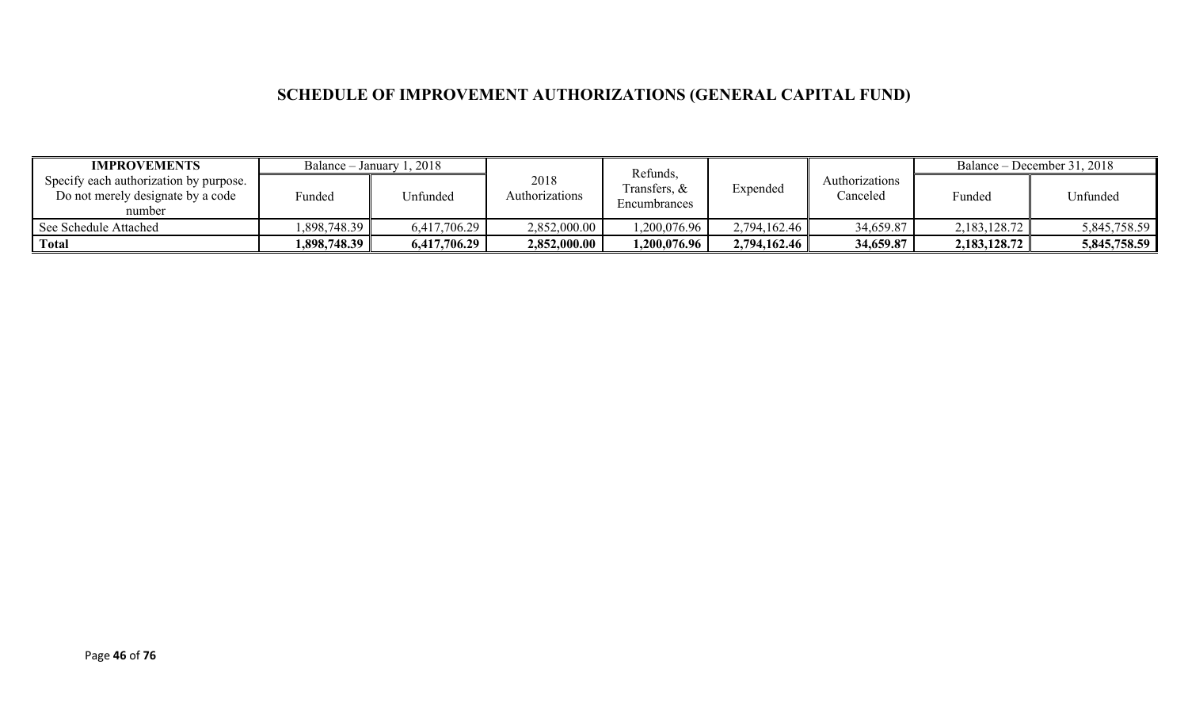# **SCHEDULE OF IMPROVEMENT AUTHORIZATIONS (GENERAL CAPITAL FUND)**

| <b>IMPROVEMENTS</b>                                                                   |              | Balance – January 1, 2018 |                        | Refunds,                     |              |                            | Balance – December 31, 2018 |              |
|---------------------------------------------------------------------------------------|--------------|---------------------------|------------------------|------------------------------|--------------|----------------------------|-----------------------------|--------------|
| Specify each authorization by purpose.<br>Do not merely designate by a code<br>number | Funded       | Jnfunded                  | 2018<br>Authorizations | Transfers, &<br>Encumbrances | Expended     | Authorizations<br>Canceled | Funded                      | Unfunded     |
| See Schedule Attached                                                                 | 1,898,748.39 | 6,417,706.29              | 2,852,000.00           | .200,076.96                  | 2,794,162.46 | 34,659.87                  | 2,183,128.72                | 5,845,758.59 |
| <sup>1</sup> Total                                                                    | 1,898,748.39 | 6,417,706.29              | 2,852,000.00           | 1,200,076.96                 | 2,794,162.46 | 34,659.87                  | 2,183,128.72                | 5,845,758.59 |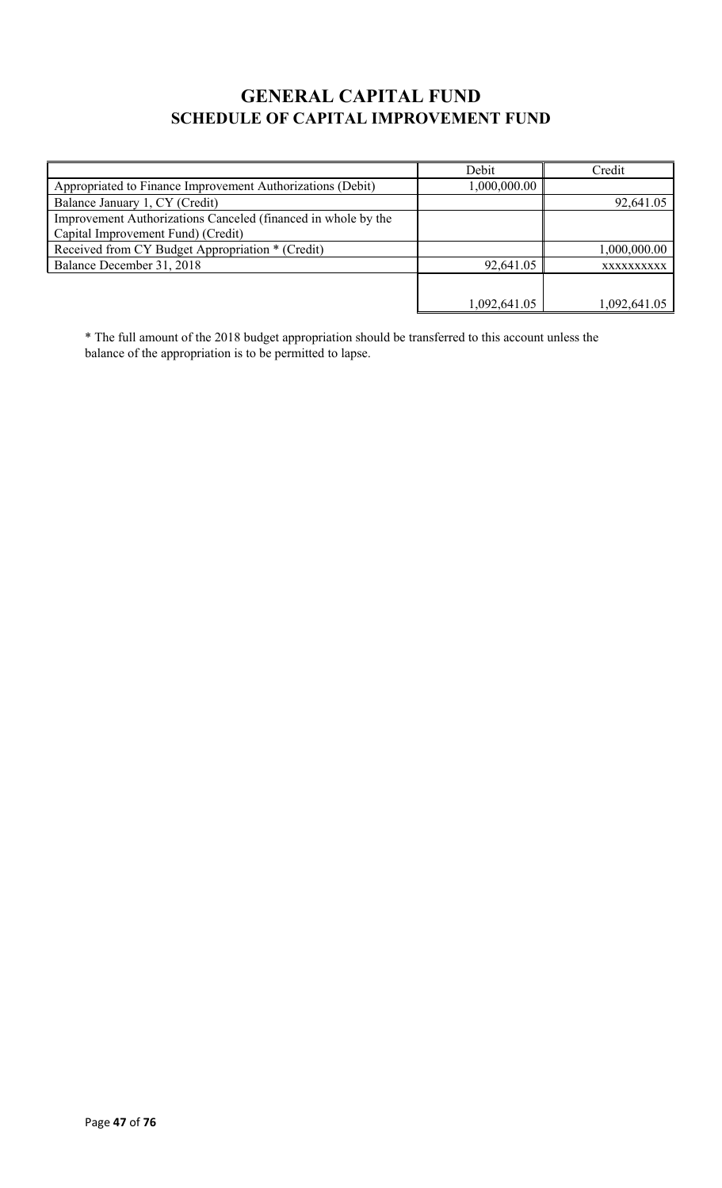# **GENERAL CAPITAL FUND SCHEDULE OF CAPITAL IMPROVEMENT FUND**

|                                                                                                     | Debit        | Credit       |
|-----------------------------------------------------------------------------------------------------|--------------|--------------|
| Appropriated to Finance Improvement Authorizations (Debit)                                          | 1,000,000.00 |              |
| Balance January 1, CY (Credit)                                                                      |              | 92,641.05    |
| Improvement Authorizations Canceled (financed in whole by the<br>Capital Improvement Fund) (Credit) |              |              |
| Received from CY Budget Appropriation * (Credit)                                                    |              | 1,000,000.00 |
| Balance December 31, 2018                                                                           | 92,641.05    | XXXXXXXXXX   |
|                                                                                                     |              |              |
|                                                                                                     | 1,092,641.05 | 1,092,641.05 |

\* The full amount of the 2018 budget appropriation should be transferred to this account unless the balance of the appropriation is to be permitted to lapse.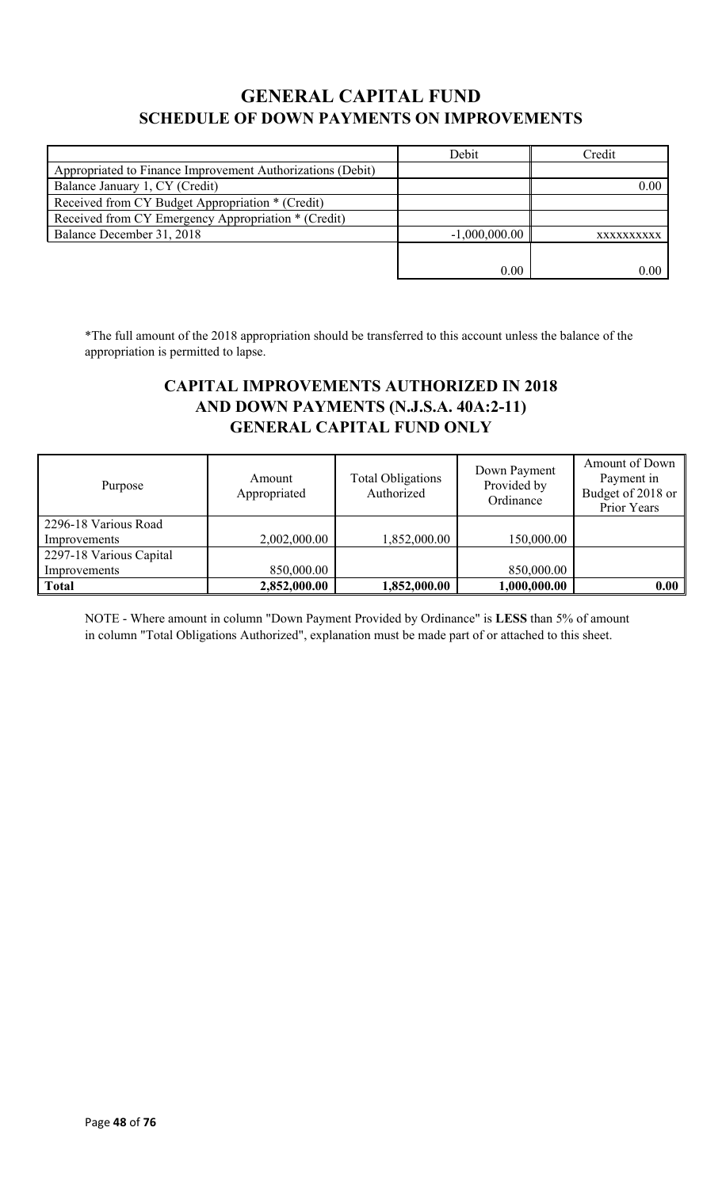## **GENERAL CAPITAL FUND SCHEDULE OF DOWN PAYMENTS ON IMPROVEMENTS**

|                                                            | Debit           | Credit     |
|------------------------------------------------------------|-----------------|------------|
| Appropriated to Finance Improvement Authorizations (Debit) |                 |            |
| Balance January 1, CY (Credit)                             |                 | 0.00       |
| Received from CY Budget Appropriation * (Credit)           |                 |            |
| Received from CY Emergency Appropriation * (Credit)        |                 |            |
| Balance December 31, 2018                                  | $-1,000,000.00$ | XXXXXXXXXX |
|                                                            |                 |            |
|                                                            | 0.00            | 0.00       |

\*The full amount of the 2018 appropriation should be transferred to this account unless the balance of the appropriation is permitted to lapse.

## **CAPITAL IMPROVEMENTS AUTHORIZED IN 2018 AND DOWN PAYMENTS (N.J.S.A. 40A:2-11) GENERAL CAPITAL FUND ONLY**

| Purpose                 | Amount<br>Appropriated | <b>Total Obligations</b><br>Authorized | Down Payment<br>Provided by<br>Ordinance | Amount of Down<br>Payment in<br>Budget of 2018 or<br>Prior Years |
|-------------------------|------------------------|----------------------------------------|------------------------------------------|------------------------------------------------------------------|
| 2296-18 Various Road    |                        |                                        |                                          |                                                                  |
| Improvements            | 2,002,000.00           | 1,852,000.00                           | 150,000.00                               |                                                                  |
| 2297-18 Various Capital |                        |                                        |                                          |                                                                  |
| Improvements            | 850,000.00             |                                        | 850,000.00                               |                                                                  |
| <b>Total</b>            | 2,852,000.00           | 1,852,000.00                           | 1,000,000.00                             | 0.00                                                             |

NOTE - Where amount in column "Down Payment Provided by Ordinance" is **LESS** than 5% of amount in column "Total Obligations Authorized", explanation must be made part of or attached to this sheet.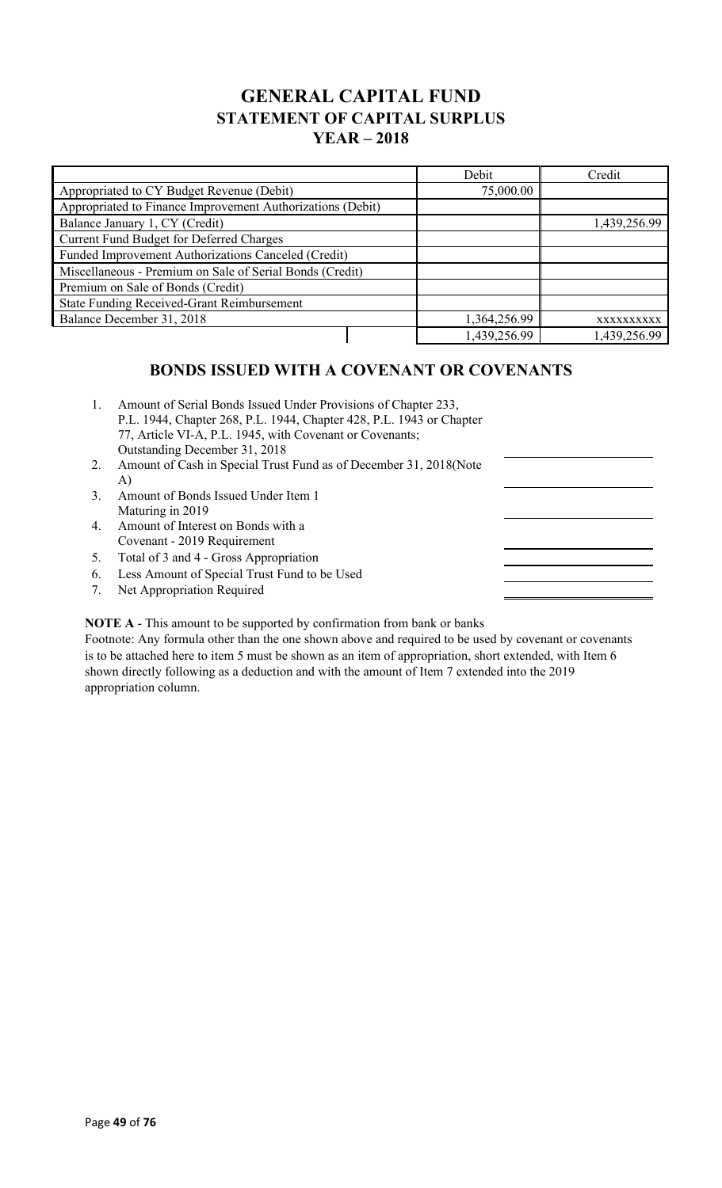## **GENERAL CAPITAL FUND STATEMENT OF CAPITAL SURPLUS YEAR – 2018**

|                                                            | Debit        | Credit       |
|------------------------------------------------------------|--------------|--------------|
| Appropriated to CY Budget Revenue (Debit)                  | 75,000.00    |              |
| Appropriated to Finance Improvement Authorizations (Debit) |              |              |
| Balance January 1, CY (Credit)                             |              | 1,439,256.99 |
| Current Fund Budget for Deferred Charges                   |              |              |
| Funded Improvement Authorizations Canceled (Credit)        |              |              |
| Miscellaneous - Premium on Sale of Serial Bonds (Credit)   |              |              |
| Premium on Sale of Bonds (Credit)                          |              |              |
| <b>State Funding Received-Grant Reimbursement</b>          |              |              |
| Balance December 31, 2018                                  | 1,364,256.99 | XXXXXXXXXX   |
|                                                            | 1,439,256.99 | 1,439,256.99 |

### **BONDS ISSUED WITH A COVENANT OR COVENANTS**

| 1. | Amount of Serial Bonds Issued Under Provisions of Chapter 233,<br>P.L. 1944, Chapter 268, P.L. 1944, Chapter 428, P.L. 1943 or Chapter<br>77, Article VI-A, P.L. 1945, with Covenant or Covenants;<br>Outstanding December 31, 2018 |  |
|----|-------------------------------------------------------------------------------------------------------------------------------------------------------------------------------------------------------------------------------------|--|
| 2. | Amount of Cash in Special Trust Fund as of December 31, 2018 (Note<br>A)                                                                                                                                                            |  |
| 3. | Amount of Bonds Issued Under Item 1<br>Maturing in 2019                                                                                                                                                                             |  |
| 4. | Amount of Interest on Bonds with a<br>Covenant - 2019 Requirement                                                                                                                                                                   |  |
| 5. | Total of 3 and 4 - Gross Appropriation                                                                                                                                                                                              |  |
|    | $\zeta$ is a continuous form of $\zeta$                                                                                                                                                                                             |  |

 $\equiv$ 

- 6. Less Amount of Special Trust Fund to be Used
- 7. Net Appropriation Required

**NOTE A** - This amount to be supported by confirmation from bank or banks

Footnote: Any formula other than the one shown above and required to be used by covenant or covenants is to be attached here to item 5 must be shown as an item of appropriation, short extended, with Item 6 shown directly following as a deduction and with the amount of Item 7 extended into the 2019 appropriation column.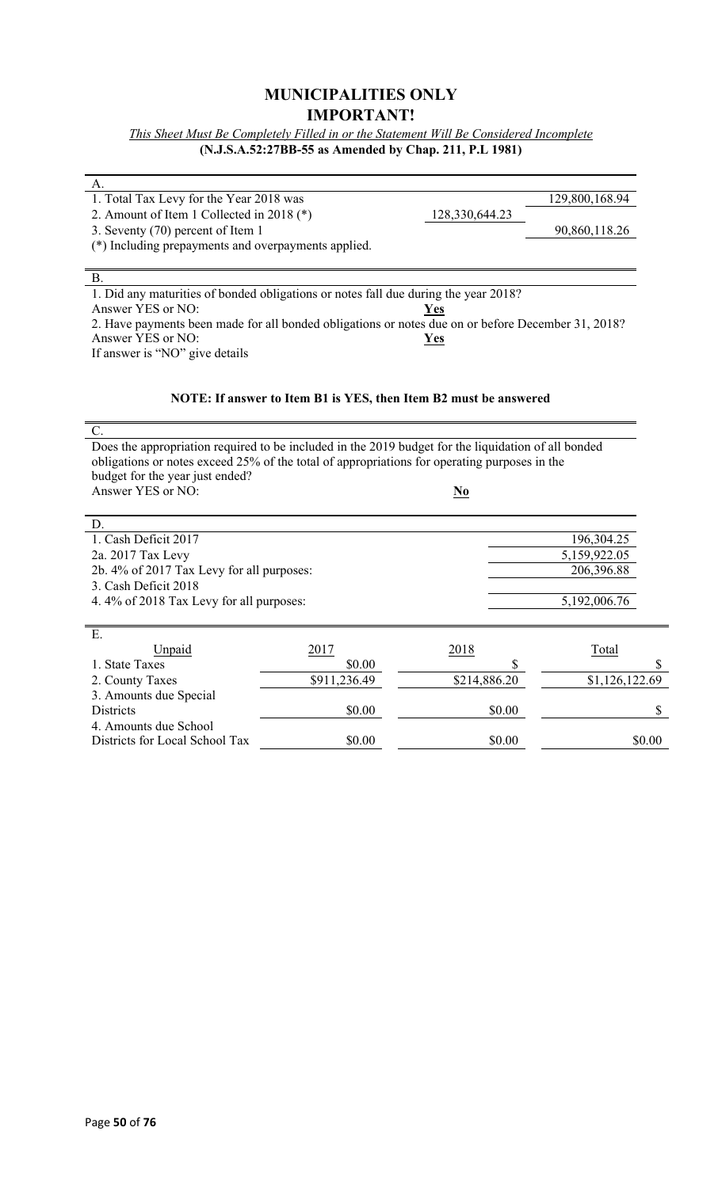### **MUNICIPALITIES ONLY IMPORTANT!**

*This Sheet Must Be Completely Filled in or the Statement Will Be Considered Incomplete* **(N.J.S.A.52:27BB-55 as Amended by Chap. 211, P.L 1981)**

| А.                                                                                                  |                                                                  |                           |                |
|-----------------------------------------------------------------------------------------------------|------------------------------------------------------------------|---------------------------|----------------|
| 1. Total Tax Levy for the Year 2018 was                                                             |                                                                  |                           | 129,800,168.94 |
| 2. Amount of Item 1 Collected in 2018 (*)                                                           |                                                                  | 128,330,644.23            |                |
| 3. Seventy (70) percent of Item 1                                                                   |                                                                  |                           | 90,860,118.26  |
| (*) Including prepayments and overpayments applied.                                                 |                                                                  |                           |                |
|                                                                                                     |                                                                  |                           |                |
| <b>B.</b>                                                                                           |                                                                  |                           |                |
| 1. Did any maturities of bonded obligations or notes fall due during the year 2018?                 |                                                                  |                           |                |
| Answer YES or NO:                                                                                   |                                                                  | <u>Yes</u>                |                |
| 2. Have payments been made for all bonded obligations or notes due on or before December 31, 2018?  |                                                                  |                           |                |
| Answer YES or NO:                                                                                   |                                                                  | Yes                       |                |
| If answer is "NO" give details                                                                      |                                                                  |                           |                |
|                                                                                                     |                                                                  |                           |                |
|                                                                                                     |                                                                  |                           |                |
|                                                                                                     | NOTE: If answer to Item B1 is YES, then Item B2 must be answered |                           |                |
|                                                                                                     |                                                                  |                           |                |
| C.                                                                                                  |                                                                  |                           |                |
| Does the appropriation required to be included in the 2019 budget for the liquidation of all bonded |                                                                  |                           |                |
| obligations or notes exceed 25% of the total of appropriations for operating purposes in the        |                                                                  |                           |                |
| budget for the year just ended?                                                                     |                                                                  |                           |                |
| Answer YES or NO:                                                                                   |                                                                  | $\underline{\mathbf{No}}$ |                |
|                                                                                                     |                                                                  |                           |                |
| D.                                                                                                  |                                                                  |                           |                |
| 1. Cash Deficit 2017                                                                                |                                                                  |                           | 196,304.25     |
| 2a. 2017 Tax Levy                                                                                   |                                                                  |                           | 5,159,922.05   |
| 2b. 4% of 2017 Tax Levy for all purposes:                                                           |                                                                  |                           | 206,396.88     |
| 3. Cash Deficit 2018                                                                                |                                                                  |                           |                |
| 4.4% of 2018 Tax Levy for all purposes:                                                             |                                                                  |                           | 5,192,006.76   |
|                                                                                                     |                                                                  |                           |                |
| E.                                                                                                  |                                                                  |                           |                |
| Unpaid                                                                                              | 2017                                                             | 2018                      | Total          |
| 1. State Taxes                                                                                      | \$0.00                                                           | \$                        |                |
| 2. County Taxes                                                                                     | \$911,236.49                                                     | \$214,886.20              | \$1,126,122.69 |
| 3. Amounts due Special                                                                              |                                                                  |                           |                |
| <b>Districts</b>                                                                                    | \$0.00                                                           | \$0.00                    |                |
| 4. Amounts due School                                                                               |                                                                  |                           |                |
| Districts for Local School Tax                                                                      | \$0.00                                                           | \$0.00                    | \$0.00         |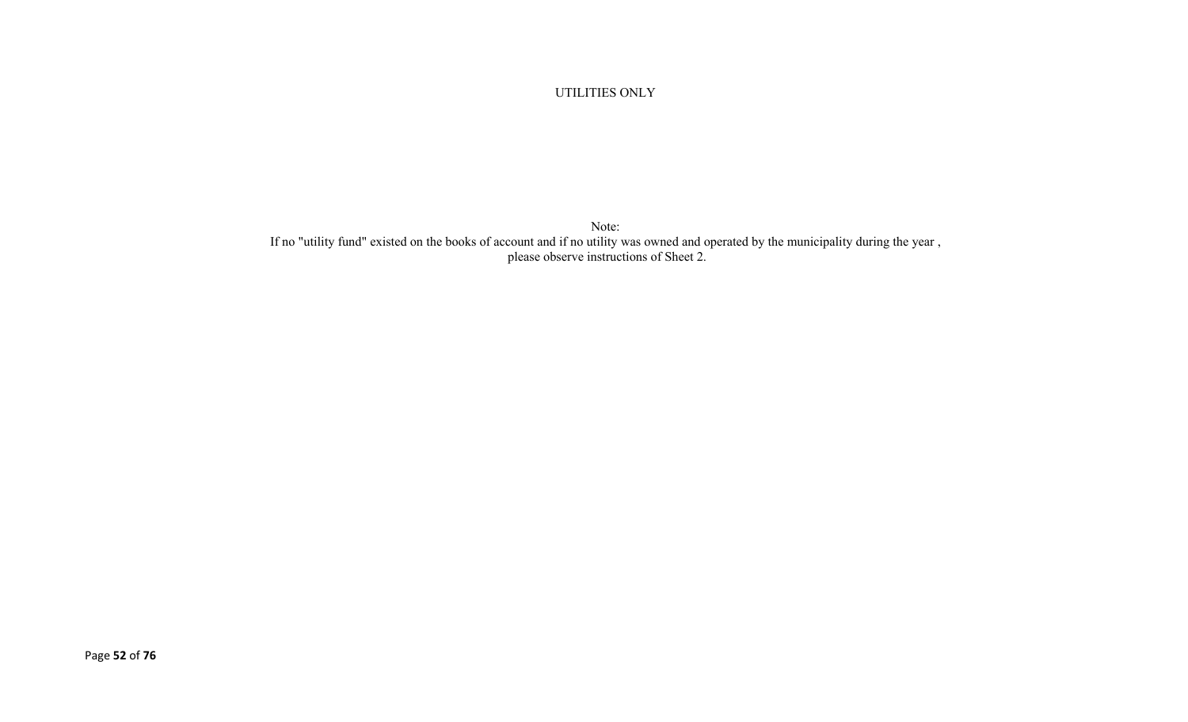#### UTILITIES ONLY

Note: If no "utility fund" existed on the books of account and if no utility was owned and operated by the municipality during the year , please observe instructions of Sheet 2.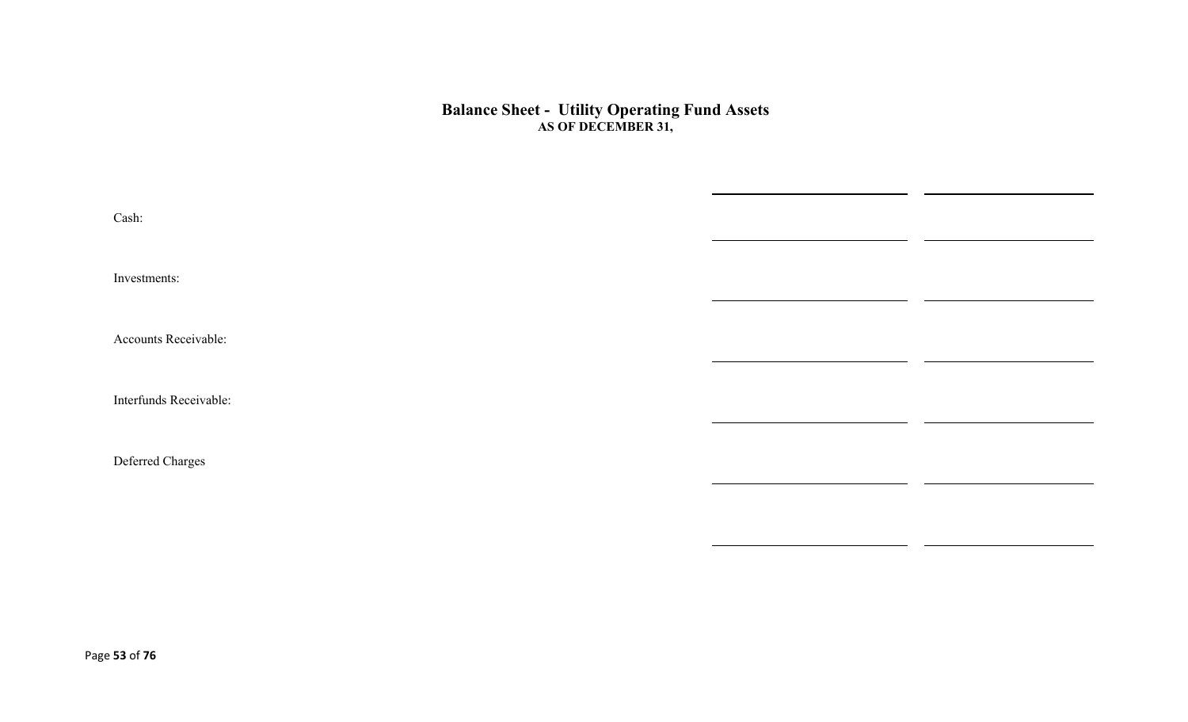#### **Balance Sheet - Utility Operating Fund Assets AS OF DECEMBER 31,**

| Cash:                  |  |
|------------------------|--|
| Investments:           |  |
| Accounts Receivable:   |  |
| Interfunds Receivable: |  |
| Deferred Charges       |  |
|                        |  |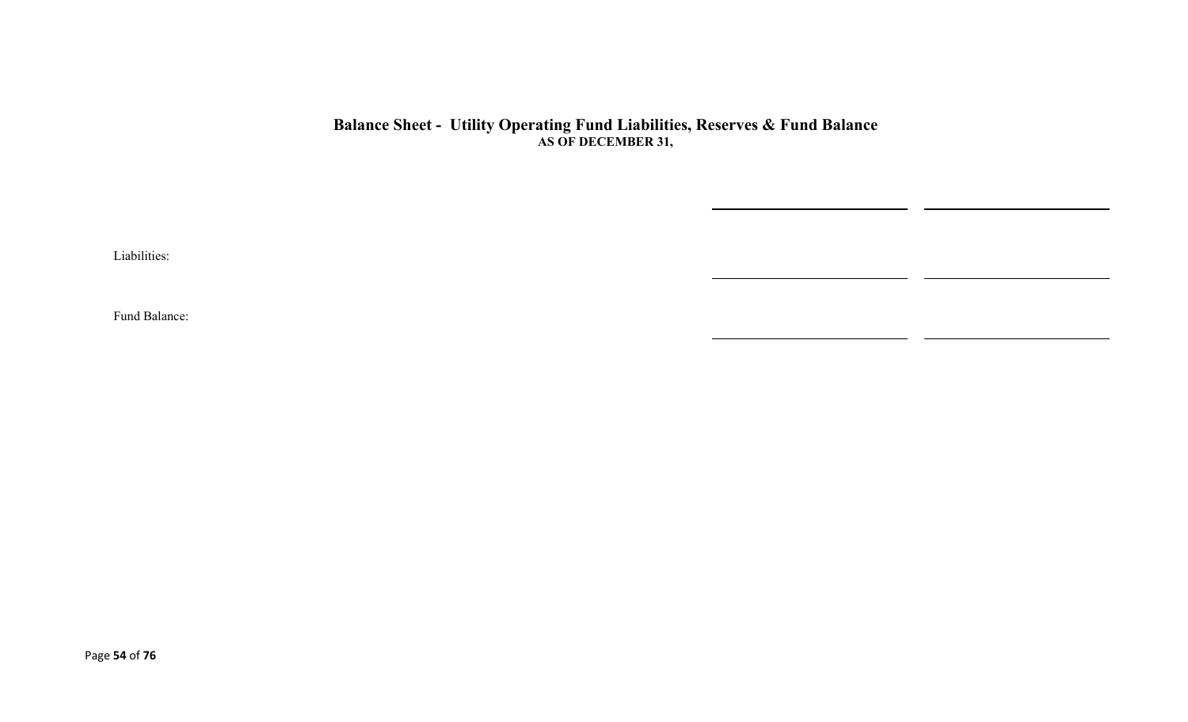#### **Balance Sheet - Utility Operating Fund Liabilities, Reserves & Fund Balance AS OF DECEMBER 31,**

Liabilities:

Fund Balance: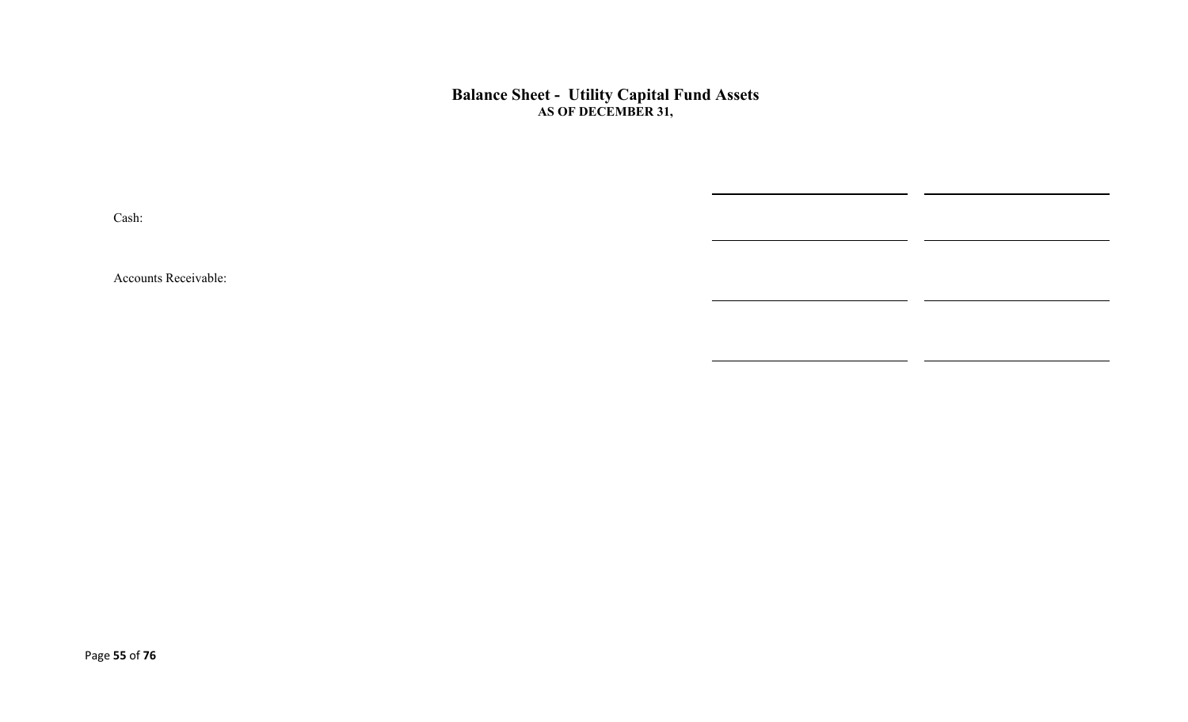#### **Balance Sheet - Utility Capital Fund Assets AS OF DECEMBER 31,**

 $\overline{\phantom{0}}$ 

Cash:

Accounts Receivable: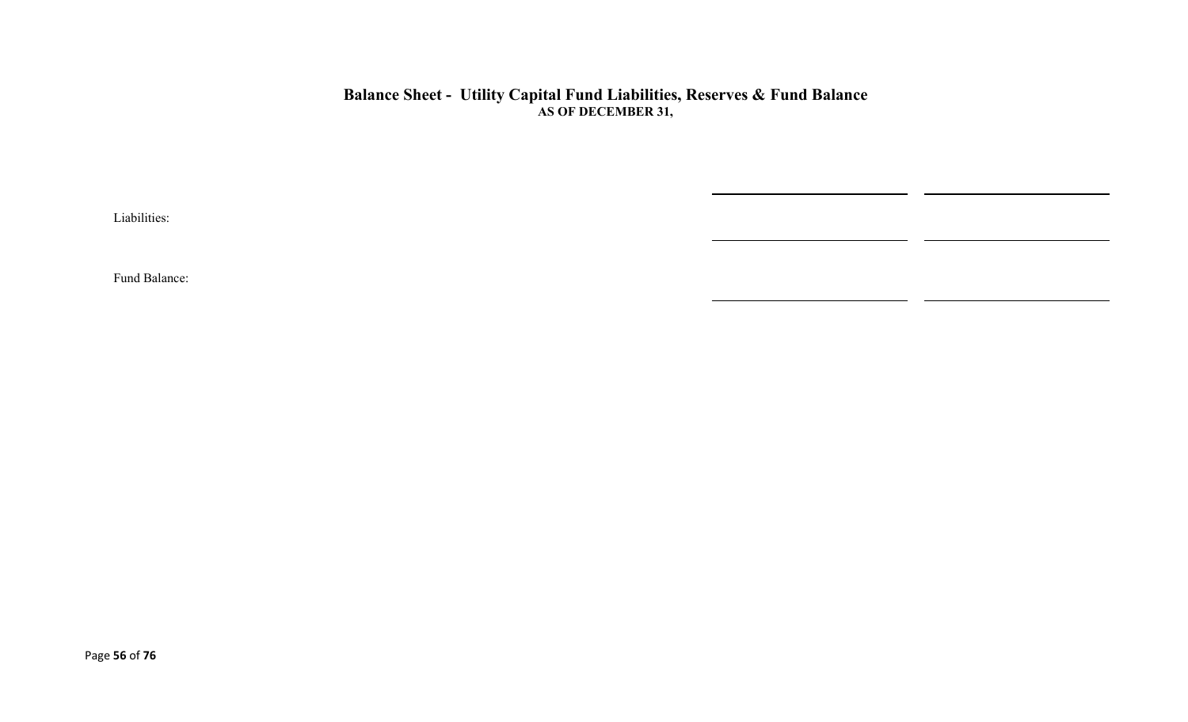### **Balance Sheet - Utility Capital Fund Liabilities, Reserves & Fund Balance AS OF DECEMBER 31,**

 $\overline{\phantom{0}}$ 

Liabilities:

Fund Balance: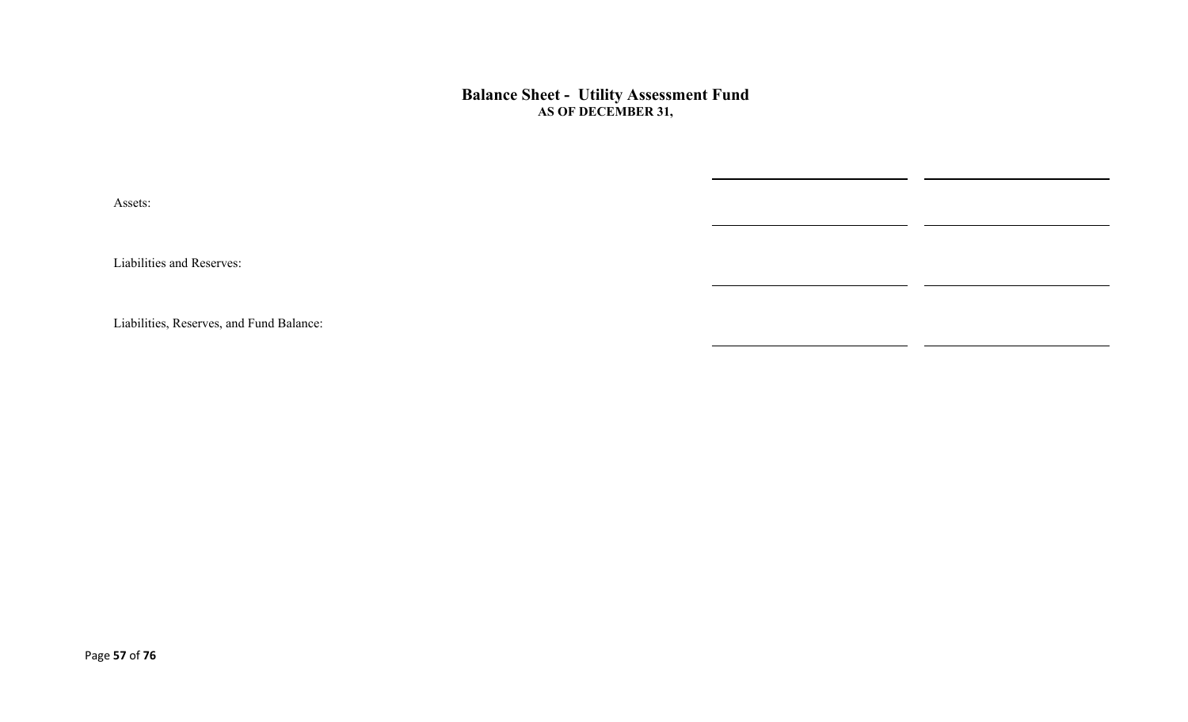**Balance Sheet - Utility Assessment Fund AS OF DECEMBER 31,** 

Assets:

Liabilities and Reserves:

Liabilities, Reserves, and Fund Balance: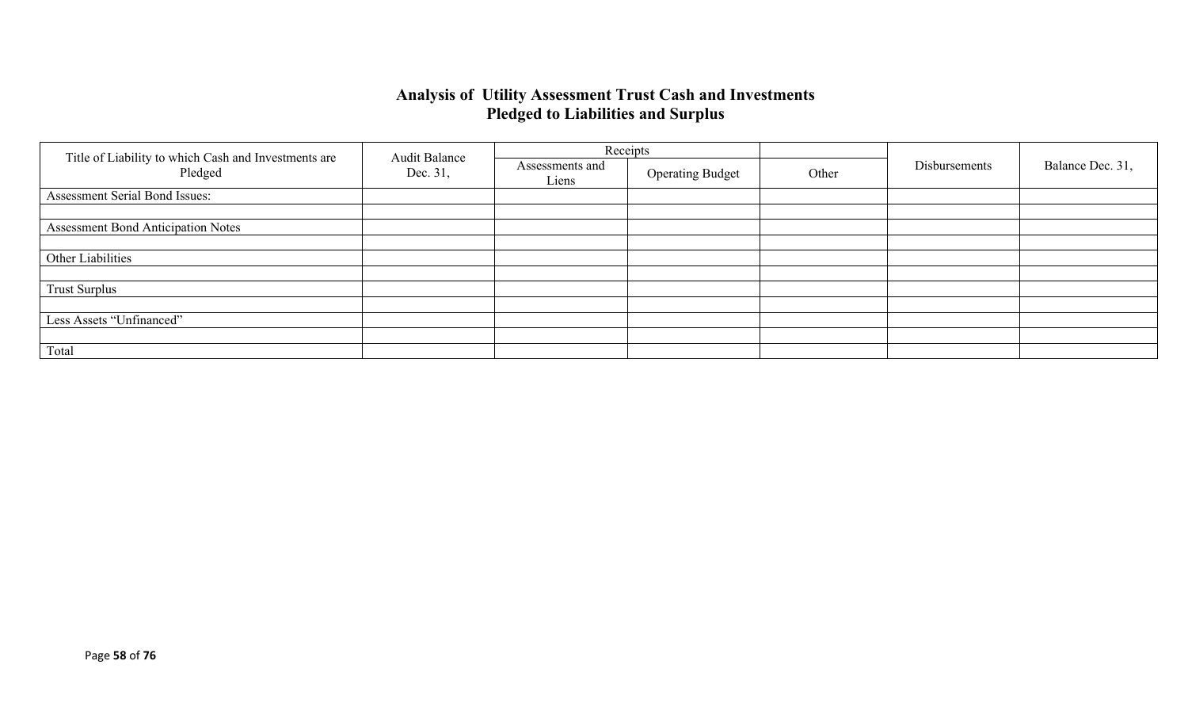### **Analysis of Utility Assessment Trust Cash and Investments Pledged to Liabilities and Surplus**

|                                                                 | <b>Audit Balance</b> | Receipts                 |                         |       |               |                  |
|-----------------------------------------------------------------|----------------------|--------------------------|-------------------------|-------|---------------|------------------|
| Title of Liability to which Cash and Investments are<br>Pledged | Dec. 31,             | Assessments and<br>Liens | <b>Operating Budget</b> | Other | Disbursements | Balance Dec. 31, |
| Assessment Serial Bond Issues:                                  |                      |                          |                         |       |               |                  |
|                                                                 |                      |                          |                         |       |               |                  |
| <b>Assessment Bond Anticipation Notes</b>                       |                      |                          |                         |       |               |                  |
|                                                                 |                      |                          |                         |       |               |                  |
| Other Liabilities                                               |                      |                          |                         |       |               |                  |
|                                                                 |                      |                          |                         |       |               |                  |
| <b>Trust Surplus</b>                                            |                      |                          |                         |       |               |                  |
|                                                                 |                      |                          |                         |       |               |                  |
| Less Assets "Unfinanced"                                        |                      |                          |                         |       |               |                  |
|                                                                 |                      |                          |                         |       |               |                  |
| Total                                                           |                      |                          |                         |       |               |                  |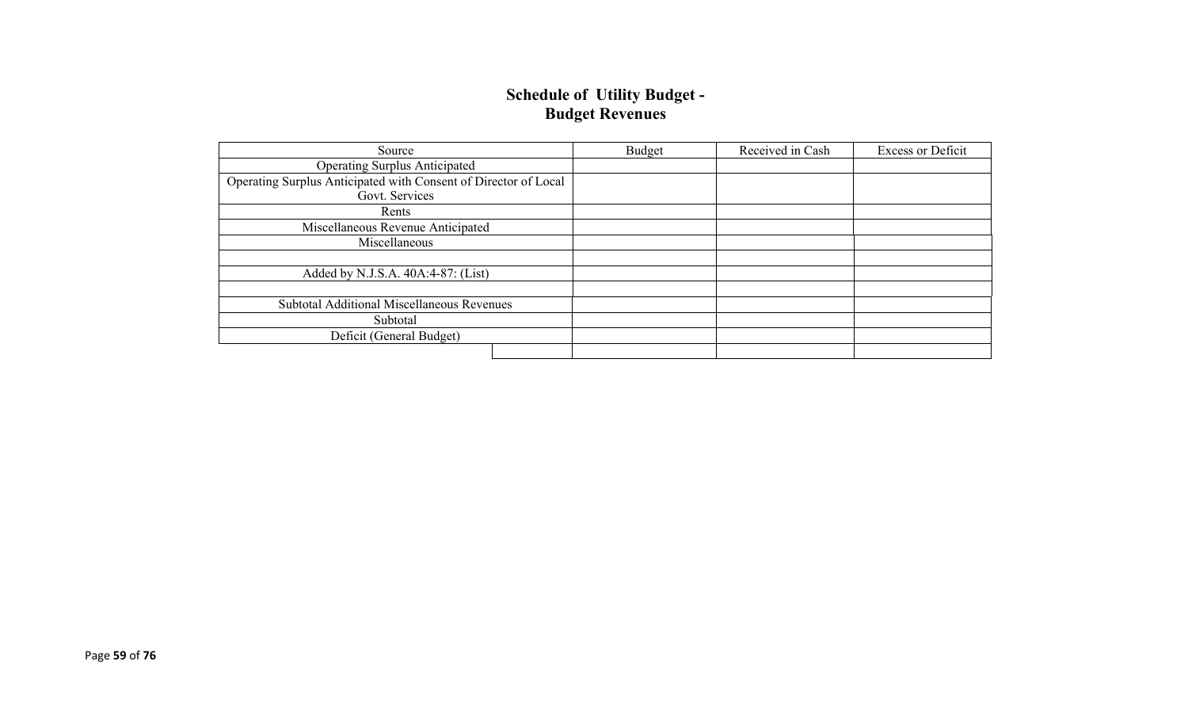### **Schedule of Utility Budget - Budget Revenues**

| Source                                                          | Budget | Received in Cash | <b>Excess or Deficit</b> |
|-----------------------------------------------------------------|--------|------------------|--------------------------|
| <b>Operating Surplus Anticipated</b>                            |        |                  |                          |
| Operating Surplus Anticipated with Consent of Director of Local |        |                  |                          |
| Govt. Services                                                  |        |                  |                          |
| Rents                                                           |        |                  |                          |
| Miscellaneous Revenue Anticipated                               |        |                  |                          |
| Miscellaneous                                                   |        |                  |                          |
|                                                                 |        |                  |                          |
| Added by N.J.S.A. 40A:4-87: (List)                              |        |                  |                          |
|                                                                 |        |                  |                          |
| Subtotal Additional Miscellaneous Revenues                      |        |                  |                          |
| Subtotal                                                        |        |                  |                          |
| Deficit (General Budget)                                        |        |                  |                          |
|                                                                 |        |                  |                          |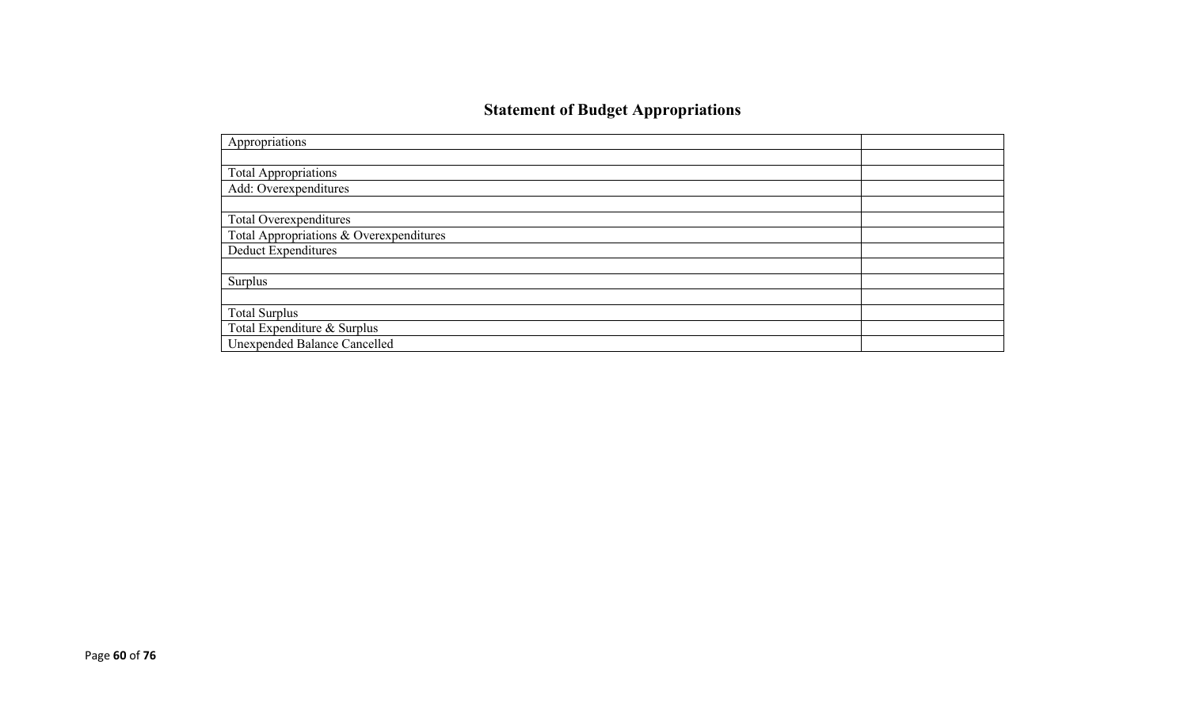# **Statement of Budget Appropriations**

| Appropriations                          |  |
|-----------------------------------------|--|
|                                         |  |
| <b>Total Appropriations</b>             |  |
| Add: Overexpenditures                   |  |
|                                         |  |
| Total Overexpenditures                  |  |
| Total Appropriations & Overexpenditures |  |
| <b>Deduct Expenditures</b>              |  |
|                                         |  |
| Surplus                                 |  |
|                                         |  |
| <b>Total Surplus</b>                    |  |
| Total Expenditure & Surplus             |  |
| Unexpended Balance Cancelled            |  |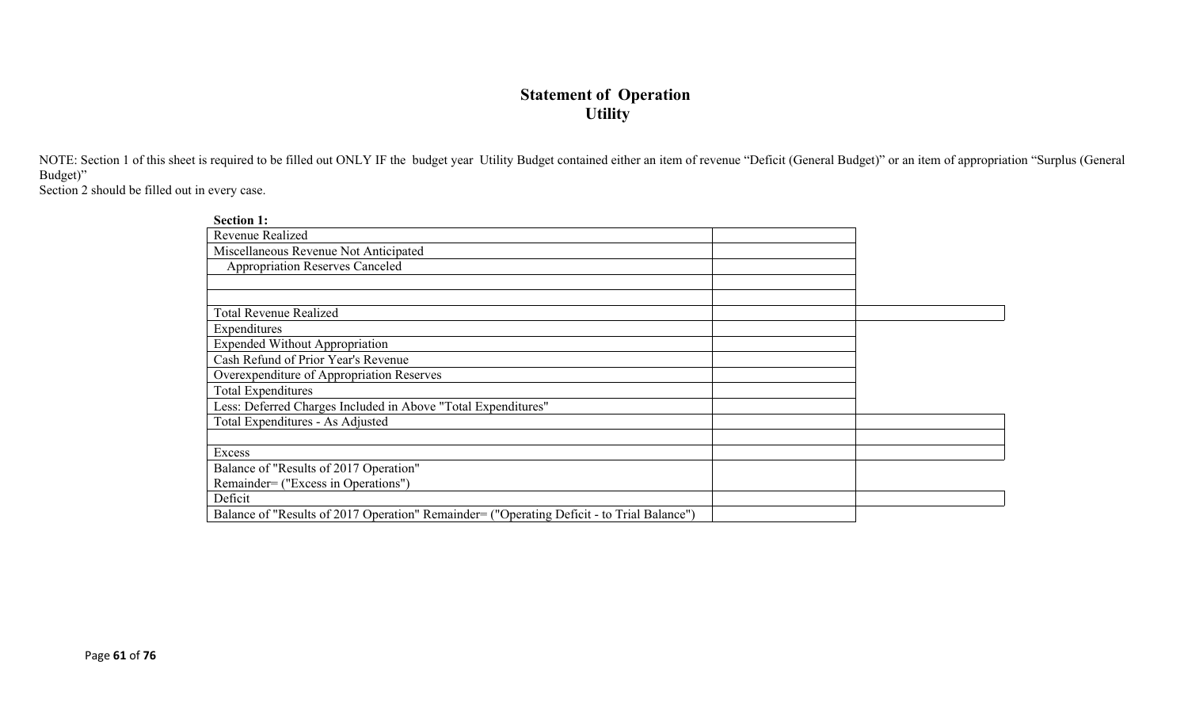## **Statement of Operation Utility**

NOTE: Section 1 of this sheet is required to be filled out ONLY IF the budget year Utility Budget contained either an item of revenue "Deficit (General Budget)" or an item of appropriation "Surplus (General Budget)"

Section 2 should be filled out in every case.

| <b>Section 1:</b>                                                                          |  |
|--------------------------------------------------------------------------------------------|--|
| Revenue Realized                                                                           |  |
| Miscellaneous Revenue Not Anticipated                                                      |  |
| <b>Appropriation Reserves Canceled</b>                                                     |  |
|                                                                                            |  |
|                                                                                            |  |
| <b>Total Revenue Realized</b>                                                              |  |
| Expenditures                                                                               |  |
| <b>Expended Without Appropriation</b>                                                      |  |
| Cash Refund of Prior Year's Revenue                                                        |  |
| Overexpenditure of Appropriation Reserves                                                  |  |
| <b>Total Expenditures</b>                                                                  |  |
| Less: Deferred Charges Included in Above "Total Expenditures"                              |  |
| Total Expenditures - As Adjusted                                                           |  |
|                                                                                            |  |
| Excess                                                                                     |  |
| Balance of "Results of 2017 Operation"                                                     |  |
| Remainder= ("Excess in Operations")                                                        |  |
| Deficit                                                                                    |  |
| Balance of "Results of 2017 Operation" Remainder= ("Operating Deficit - to Trial Balance") |  |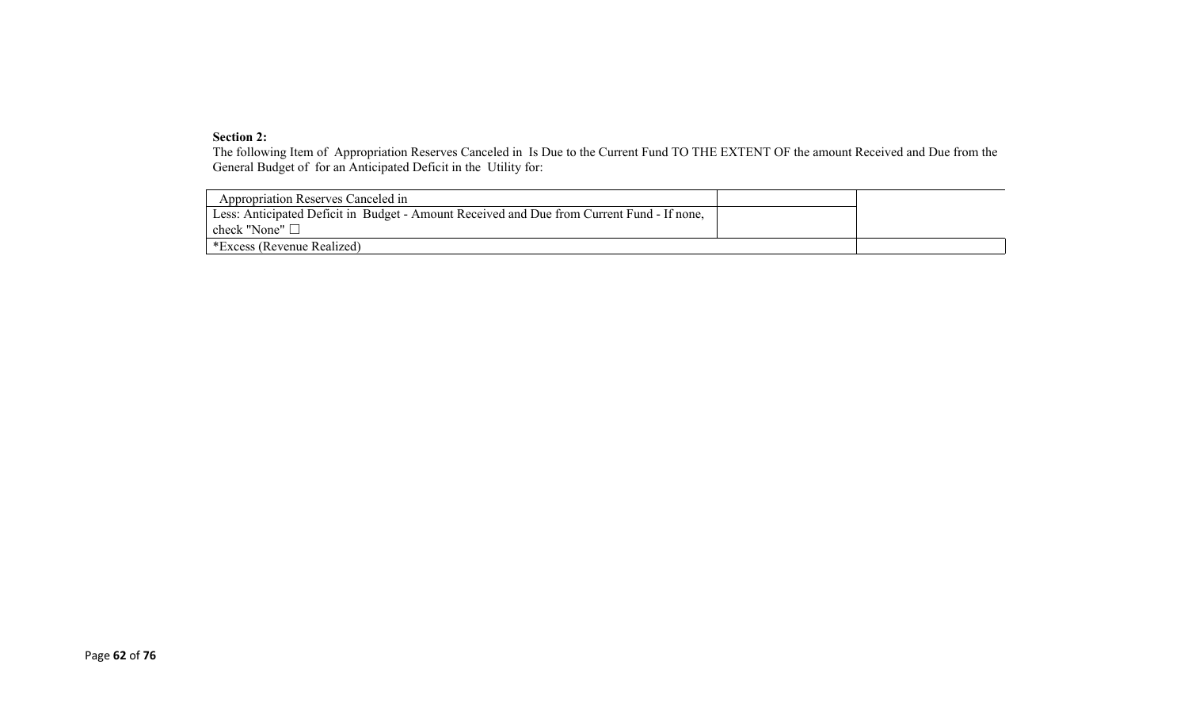#### **Section 2:**

The following Item of Appropriation Reserves Canceled in Is Due to the Current Fund TO THE EXTENT OF the amount Received and Due from the General Budget of for an Anticipated Deficit in the Utility for:

| <b>Appropriation Reserves Canceled in</b>                                                  |  |
|--------------------------------------------------------------------------------------------|--|
| Less: Anticipated Deficit in Budget - Amount Received and Due from Current Fund - If none, |  |
| check "None" $\Box$                                                                        |  |
| *Excess (Revenue Realized)                                                                 |  |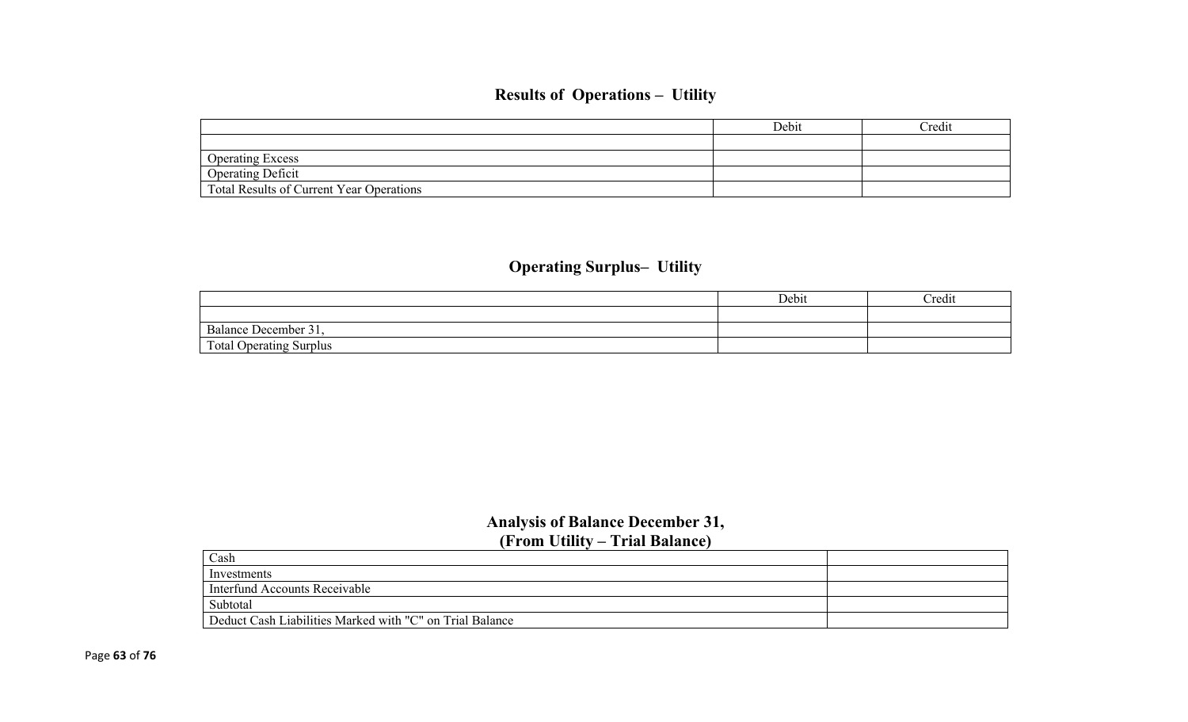# **Results of Operations – Utility**

|                                                 | Debit | Credit |
|-------------------------------------------------|-------|--------|
|                                                 |       |        |
| <b>Operating Excess</b>                         |       |        |
| <b>Operating Deficit</b>                        |       |        |
| <b>Total Results of Current Year Operations</b> |       |        |

# **Operating Surplus– Utility**

|                                   | Debit | Credit |
|-----------------------------------|-------|--------|
|                                   |       |        |
| Balance I<br>$\sim$<br>December 3 |       |        |
| <b>Total Operating Surplus</b>    |       |        |

## **Analysis of Balance December 31, (From Utility – Trial Balance)**

| Cash                                                     |  |  |
|----------------------------------------------------------|--|--|
| Investments                                              |  |  |
| Interfund Accounts Receivable                            |  |  |
| Subtotal                                                 |  |  |
| Deduct Cash Liabilities Marked with "C" on Trial Balance |  |  |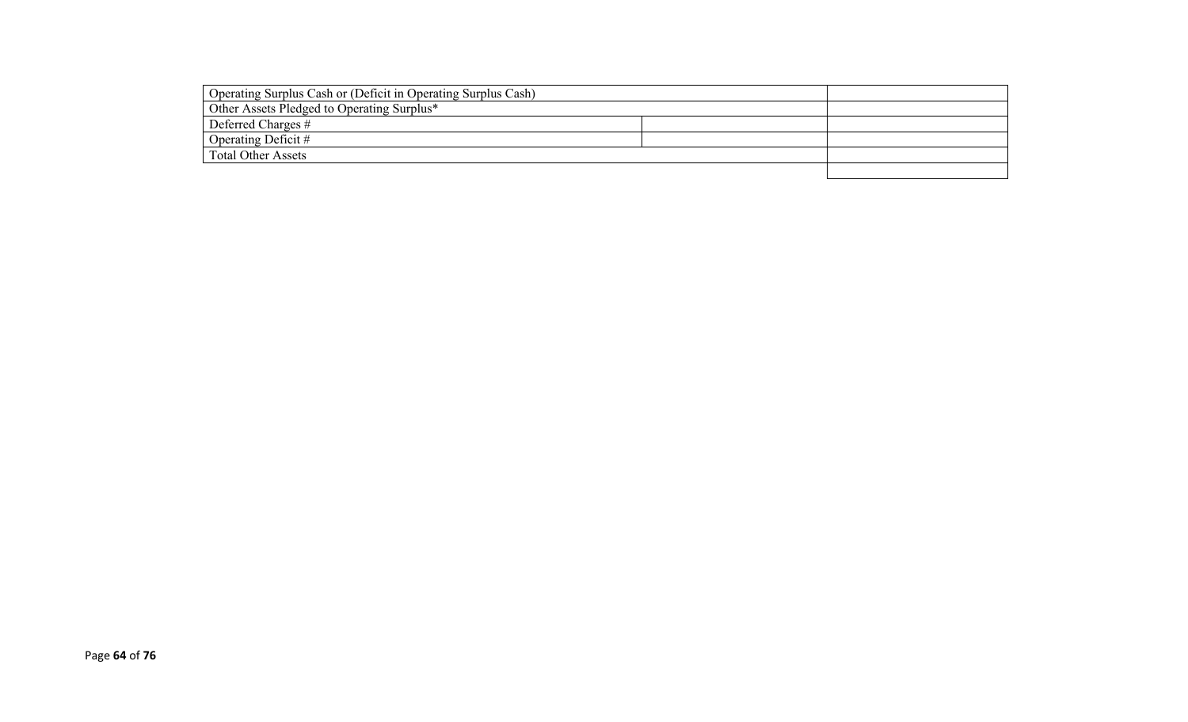| Operating Surplus Cash or (Deficit in Operating Surplus Cash) |  |
|---------------------------------------------------------------|--|
| Other Assets Pledged to Operating Surplus*                    |  |
| Deferred Charges #                                            |  |
| Operating Deficit #                                           |  |
| <b>Total Other Assets</b>                                     |  |
|                                                               |  |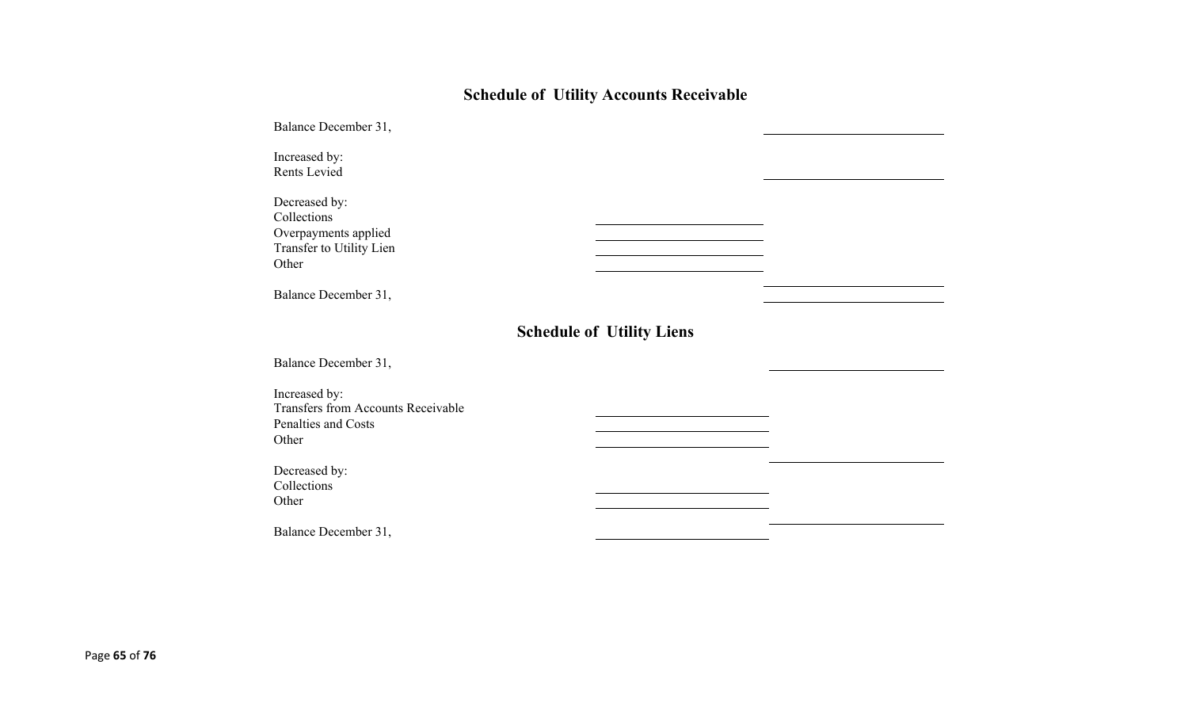# **Schedule of Utility Accounts Receivable**

| Balance December 31,                                                                       |                                  |  |
|--------------------------------------------------------------------------------------------|----------------------------------|--|
| Increased by:<br>Rents Levied                                                              |                                  |  |
| Decreased by:<br>Collections<br>Overpayments applied<br>Transfer to Utility Lien<br>Other  |                                  |  |
| Balance December 31,                                                                       |                                  |  |
|                                                                                            | <b>Schedule of Utility Liens</b> |  |
| Balance December 31,                                                                       |                                  |  |
| Increased by:<br><b>Transfers from Accounts Receivable</b><br>Penalties and Costs<br>Other |                                  |  |
| Decreased by:<br>Collections<br>Other                                                      |                                  |  |
| Balance December 31,                                                                       |                                  |  |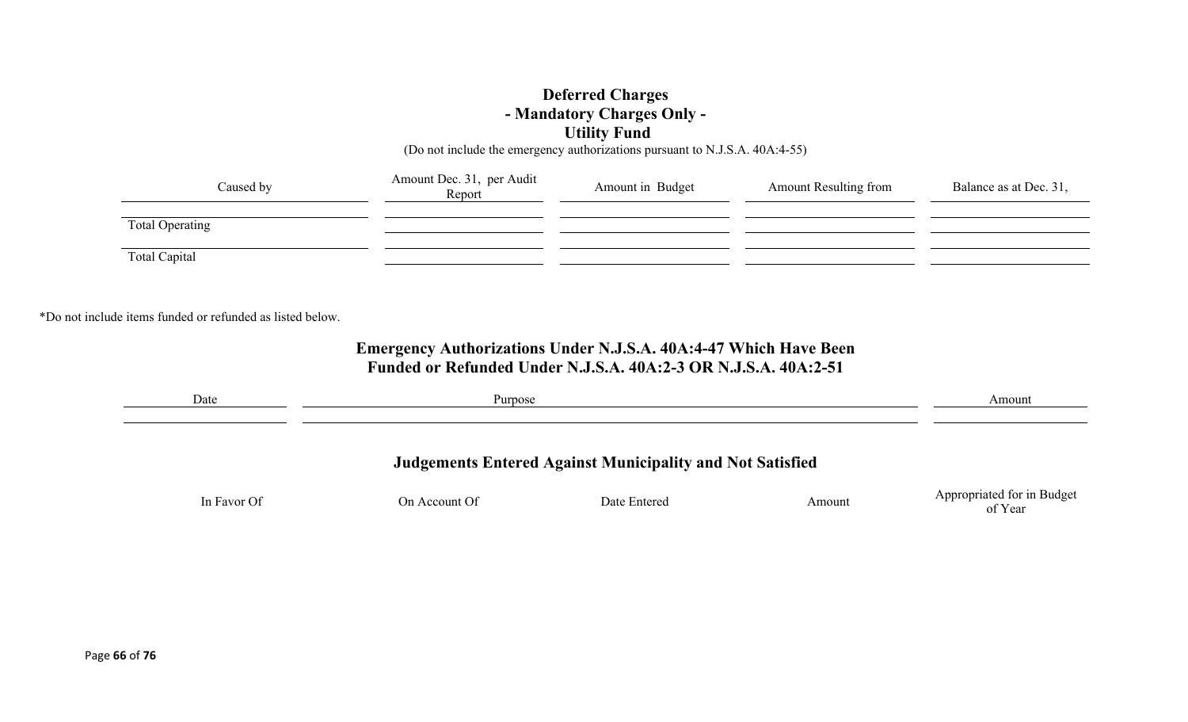### **Deferred Charges - Mandatory Charges Only - Utility Fund**

(Do not include the emergency authorizations pursuant to N.J.S.A. 40A:4-55)

| Caused by              | Amount Dec. 31, per Audit<br>Report | Amount in Budget | <b>Amount Resulting from</b> | Balance as at Dec. 31, |
|------------------------|-------------------------------------|------------------|------------------------------|------------------------|
| <b>Total Operating</b> |                                     |                  |                              |                        |
| Total Capital          |                                     |                  |                              |                        |

\*Do not include items funded or refunded as listed below.

## **Emergency Authorizations Under N.J.S.A. 40A:4-47 Which Have Been Funded or Refunded Under N.J.S.A. 40A:2-3 OR N.J.S.A. 40A:2-51**

| Date        | Purpose       |                                                                  |        | Amount                                |
|-------------|---------------|------------------------------------------------------------------|--------|---------------------------------------|
|             |               | <b>Judgements Entered Against Municipality and Not Satisfied</b> |        |                                       |
| In Favor Of | On Account Of | Date Entered                                                     | Amount | Appropriated for in Budget<br>of Year |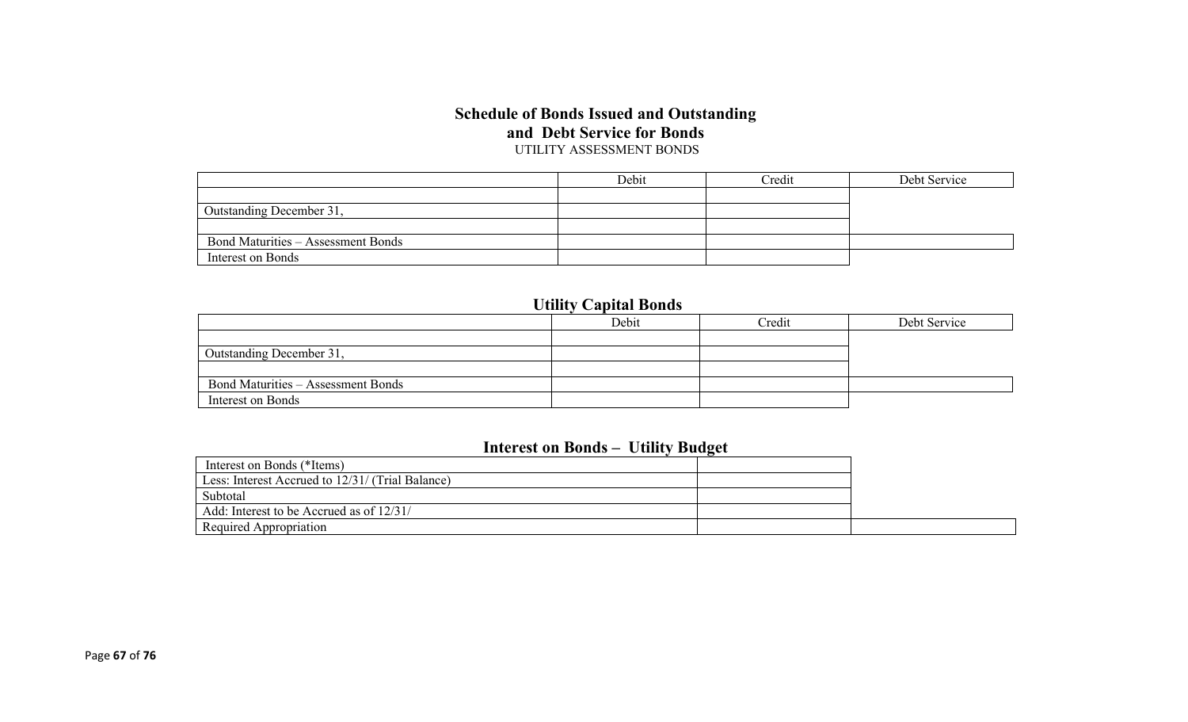#### **Schedule of Bonds Issued and Outstanding and Debt Service for Bonds** UTILITY ASSESSMENT BONDS

|                                           | Debit | Credit | Debt Service |
|-------------------------------------------|-------|--------|--------------|
|                                           |       |        |              |
| Outstanding December 31,                  |       |        |              |
|                                           |       |        |              |
| <b>Bond Maturities – Assessment Bonds</b> |       |        |              |
| Interest on Bonds                         |       |        |              |

# **Utility Capital Bonds**

|                                           | Debit | Credit | Debt Service |
|-------------------------------------------|-------|--------|--------------|
|                                           |       |        |              |
| Outstanding December 31,                  |       |        |              |
|                                           |       |        |              |
| <b>Bond Maturities – Assessment Bonds</b> |       |        |              |
| Interest on Bonds                         |       |        |              |

### **Interest on Bonds – Utility Budget**

| Interest on Bonds (*Items)                       |  |
|--------------------------------------------------|--|
| Less: Interest Accrued to 12/31/ (Trial Balance) |  |
| Subtotal                                         |  |
| Add: Interest to be Accrued as of 12/31/         |  |
| Required Appropriation                           |  |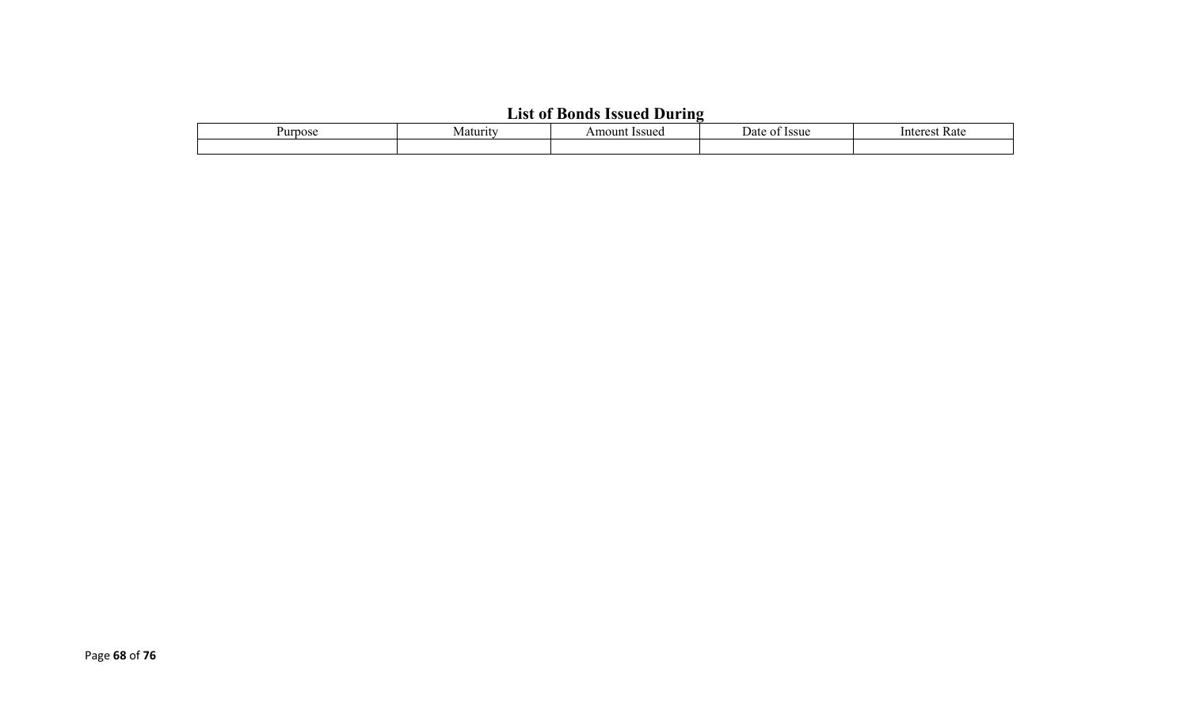# **List of Bonds Issued During**

| . . | <b>Issue</b><br>ш<br>. | . וגנ<br>nous. | Kate<br>+^**<br>nı |
|-----|------------------------|----------------|--------------------|
|     |                        |                |                    |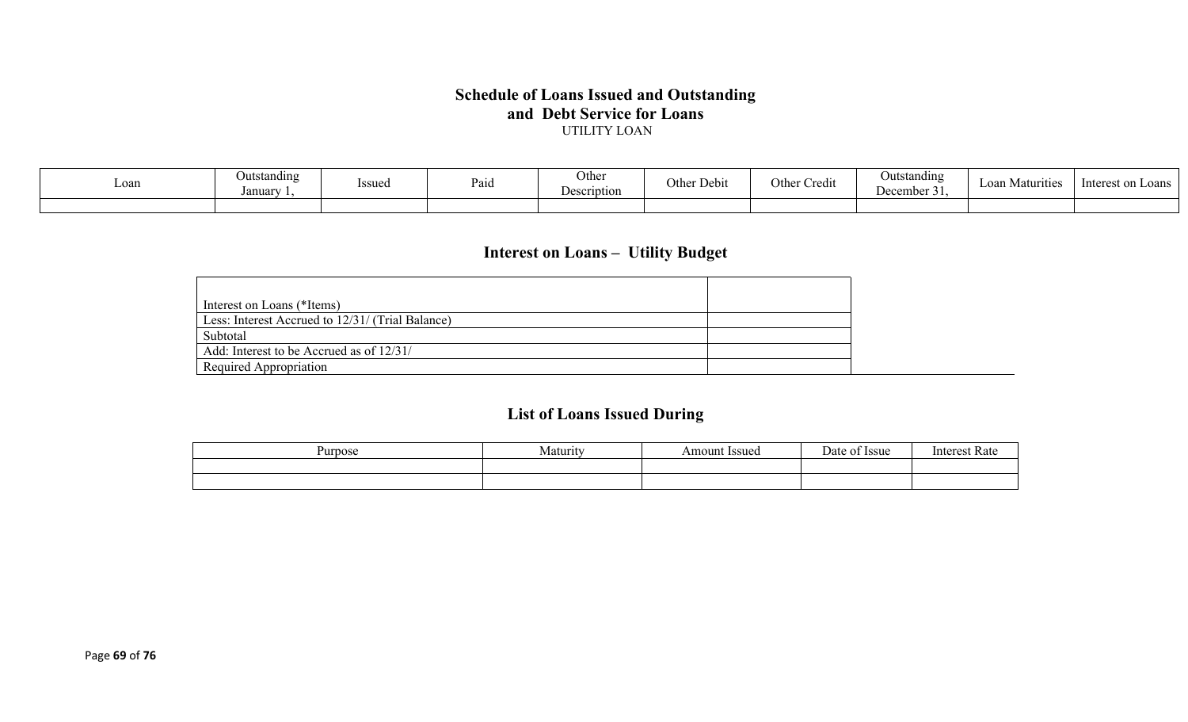#### **Schedule of Loans Issued and Outstanding and Debt Service for Loans** UTILITY LOAN

| Loan | <b>Outstanding</b><br>Januar | Issued | Paid | Other<br><b>Description</b> | $\mathbf{r}$<br>⌒<br>Other Debit | $\bullet$ .<br>Othe<br>Credit | Outstanding<br>December 31. | Loan Matv<br>irities | - Interest or<br>$\sim$ oans |
|------|------------------------------|--------|------|-----------------------------|----------------------------------|-------------------------------|-----------------------------|----------------------|------------------------------|
|      |                              |        |      |                             |                                  |                               |                             |                      |                              |

# **Interest on Loans – Utility Budget**

| Interest on Loans (*Items)                       |  |
|--------------------------------------------------|--|
| Less: Interest Accrued to 12/31/ (Trial Balance) |  |
| Subtotal                                         |  |
| Add: Interest to be Accrued as of 12/31/         |  |
| Required Appropriation                           |  |

# **List of Loans Issued During**

| nos<br>1 I I | .4 otunut<br>$\sim$ | ssue<br>$\Omega$ in | $\alpha$<br>-554c | $\sim$<br>. |
|--------------|---------------------|---------------------|-------------------|-------------|
|              |                     |                     |                   |             |
|              |                     |                     |                   |             |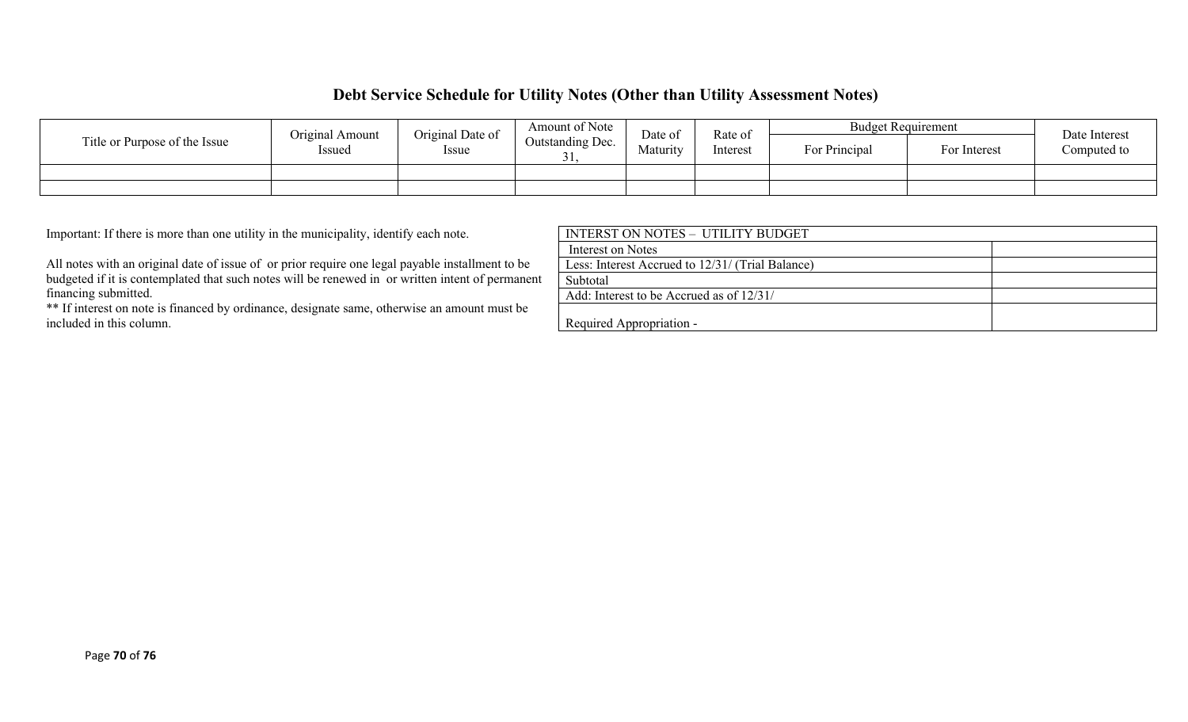### **Debt Service Schedule for Utility Notes (Other than Utility Assessment Notes)**

|                               | Original Amount | Original Date of | Amount of Note                     | Date of  | <b>Budget Requirement</b><br>Rate of |              |             | Date Interest |  |
|-------------------------------|-----------------|------------------|------------------------------------|----------|--------------------------------------|--------------|-------------|---------------|--|
| Title or Purpose of the Issue | Issued          | <i>Issue</i>     | Outstanding Dec.<br>Maturity<br>ັ້ | Interest | For Principal                        | For Interest | Computed to |               |  |
|                               |                 |                  |                                    |          |                                      |              |             |               |  |
|                               |                 |                  |                                    |          |                                      |              |             |               |  |

Important: If there is more than one utility in the municipality, identify each note.

All notes with an original date of issue of or prior require one legal payable installment to be budgeted if it is contemplated that such notes will be renewed in or written intent of permanent financing submitted.

\*\* If interest on note is financed by ordinance, designate same, otherwise an amount must be included in this column.

| INTERST ON NOTES - UTILITY BUDGET                |  |
|--------------------------------------------------|--|
| Interest on Notes                                |  |
| Less: Interest Accrued to 12/31/ (Trial Balance) |  |
| Subtotal                                         |  |
| Add: Interest to be Accrued as of 12/31/         |  |
|                                                  |  |
| Required Appropriation -                         |  |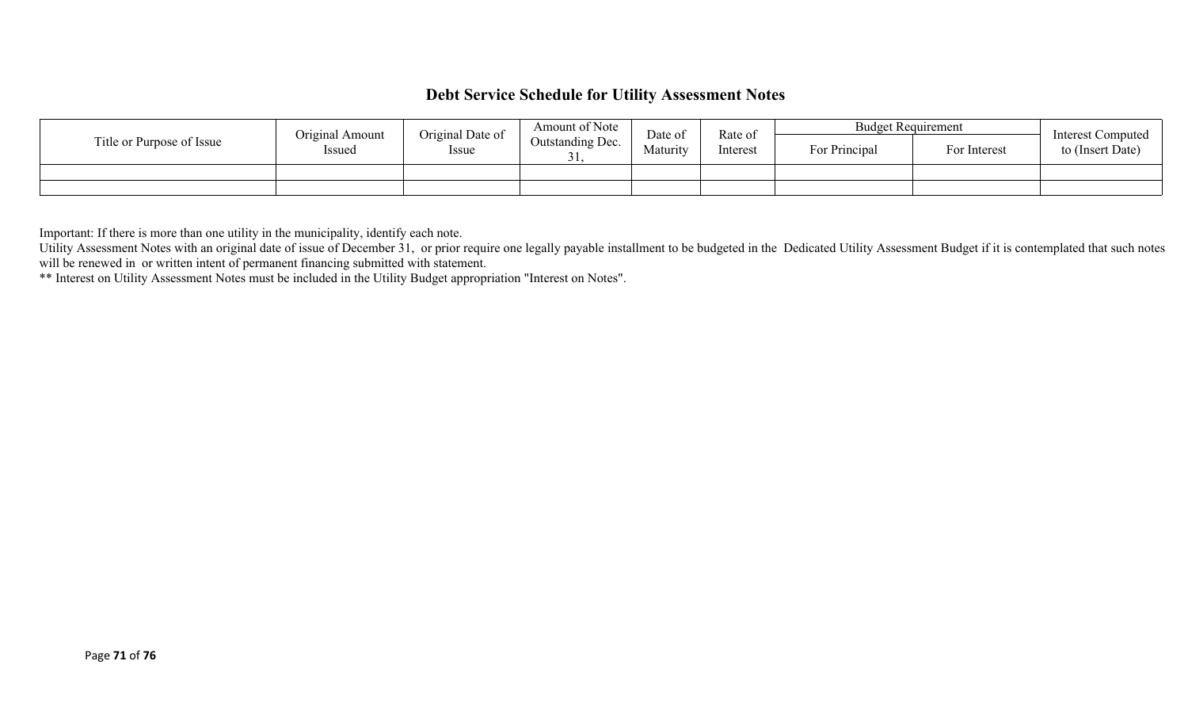### **Debt Service Schedule for Utility Assessment Notes**

|                           | Original Amount | Original Date of | Amount of Note   | Date of  | Rate of  | <b>Budget Requirement</b> |              | <b>Interest Computed</b> |
|---------------------------|-----------------|------------------|------------------|----------|----------|---------------------------|--------------|--------------------------|
| Title or Purpose of Issue | Issued          | Issue            | Outstanding Dec. | Maturity | Interest | For Principal             | For Interest | to (Insert Date)         |
|                           |                 |                  |                  |          |          |                           |              |                          |
|                           |                 |                  |                  |          |          |                           |              |                          |

Important: If there is more than one utility in the municipality, identify each note.

Utility Assessment Notes with an original date of issue of December 31, or prior require one legally payable installment to be budgeted in the Dedicated Utility Assessment Budget if it is contemplated that such notes will be renewed in or written intent of permanent financing submitted with statement.

\*\* Interest on Utility Assessment Notes must be included in the Utility Budget appropriation "Interest on Notes".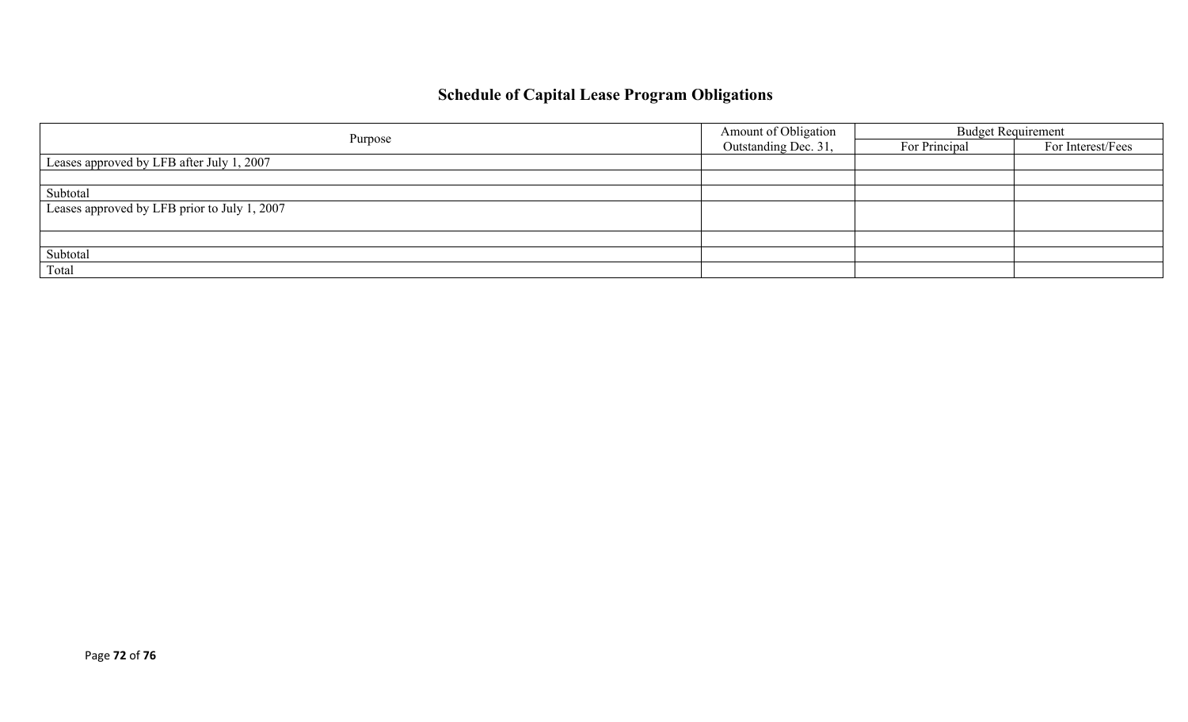# **Schedule of Capital Lease Program Obligations**

|                                              | Amount of Obligation | <b>Budget Requirement</b> |                   |  |
|----------------------------------------------|----------------------|---------------------------|-------------------|--|
| Purpose                                      | Outstanding Dec. 31, | For Principal             | For Interest/Fees |  |
| Leases approved by LFB after July 1, 2007    |                      |                           |                   |  |
|                                              |                      |                           |                   |  |
| Subtotal                                     |                      |                           |                   |  |
| Leases approved by LFB prior to July 1, 2007 |                      |                           |                   |  |
|                                              |                      |                           |                   |  |
|                                              |                      |                           |                   |  |
| Subtotal                                     |                      |                           |                   |  |
| Total                                        |                      |                           |                   |  |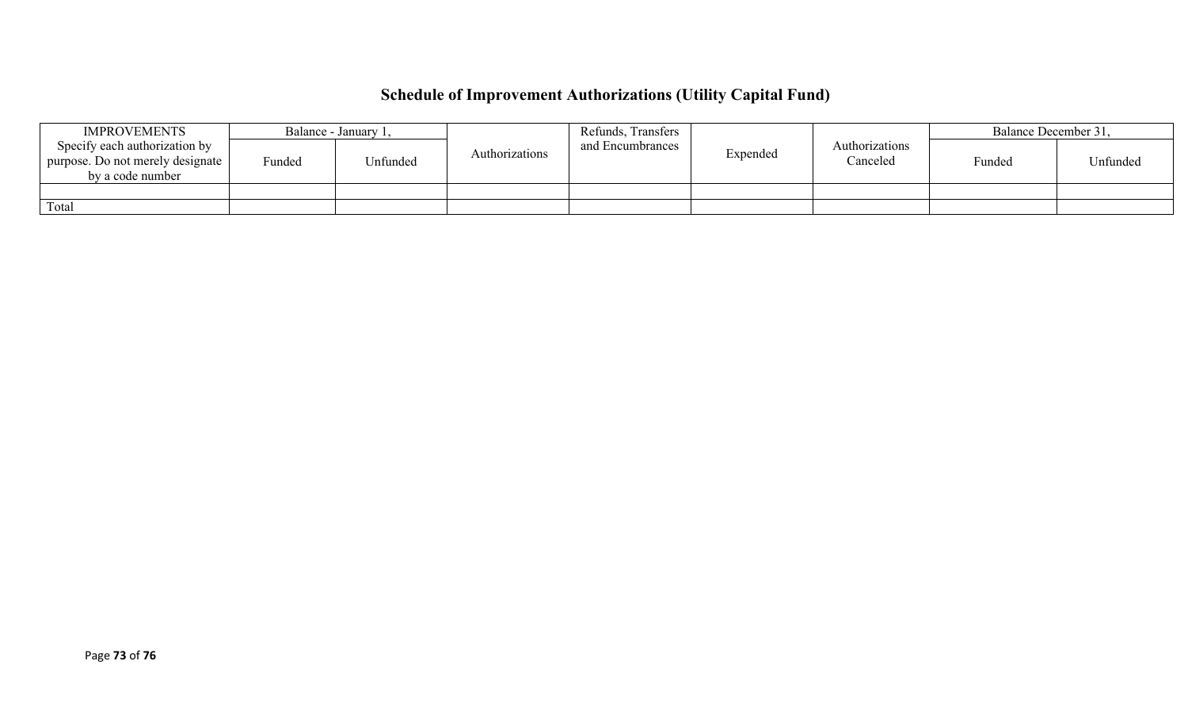# **Schedule of Improvement Authorizations (Utility Capital Fund)**

| <b>IMPROVEMENTS</b>                                                                   |        | Balance - January 1, | Authorizations | Refunds, Transfers<br>and Encumbrances | Expended | Authorizations<br>Canceled | Balance December 31, |          |
|---------------------------------------------------------------------------------------|--------|----------------------|----------------|----------------------------------------|----------|----------------------------|----------------------|----------|
| Specify each authorization by<br>purpose. Do not merely designate<br>by a code number | Funded | <sup>J</sup> nfunded |                |                                        |          |                            | Funded               | Unfunded |
|                                                                                       |        |                      |                |                                        |          |                            |                      |          |
| Total                                                                                 |        |                      |                |                                        |          |                            |                      |          |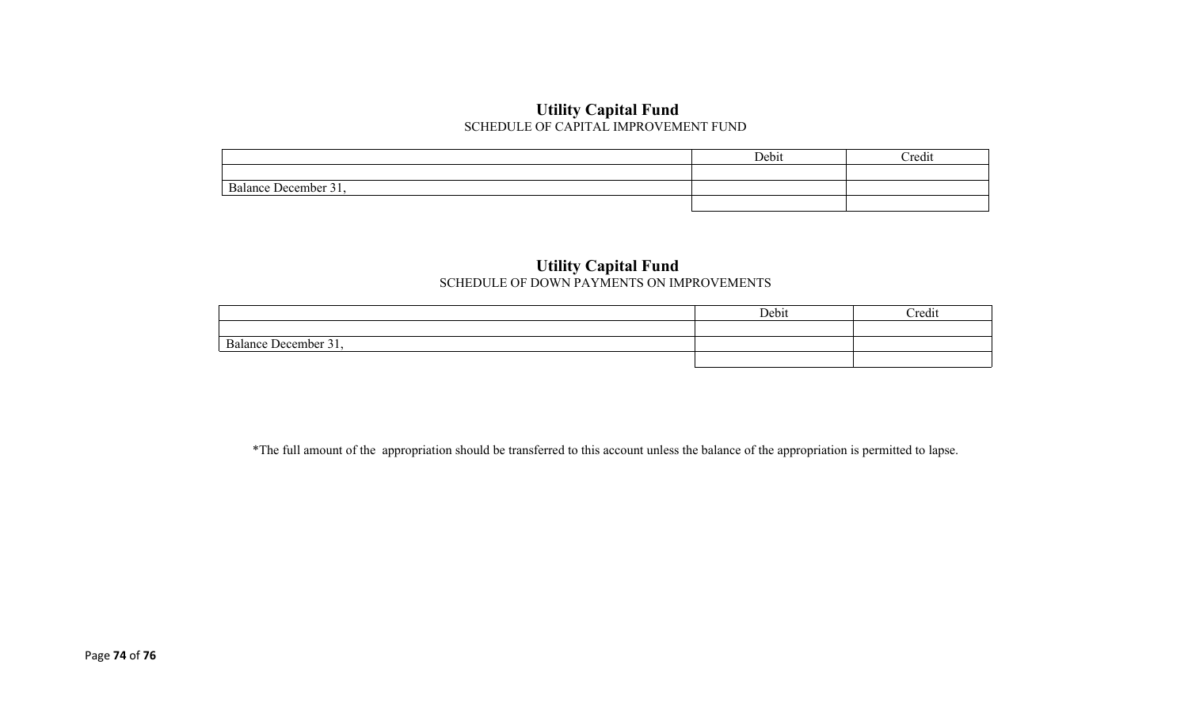### **Utility Capital Fund** SCHEDULE OF CAPITAL IMPROVEMENT FUND

|                                | Debit | Credit |
|--------------------------------|-------|--------|
|                                |       |        |
| $\sim$<br>Balance December 31, |       |        |
|                                |       |        |

#### **Utility Capital Fund** SCHEDULE OF DOWN PAYMENTS ON IMPROVEMENTS

|                                                                        | Debit | <b>Tredit</b> |
|------------------------------------------------------------------------|-------|---------------|
|                                                                        |       |               |
| $\overline{\phantom{a}}$<br>$\sim$ $\sim$<br>l Jecember 3<br>Ralance L |       |               |
|                                                                        |       |               |

\*The full amount of the appropriation should be transferred to this account unless the balance of the appropriation is permitted to lapse.